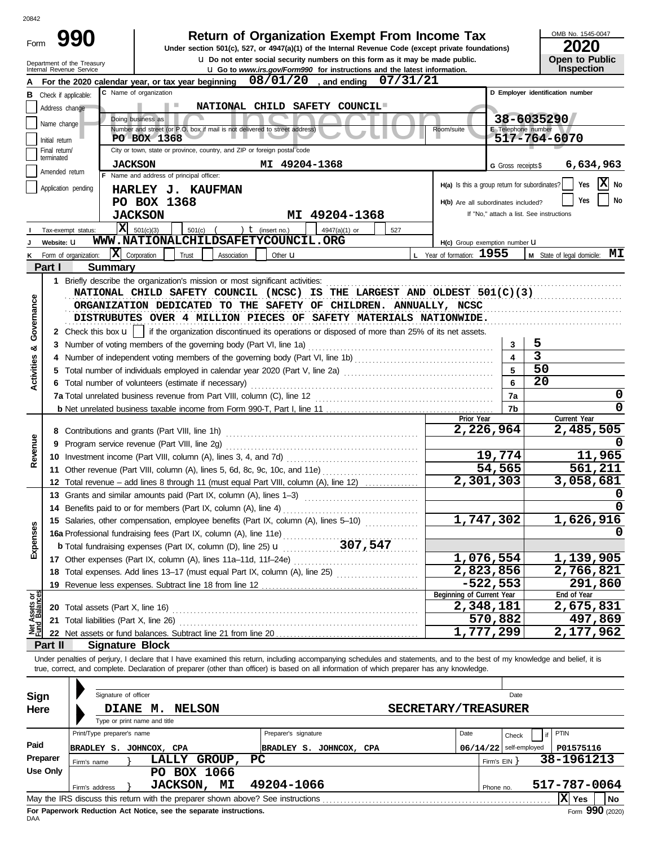| :0842<br>Form                  |                             | 990                                                | <b>Return of Organization Exempt From Income Tax</b><br>Under section 501(c), 527, or 4947(a)(1) of the Internal Revenue Code (except private foundations)                                                                                                                                                               |                                               |                          | OMB No. 1545-0047<br>2020                |
|--------------------------------|-----------------------------|----------------------------------------------------|--------------------------------------------------------------------------------------------------------------------------------------------------------------------------------------------------------------------------------------------------------------------------------------------------------------------------|-----------------------------------------------|--------------------------|------------------------------------------|
|                                |                             | Department of the Treasury                         | <b>u</b> Do not enter social security numbers on this form as it may be made public.                                                                                                                                                                                                                                     |                                               |                          | Open to Public                           |
|                                |                             | Internal Revenue Service                           | <b>U.</b> Go to <i>www.irs.gov/Form990</i> for instructions and the latest information.                                                                                                                                                                                                                                  |                                               |                          | <b>Inspection</b>                        |
|                                |                             |                                                    | $08/01/20$ , and ending<br>07/31/21<br>For the 2020 calendar year, or tax year beginning<br>C Name of organization                                                                                                                                                                                                       |                                               |                          | D Employer identification number         |
|                                |                             | <b>B</b> Check if applicable:                      | NATIONAL CHILD SAFETY COUNCIL                                                                                                                                                                                                                                                                                            |                                               |                          |                                          |
|                                | Address change              |                                                    | Doing business as                                                                                                                                                                                                                                                                                                        |                                               |                          | 38-6035290                               |
|                                | Name change                 |                                                    | Number and street (or P.O. box if mail is not delivered to street address)                                                                                                                                                                                                                                               | Room/suite                                    | E Telephone number       |                                          |
|                                | Initial return              |                                                    | PO BOX 1368                                                                                                                                                                                                                                                                                                              |                                               |                          | 517-764-6070                             |
|                                | Final return/<br>terminated |                                                    | City or town, state or province, country, and ZIP or foreign postal code                                                                                                                                                                                                                                                 |                                               |                          |                                          |
|                                | Amended return              |                                                    | <b>JACKSON</b><br>MI 49204-1368                                                                                                                                                                                                                                                                                          |                                               | G Gross receipts \$      | 6,634,963                                |
|                                |                             | F.                                                 | Name and address of principal officer:                                                                                                                                                                                                                                                                                   | H(a) Is this a group return for subordinates? |                          | X No<br>Yes                              |
|                                |                             | Application pending                                | HARLEY J. KAUFMAN                                                                                                                                                                                                                                                                                                        |                                               |                          |                                          |
|                                |                             |                                                    | PO BOX 1368                                                                                                                                                                                                                                                                                                              | H(b) Are all subordinates included?           |                          | No<br>Yes                                |
|                                |                             |                                                    | MI 49204-1368<br><b>JACKSON</b>                                                                                                                                                                                                                                                                                          |                                               |                          | If "No," attach a list. See instructions |
|                                |                             | Tax-exempt status:                                 | $\overline{\mathbf{X}}$ 501(c)(3)<br>501(c)<br>) $t$ (insert no.)<br>4947(a)(1) or<br>527                                                                                                                                                                                                                                |                                               |                          |                                          |
|                                | Website: U                  |                                                    | WWW.NATIONALCHILDSAFETYCOUNCIL.ORG                                                                                                                                                                                                                                                                                       | H(c) Group exemption number U                 |                          |                                          |
| Κ                              |                             | Form of organization:                              | $ \mathbf{X} $ Corporation<br>Trust<br>Association<br>Other <b>u</b>                                                                                                                                                                                                                                                     | L Year of formation: 1955                     |                          | M State of legal domicile: MI            |
|                                | Part I                      | <b>Summary</b>                                     |                                                                                                                                                                                                                                                                                                                          |                                               |                          |                                          |
|                                |                             |                                                    | 1 Briefly describe the organization's mission or most significant activities:                                                                                                                                                                                                                                            |                                               |                          |                                          |
|                                |                             |                                                    | NATIONAL CHILD SAFETY COUNCIL (NCSC) IS THE LARGEST AND OLDEST 501(C)(3)                                                                                                                                                                                                                                                 |                                               |                          |                                          |
| Governance                     |                             |                                                    | ORGANIZATION DEDICATED TO THE SAFETY OF CHILDREN. ANNUALLY, NCSC                                                                                                                                                                                                                                                         |                                               |                          |                                          |
|                                |                             |                                                    | DISTRUBUTES OVER 4 MILLION PIECES OF SAFETY MATERIALS NATIONWIDE.                                                                                                                                                                                                                                                        |                                               |                          |                                          |
|                                |                             |                                                    | 2 Check this box <b>u</b>     if the organization discontinued its operations or disposed of more than 25% of its net assets.                                                                                                                                                                                            |                                               |                          |                                          |
| ಯ                              | 3                           |                                                    | Number of voting members of the governing body (Part VI, line 1a)                                                                                                                                                                                                                                                        |                                               | 3                        | 5                                        |
| <b>Activities</b>              |                             |                                                    | Number of independent voting members of the governing body (Part VI, line 1b) [[[[[[[[[[[[[[[[[[[[[[[[[[[[[[[                                                                                                                                                                                                            |                                               | $\blacktriangle$         | $\overline{3}$                           |
|                                | 5                           |                                                    |                                                                                                                                                                                                                                                                                                                          | 5                                             | 50                       |                                          |
|                                |                             | Total number of volunteers (estimate if necessary) |                                                                                                                                                                                                                                                                                                                          | 6                                             | 20                       |                                          |
|                                |                             |                                                    |                                                                                                                                                                                                                                                                                                                          |                                               | 7a                       | 0                                        |
|                                |                             |                                                    |                                                                                                                                                                                                                                                                                                                          |                                               | 7b                       | 0                                        |
|                                |                             |                                                    |                                                                                                                                                                                                                                                                                                                          | Prior Year                                    |                          | Current Year                             |
|                                |                             |                                                    |                                                                                                                                                                                                                                                                                                                          | 2,226,964                                     |                          | 2,485,505                                |
| Revenue                        | 9                           |                                                    |                                                                                                                                                                                                                                                                                                                          |                                               |                          |                                          |
|                                | 10                          |                                                    |                                                                                                                                                                                                                                                                                                                          |                                               | 19,774                   | 11,965                                   |
|                                |                             |                                                    | 11 Other revenue (Part VIII, column (A), lines 5, 6d, 8c, 9c, 10c, and 11e)                                                                                                                                                                                                                                              |                                               | 54,565                   | 561,211                                  |
|                                |                             |                                                    | 12 Total revenue - add lines 8 through 11 (must equal Part VIII, column (A), line 12)                                                                                                                                                                                                                                    | 2,301,303                                     |                          | 3,058,681                                |
|                                |                             |                                                    | 13 Grants and similar amounts paid (Part IX, column (A), lines 1-3)                                                                                                                                                                                                                                                      |                                               |                          |                                          |
|                                |                             |                                                    |                                                                                                                                                                                                                                                                                                                          |                                               |                          | 0                                        |
|                                |                             |                                                    | 15 Salaries, other compensation, employee benefits (Part IX, column (A), lines 5-10)                                                                                                                                                                                                                                     | 1,747,302                                     |                          | 1,626,916                                |
| Expenses                       |                             |                                                    |                                                                                                                                                                                                                                                                                                                          |                                               |                          |                                          |
|                                |                             |                                                    |                                                                                                                                                                                                                                                                                                                          |                                               |                          |                                          |
|                                |                             |                                                    |                                                                                                                                                                                                                                                                                                                          | 1,076,554                                     |                          | 1,139,905                                |
|                                | 18                          |                                                    | Total expenses. Add lines 13-17 (must equal Part IX, column (A), line 25)                                                                                                                                                                                                                                                | 2,823,856                                     |                          | 2,766,821                                |
|                                | 19                          |                                                    |                                                                                                                                                                                                                                                                                                                          |                                               | $-522,553$               | 291,860                                  |
|                                |                             |                                                    |                                                                                                                                                                                                                                                                                                                          | Beginning of Current Year                     |                          | End of Year                              |
|                                |                             |                                                    | 20 Total assets (Part X, line 16)                                                                                                                                                                                                                                                                                        | 2,348,181                                     |                          | 2,675,831                                |
| Net Assets or<br>Fund Balances | 21                          |                                                    | Total liabilities (Part X, line 26)                                                                                                                                                                                                                                                                                      |                                               | 570,882                  | 497,869                                  |
|                                |                             |                                                    |                                                                                                                                                                                                                                                                                                                          | 1,777,299                                     |                          | 2,177,962                                |
|                                | Part II                     |                                                    | <b>Signature Block</b>                                                                                                                                                                                                                                                                                                   |                                               |                          |                                          |
|                                |                             |                                                    | Under penalties of perjury, I declare that I have examined this return, including accompanying schedules and statements, and to the best of my knowledge and belief, it is<br>true, correct, and complete. Declaration of preparer (other than officer) is based on all information of which preparer has any knowledge. |                                               |                          |                                          |
|                                |                             |                                                    |                                                                                                                                                                                                                                                                                                                          |                                               |                          |                                          |
| Sign                           |                             |                                                    | Signature of officer                                                                                                                                                                                                                                                                                                     |                                               | Date                     |                                          |
| Here                           |                             |                                                    | DIANE M.<br><b>SECRETARY/TREASURER</b><br><b>NELSON</b>                                                                                                                                                                                                                                                                  |                                               |                          |                                          |
|                                |                             |                                                    | Type or print name and title                                                                                                                                                                                                                                                                                             |                                               |                          |                                          |
|                                |                             | Print/Type preparer's name                         | Preparer's signature                                                                                                                                                                                                                                                                                                     | Date                                          | Check                    | <b>PTIN</b><br>if                        |
| Paid                           |                             |                                                    | BRADLEY S. JOHNCOX, CPA<br>BRADLEY S. JOHNCOX, CPA                                                                                                                                                                                                                                                                       |                                               | $06/14/22$ self-employed | P01575116                                |
|                                | Preparer                    | Firm's name                                        | LALLY GROUP,<br>РC                                                                                                                                                                                                                                                                                                       |                                               | Firm's $EIN$ }           | 38-1961213                               |
|                                | <b>Use Only</b>             |                                                    | PO BOX 1066                                                                                                                                                                                                                                                                                                              |                                               |                          |                                          |
|                                |                             | Firm's address                                     | JACKSON, MI<br>49204-1066                                                                                                                                                                                                                                                                                                |                                               | Phone no.                | 517-787-0064                             |
|                                |                             |                                                    | May the IRS discuss this return with the preparer shown above? See instructions                                                                                                                                                                                                                                          |                                               |                          | $ \mathbf{X} $ Yes<br>No                 |

| Sign     |                | Signature of officer                                               |                 |                 |        |                            |                                                                                 |              |  |      |              | Date                     |              |                   |    |
|----------|----------------|--------------------------------------------------------------------|-----------------|-----------------|--------|----------------------------|---------------------------------------------------------------------------------|--------------|--|------|--------------|--------------------------|--------------|-------------------|----|
| Here     |                | <b>DIANE</b><br>Type or print name and title                       | М.              | <b>NELSON</b>   |        | <b>SECRETARY/TREASURER</b> |                                                                                 |              |  |      |              |                          |              |                   |    |
|          |                | Print/Type preparer's name                                         |                 |                 |        |                            | Preparer's signature                                                            |              |  | Date |              | Check                    | PTIN         |                   |    |
| Paid     | <b>BRADLEY</b> | s.                                                                 | JOHNCOX, CPA    |                 |        |                            | BRADLEY S.                                                                      | JOHNCOX, CPA |  |      |              | $06/14/22$ self-employed |              | P01575116         |    |
| Preparer | Firm's name    |                                                                    | <b>LALLY</b>    |                 | GROUP, | <b>PC</b>                  |                                                                                 |              |  |      | Firm's EIN Y |                          | 38-1961213   |                   |    |
| Use Only |                |                                                                    | PO.             | <b>BOX 1066</b> |        |                            |                                                                                 |              |  |      |              |                          |              |                   |    |
|          | Firm's address |                                                                    | <b>JACKSON,</b> |                 | МI     |                            | 49204-1066                                                                      |              |  |      | Phone no.    |                          | 517-787-0064 |                   |    |
|          |                |                                                                    |                 |                 |        |                            | May the IRS discuss this return with the preparer shown above? See instructions |              |  |      |              |                          |              | <b>Yes</b>        | No |
|          |                | Ear Panorwark Paduction, Act Notice, can the congrate instructions |                 |                 |        |                            |                                                                                 |              |  |      |              |                          |              | $\sim$ 000 $\sim$ |    |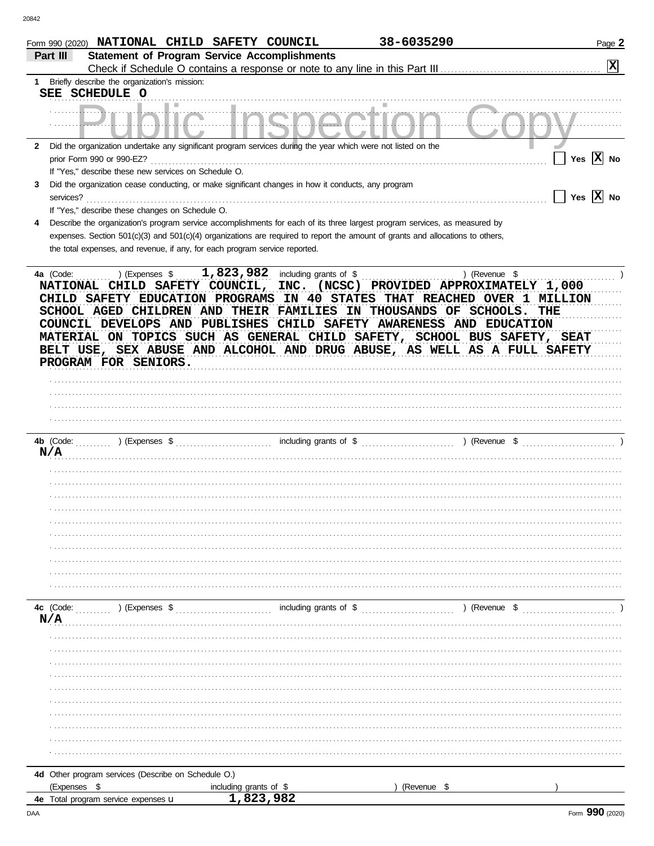| Form 990 (2020) NATIONAL CHILD SAFETY COUNCIL                                                                                               |                                                     | 38-6035290                                                                                                                                                                                                                                                                                                                                                                                                                                             | Page 2                |
|---------------------------------------------------------------------------------------------------------------------------------------------|-----------------------------------------------------|--------------------------------------------------------------------------------------------------------------------------------------------------------------------------------------------------------------------------------------------------------------------------------------------------------------------------------------------------------------------------------------------------------------------------------------------------------|-----------------------|
| Part III                                                                                                                                    | <b>Statement of Program Service Accomplishments</b> |                                                                                                                                                                                                                                                                                                                                                                                                                                                        | $\mathbf{x}$          |
| Briefly describe the organization's mission:<br>1                                                                                           |                                                     |                                                                                                                                                                                                                                                                                                                                                                                                                                                        |                       |
| SEE SCHEDULE O                                                                                                                              |                                                     |                                                                                                                                                                                                                                                                                                                                                                                                                                                        |                       |
|                                                                                                                                             |                                                     |                                                                                                                                                                                                                                                                                                                                                                                                                                                        |                       |
|                                                                                                                                             |                                                     |                                                                                                                                                                                                                                                                                                                                                                                                                                                        |                       |
| 2 Did the organization undertake any significant program services during the year which were not listed on the<br>prior Form 990 or 990-EZ? |                                                     |                                                                                                                                                                                                                                                                                                                                                                                                                                                        | Yes $X$ No            |
| If "Yes," describe these new services on Schedule O.                                                                                        |                                                     |                                                                                                                                                                                                                                                                                                                                                                                                                                                        |                       |
| Did the organization cease conducting, or make significant changes in how it conducts, any program<br>3                                     |                                                     |                                                                                                                                                                                                                                                                                                                                                                                                                                                        |                       |
| services?                                                                                                                                   |                                                     |                                                                                                                                                                                                                                                                                                                                                                                                                                                        | Yes $\overline{X}$ No |
| If "Yes," describe these changes on Schedule O.                                                                                             |                                                     |                                                                                                                                                                                                                                                                                                                                                                                                                                                        |                       |
| 4                                                                                                                                           |                                                     | Describe the organization's program service accomplishments for each of its three largest program services, as measured by                                                                                                                                                                                                                                                                                                                             |                       |
|                                                                                                                                             |                                                     | expenses. Section 501(c)(3) and 501(c)(4) organizations are required to report the amount of grants and allocations to others,                                                                                                                                                                                                                                                                                                                         |                       |
| the total expenses, and revenue, if any, for each program service reported.                                                                 |                                                     |                                                                                                                                                                                                                                                                                                                                                                                                                                                        |                       |
| PROGRAM FOR SENIORS.                                                                                                                        |                                                     | NATIONAL CHILD SAFETY COUNCIL, INC. (NCSC) PROVIDED APPROXIMATELY 1,000<br>CHILD SAFETY EDUCATION PROGRAMS IN 40 STATES THAT REACHED OVER 1 MILLION<br>SCHOOL AGED CHILDREN AND THEIR FAMILIES IN THOUSANDS OF SCHOOLS.<br>COUNCIL DEVELOPS AND PUBLISHES CHILD SAFETY AWARENESS AND EDUCATION<br>MATERIAL ON TOPICS SUCH AS GENERAL CHILD SAFETY, SCHOOL BUS SAFETY, SEAT<br>BELT USE, SEX ABUSE AND ALCOHOL AND DRUG ABUSE, AS WELL AS A FULL SAFETY | THE                   |
|                                                                                                                                             |                                                     |                                                                                                                                                                                                                                                                                                                                                                                                                                                        |                       |
|                                                                                                                                             |                                                     |                                                                                                                                                                                                                                                                                                                                                                                                                                                        |                       |
| N/A                                                                                                                                         |                                                     |                                                                                                                                                                                                                                                                                                                                                                                                                                                        |                       |
|                                                                                                                                             |                                                     |                                                                                                                                                                                                                                                                                                                                                                                                                                                        |                       |
|                                                                                                                                             |                                                     |                                                                                                                                                                                                                                                                                                                                                                                                                                                        |                       |
|                                                                                                                                             |                                                     |                                                                                                                                                                                                                                                                                                                                                                                                                                                        |                       |
|                                                                                                                                             |                                                     |                                                                                                                                                                                                                                                                                                                                                                                                                                                        |                       |
|                                                                                                                                             |                                                     |                                                                                                                                                                                                                                                                                                                                                                                                                                                        |                       |
|                                                                                                                                             |                                                     |                                                                                                                                                                                                                                                                                                                                                                                                                                                        |                       |
|                                                                                                                                             |                                                     |                                                                                                                                                                                                                                                                                                                                                                                                                                                        |                       |
|                                                                                                                                             |                                                     |                                                                                                                                                                                                                                                                                                                                                                                                                                                        |                       |
|                                                                                                                                             |                                                     |                                                                                                                                                                                                                                                                                                                                                                                                                                                        |                       |
|                                                                                                                                             |                                                     | including grants of \$ (Revenue \$ ) (Revenue \$ )                                                                                                                                                                                                                                                                                                                                                                                                     |                       |
| N/A                                                                                                                                         |                                                     |                                                                                                                                                                                                                                                                                                                                                                                                                                                        |                       |
|                                                                                                                                             |                                                     |                                                                                                                                                                                                                                                                                                                                                                                                                                                        |                       |
|                                                                                                                                             |                                                     |                                                                                                                                                                                                                                                                                                                                                                                                                                                        |                       |
|                                                                                                                                             |                                                     |                                                                                                                                                                                                                                                                                                                                                                                                                                                        |                       |
|                                                                                                                                             |                                                     |                                                                                                                                                                                                                                                                                                                                                                                                                                                        |                       |
|                                                                                                                                             |                                                     |                                                                                                                                                                                                                                                                                                                                                                                                                                                        |                       |
|                                                                                                                                             |                                                     |                                                                                                                                                                                                                                                                                                                                                                                                                                                        |                       |
|                                                                                                                                             |                                                     |                                                                                                                                                                                                                                                                                                                                                                                                                                                        |                       |
|                                                                                                                                             |                                                     |                                                                                                                                                                                                                                                                                                                                                                                                                                                        |                       |
|                                                                                                                                             |                                                     |                                                                                                                                                                                                                                                                                                                                                                                                                                                        |                       |
| 4d Other program services (Describe on Schedule O.)                                                                                         |                                                     |                                                                                                                                                                                                                                                                                                                                                                                                                                                        |                       |
| (Expenses \$                                                                                                                                | including grants of \$                              | (Revenue \$                                                                                                                                                                                                                                                                                                                                                                                                                                            |                       |
| 4e Total program service expenses u                                                                                                         | 1,823,982                                           |                                                                                                                                                                                                                                                                                                                                                                                                                                                        |                       |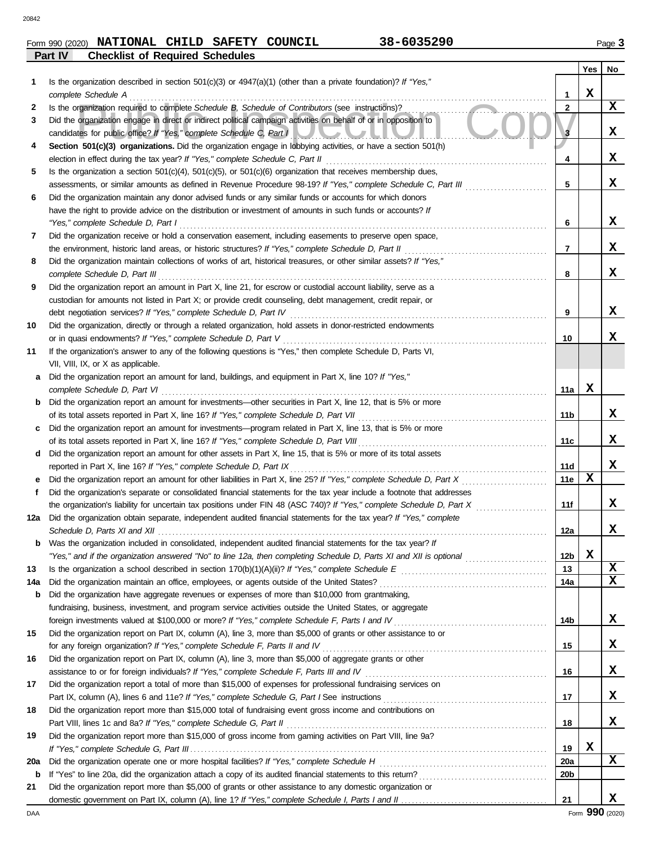### **Part IV Checklist of Required Schedules** Form 990 (2020) Page **3 NATIONAL CHILD SAFETY COUNCIL 38-6035290**

|     |                                                                                                                         |                 | Yes         | No          |
|-----|-------------------------------------------------------------------------------------------------------------------------|-----------------|-------------|-------------|
| 1.  | Is the organization described in section $501(c)(3)$ or $4947(a)(1)$ (other than a private foundation)? If "Yes,"       |                 |             |             |
|     | complete Schedule A                                                                                                     | 1               | $\mathbf x$ |             |
| 2   | Is the organization required to complete Schedule B, Schedule of Contributors (see instructions)?                       | $\overline{2}$  |             | X           |
| 3   | Did the organization engage in direct or indirect political campaign activities on behalf of or in opposition to        |                 |             |             |
|     | candidates for public office? If "Yes," complete Schedule C, Part I                                                     | з               |             | X           |
| 4   | Section 501(c)(3) organizations. Did the organization engage in lobbying activities, or have a section 501(h)           |                 |             |             |
|     |                                                                                                                         | 4               |             | x           |
| 5   | Is the organization a section $501(c)(4)$ , $501(c)(5)$ , or $501(c)(6)$ organization that receives membership dues,    |                 |             |             |
|     | assessments, or similar amounts as defined in Revenue Procedure 98-19? If "Yes," complete Schedule C, Part III          | 5               |             | x           |
| 6   | Did the organization maintain any donor advised funds or any similar funds or accounts for which donors                 |                 |             |             |
|     | have the right to provide advice on the distribution or investment of amounts in such funds or accounts? If             |                 |             |             |
|     | "Yes," complete Schedule D, Part I                                                                                      | 6               |             | X           |
| 7   | Did the organization receive or hold a conservation easement, including easements to preserve open space,               |                 |             |             |
|     | the environment, historic land areas, or historic structures? If "Yes," complete Schedule D, Part II                    | 7               |             | x           |
| 8   | Did the organization maintain collections of works of art, historical treasures, or other similar assets? If "Yes,"     |                 |             |             |
|     | complete Schedule D, Part III                                                                                           | 8               |             | x           |
| 9   | Did the organization report an amount in Part X, line 21, for escrow or custodial account liability, serve as a         |                 |             |             |
|     | custodian for amounts not listed in Part X; or provide credit counseling, debt management, credit repair, or            |                 |             |             |
|     |                                                                                                                         | 9               |             | X           |
| 10  | Did the organization, directly or through a related organization, hold assets in donor-restricted endowments            |                 |             |             |
|     | or in quasi endowments? If "Yes," complete Schedule D, Part V                                                           | 10              |             | x           |
| 11  | If the organization's answer to any of the following questions is "Yes," then complete Schedule D, Parts VI,            |                 |             |             |
|     | VII, VIII, IX, or X as applicable.                                                                                      |                 |             |             |
| a   | Did the organization report an amount for land, buildings, and equipment in Part X, line 10? If "Yes,"                  |                 |             |             |
|     | complete Schedule D, Part VI                                                                                            | 11a             | $\mathbf X$ |             |
|     | <b>b</b> Did the organization report an amount for investments—other securities in Part X, line 12, that is 5% or more  |                 |             |             |
|     |                                                                                                                         | 11b             |             | x           |
| c   | Did the organization report an amount for investments—program related in Part X, line 13, that is 5% or more            |                 |             | x           |
|     | Did the organization report an amount for other assets in Part X, line 15, that is 5% or more of its total assets       | 11c             |             |             |
| d   | reported in Part X, line 16? If "Yes," complete Schedule D, Part IX                                                     | 11d             |             | X           |
|     |                                                                                                                         | 11e             | $\mathbf x$ |             |
| f   | Did the organization's separate or consolidated financial statements for the tax year include a footnote that addresses |                 |             |             |
|     | the organization's liability for uncertain tax positions under FIN 48 (ASC 740)? If "Yes," complete Schedule D, Part X  | 11f             |             | X           |
| 12a | Did the organization obtain separate, independent audited financial statements for the tax year? If "Yes," complete     |                 |             |             |
|     |                                                                                                                         | 12a             |             | X           |
| b   | Was the organization included in consolidated, independent audited financial statements for the tax year? If            |                 |             |             |
|     |                                                                                                                         | 12 <sub>b</sub> | $\mathbf x$ |             |
| 13  |                                                                                                                         | 13              |             | X           |
| 14a |                                                                                                                         | 14a             |             | $\mathbf x$ |
| b   | Did the organization have aggregate revenues or expenses of more than \$10,000 from grantmaking,                        |                 |             |             |
|     | fundraising, business, investment, and program service activities outside the United States, or aggregate               |                 |             |             |
|     |                                                                                                                         | 14b             |             | X           |
| 15  | Did the organization report on Part IX, column (A), line 3, more than \$5,000 of grants or other assistance to or       |                 |             |             |
|     |                                                                                                                         | 15              |             | X           |
| 16  | Did the organization report on Part IX, column (A), line 3, more than \$5,000 of aggregate grants or other              |                 |             |             |
|     |                                                                                                                         | 16              |             | X           |
| 17  | Did the organization report a total of more than \$15,000 of expenses for professional fundraising services on          |                 |             |             |
|     |                                                                                                                         | 17              |             | X           |
| 18  | Did the organization report more than \$15,000 total of fundraising event gross income and contributions on             |                 |             |             |
|     | Part VIII, lines 1c and 8a? If "Yes," complete Schedule G, Part II                                                      | 18              |             | X           |
| 19  | Did the organization report more than \$15,000 of gross income from gaming activities on Part VIII, line 9a?            |                 |             |             |
|     |                                                                                                                         | 19              | X           |             |
| 20a |                                                                                                                         | 20a             |             | X           |
| b   |                                                                                                                         | 20 <sub>b</sub> |             |             |
| 21  | Did the organization report more than \$5,000 of grants or other assistance to any domestic organization or             |                 |             |             |
|     |                                                                                                                         | 21              |             | X           |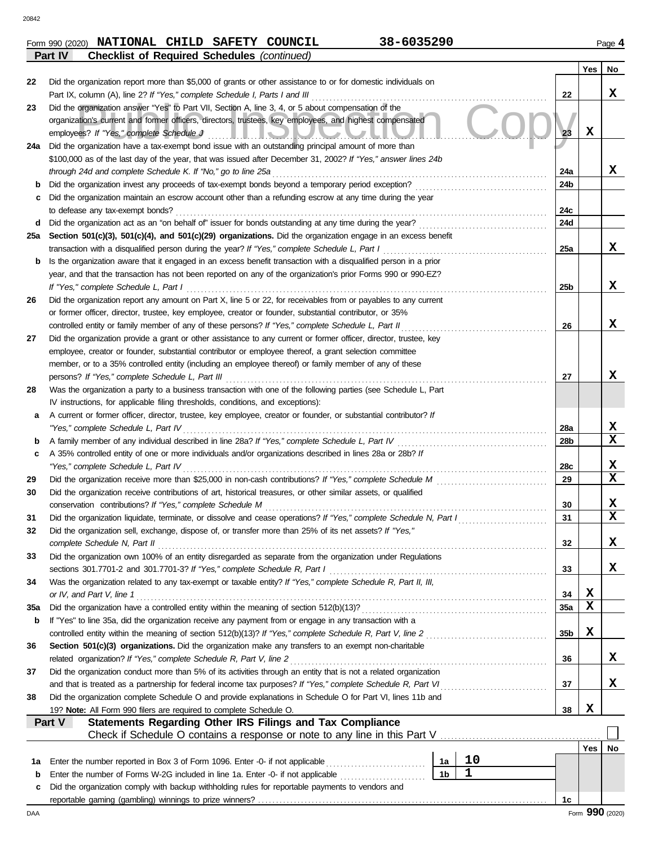|         | Form 990 (2020) NATIONAL CHILD SAFETY COUNCIL      |  | 38-6035290 | Page 4 |
|---------|----------------------------------------------------|--|------------|--------|
| Part IV | <b>Checklist of Required Schedules (continued)</b> |  |            |        |

|     |                                                                                                                                                                                         |                 | Yes | No.         |
|-----|-----------------------------------------------------------------------------------------------------------------------------------------------------------------------------------------|-----------------|-----|-------------|
| 22  | Did the organization report more than \$5,000 of grants or other assistance to or for domestic individuals on                                                                           |                 |     |             |
|     | Part IX, column (A), line 2? If "Yes," complete Schedule I, Parts I and III                                                                                                             | 22              |     | x           |
| 23  | Did the organization answer "Yes" to Part VII, Section A, line 3, 4, or 5 about compensation of the                                                                                     |                 |     |             |
|     | organization's current and former officers, directors, trustees, key employees, and highest compensated                                                                                 |                 |     |             |
|     | employees? If "Yes," complete Schedule J<br>II. II. J. J. J. J. J. J. J. J.                                                                                                             | 23              | X   |             |
| 24a | Did the organization have a tax-exempt bond issue with an outstanding principal amount of more than                                                                                     |                 |     |             |
|     | \$100,000 as of the last day of the year, that was issued after December 31, 2002? If "Yes," answer lines 24b<br>through 24d and complete Schedule K. If "No," go to line 25a           | 24a             |     | x           |
| b   |                                                                                                                                                                                         | 24 <sub>b</sub> |     |             |
| c   | Did the organization maintain an escrow account other than a refunding escrow at any time during the year                                                                               |                 |     |             |
|     | to defease any tax-exempt bonds?                                                                                                                                                        | 24c             |     |             |
| d   |                                                                                                                                                                                         | 24d             |     |             |
| 25a | Section 501(c)(3), 501(c)(4), and 501(c)(29) organizations. Did the organization engage in an excess benefit                                                                            |                 |     |             |
|     | transaction with a disqualified person during the year? If "Yes," complete Schedule L, Part I                                                                                           | 25a             |     | X           |
| b   | Is the organization aware that it engaged in an excess benefit transaction with a disqualified person in a prior                                                                        |                 |     |             |
|     | year, and that the transaction has not been reported on any of the organization's prior Forms 990 or 990-EZ?                                                                            |                 |     |             |
|     | If "Yes," complete Schedule L, Part I                                                                                                                                                   | 25 <sub>b</sub> |     | x           |
| 26  | Did the organization report any amount on Part X, line 5 or 22, for receivables from or payables to any current                                                                         |                 |     |             |
|     | or former officer, director, trustee, key employee, creator or founder, substantial contributor, or 35%                                                                                 |                 |     |             |
|     | controlled entity or family member of any of these persons? If "Yes," complete Schedule L, Part II                                                                                      | 26              |     | x           |
| 27  | Did the organization provide a grant or other assistance to any current or former officer, director, trustee, key                                                                       |                 |     |             |
|     | employee, creator or founder, substantial contributor or employee thereof, a grant selection committee                                                                                  |                 |     |             |
|     | member, or to a 35% controlled entity (including an employee thereof) or family member of any of these                                                                                  | 27              |     | x           |
| 28  | persons? If "Yes," complete Schedule L, Part III<br>Was the organization a party to a business transaction with one of the following parties (see Schedule L, Part                      |                 |     |             |
|     | IV instructions, for applicable filing thresholds, conditions, and exceptions):                                                                                                         |                 |     |             |
| а   | A current or former officer, director, trustee, key employee, creator or founder, or substantial contributor? If                                                                        |                 |     |             |
|     | "Yes," complete Schedule L, Part IV                                                                                                                                                     | 28a             |     | x           |
| b   | A family member of any individual described in line 28a? If "Yes," complete Schedule L, Part IV [[[[[[[[[[[[[                                                                           | 28 <sub>b</sub> |     | X           |
| c   | A 35% controlled entity of one or more individuals and/or organizations described in lines 28a or 28b? If                                                                               |                 |     |             |
|     | "Yes," complete Schedule L, Part IV                                                                                                                                                     | 28c             |     | X           |
| 29  |                                                                                                                                                                                         | 29              |     | $\mathbf x$ |
| 30  | Did the organization receive contributions of art, historical treasures, or other similar assets, or qualified                                                                          |                 |     |             |
|     | conservation contributions? If "Yes," complete Schedule M                                                                                                                               | 30              |     | x           |
| 31  | Did the organization liquidate, terminate, or dissolve and cease operations? If "Yes," complete Schedule N, Part I                                                                      | 31              |     | $\mathbf x$ |
| 32  | Did the organization sell, exchange, dispose of, or transfer more than 25% of its net assets? If "Yes,"                                                                                 |                 |     | X           |
|     | complete Schedule N, Part II                                                                                                                                                            | 32              |     |             |
| 33  | Did the organization own 100% of an entity disregarded as separate from the organization under Regulations<br>sections 301.7701-2 and 301.7701-3? If "Yes," complete Schedule R, Part I | 33              |     | X.          |
| 34  | Was the organization related to any tax-exempt or taxable entity? If "Yes," complete Schedule R, Part II, III,                                                                          |                 |     |             |
|     | or IV, and Part V, line 1                                                                                                                                                               | 34              | x   |             |
| 35a |                                                                                                                                                                                         | 35a             | X   |             |
| b   | If "Yes" to line 35a, did the organization receive any payment from or engage in any transaction with a                                                                                 |                 |     |             |
|     |                                                                                                                                                                                         | 35 <sub>b</sub> | x   |             |
| 36  | Section 501(c)(3) organizations. Did the organization make any transfers to an exempt non-charitable                                                                                    |                 |     |             |
|     | related organization? If "Yes," complete Schedule R, Part V, line 2                                                                                                                     | 36              |     | X           |
| 37  | Did the organization conduct more than 5% of its activities through an entity that is not a related organization                                                                        |                 |     |             |
|     | and that is treated as a partnership for federal income tax purposes? If "Yes," complete Schedule R, Part VI                                                                            | 37              |     | x           |
| 38  | Did the organization complete Schedule O and provide explanations in Schedule O for Part VI, lines 11b and                                                                              |                 |     |             |
|     | 19? Note: All Form 990 filers are required to complete Schedule O.<br><b>Statements Regarding Other IRS Filings and Tax Compliance</b><br>Part V                                        | 38              | X   |             |
|     | Check if Schedule O contains a response or note to any line in this Part V                                                                                                              |                 |     |             |
|     |                                                                                                                                                                                         |                 | Yes | No          |
| 1a  | 10<br>Enter the number reported in Box 3 of Form 1096. Enter -0- if not applicable<br>1a                                                                                                |                 |     |             |
| b   | $\mathbf{1}$<br>1 <sub>b</sub><br>Enter the number of Forms W-2G included in line 1a. Enter -0- if not applicable [11] [11] Enter the number of Forms                                   |                 |     |             |
| c   | Did the organization comply with backup withholding rules for reportable payments to vendors and                                                                                        |                 |     |             |
|     |                                                                                                                                                                                         | 1c              |     |             |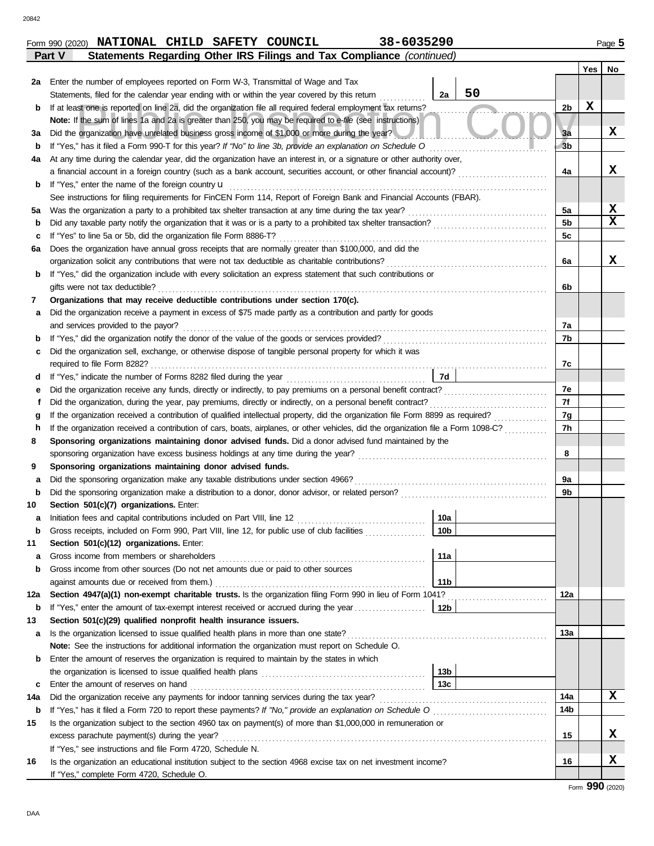|        | Form 990 (2020) NATIONAL CHILD SAFETY COUNCIL |  | 38-6035290                                                            | Page $5$ |
|--------|-----------------------------------------------|--|-----------------------------------------------------------------------|----------|
| Part V |                                               |  | Statements Regarding Other IRS Filings and Tax Compliance (continued) |          |

|         |                                                                                                                                    |                | Yes $ $ | No |
|---------|------------------------------------------------------------------------------------------------------------------------------------|----------------|---------|----|
| 2a      | Enter the number of employees reported on Form W-3, Transmittal of Wage and Tax                                                    |                |         |    |
|         | 50<br>2a<br>Statements, filed for the calendar year ending with or within the year covered by this return                          |                |         |    |
| b       | If at least one is reported on line 2a, did the organization file all required federal employment tax returns?                     | 2b             | x       |    |
|         | Note: If the sum of lines 1a and 2a is greater than 250, you may be required to e-file (see instructions)                          |                |         |    |
| за      | Did the organization have unrelated business gross income of \$1,000 or more during the year?                                      | 3a             |         | x  |
| b       | If "Yes," has it filed a Form 990-T for this year? If "No" to line 3b, provide an explanation on Schedule O                        | 3 <sub>b</sub> |         |    |
| 4a      | At any time during the calendar year, did the organization have an interest in, or a signature or other authority over,            |                |         |    |
|         | a financial account in a foreign country (such as a bank account, securities account, or other financial account)?                 | 4a             |         | x  |
| b       | If "Yes," enter the name of the foreign country <b>u</b>                                                                           |                |         |    |
|         | See instructions for filing requirements for FinCEN Form 114, Report of Foreign Bank and Financial Accounts (FBAR).                |                |         |    |
| 5а      | Was the organization a party to a prohibited tax shelter transaction at any time during the tax year?                              | 5a             |         | X  |
| b       |                                                                                                                                    | 5b             |         | X  |
| c       | If "Yes" to line 5a or 5b, did the organization file Form 8886-T?                                                                  | 5c             |         |    |
| 6а      | Does the organization have annual gross receipts that are normally greater than \$100,000, and did the                             |                |         |    |
|         | organization solicit any contributions that were not tax deductible as charitable contributions?                                   | 6a             |         | x  |
| b       | If "Yes," did the organization include with every solicitation an express statement that such contributions or                     |                |         |    |
|         | gifts were not tax deductible?                                                                                                     | 6b             |         |    |
| 7       | Organizations that may receive deductible contributions under section 170(c).                                                      |                |         |    |
| а       | Did the organization receive a payment in excess of \$75 made partly as a contribution and partly for goods                        |                |         |    |
|         | and services provided to the payor?                                                                                                | 7a             |         |    |
| b       | If "Yes," did the organization notify the donor of the value of the goods or services provided?                                    | 7b             |         |    |
| c       | Did the organization sell, exchange, or otherwise dispose of tangible personal property for which it was                           |                |         |    |
|         |                                                                                                                                    | 7c             |         |    |
| d       | 7d                                                                                                                                 |                |         |    |
| е       | Did the organization receive any funds, directly or indirectly, to pay premiums on a personal benefit contract?                    | 7e             |         |    |
| f       | Did the organization, during the year, pay premiums, directly or indirectly, on a personal benefit contract?                       | 7f             |         |    |
| g       | If the organization received a contribution of qualified intellectual property, did the organization file Form 8899 as required?   | 7g             |         |    |
| h       | If the organization received a contribution of cars, boats, airplanes, or other vehicles, did the organization file a Form 1098-C? | 7h             |         |    |
| 8       | Sponsoring organizations maintaining donor advised funds. Did a donor advised fund maintained by the                               |                |         |    |
|         | sponsoring organization have excess business holdings at any time during the year?                                                 | 8              |         |    |
| 9       | Sponsoring organizations maintaining donor advised funds.                                                                          | 9a             |         |    |
| а       | Did the sponsoring organization make any taxable distributions under section 4966?                                                 | 9b             |         |    |
| b<br>10 | Section 501(c)(7) organizations. Enter:                                                                                            |                |         |    |
|         | Initiation fees and capital contributions included on Part VIII, line 12<br>10a                                                    |                |         |    |
| а       | Gross receipts, included on Form 990, Part VIII, line 12, for public use of club facilities<br>10b                                 |                |         |    |
| b<br>11 | Section 501(c)(12) organizations. Enter:                                                                                           |                |         |    |
| а       | Gross income from members or shareholders<br>11a                                                                                   |                |         |    |
| b       | Gross income from other sources (Do not net amounts due or paid to other sources                                                   |                |         |    |
|         | 11 <sub>b</sub><br>against amounts due or received from them.)                                                                     |                |         |    |
| 12a     | Section 4947(a)(1) non-exempt charitable trusts. Is the organization filing Form 990 in lieu of Form 1041?                         | 12a            |         |    |
| b       | If "Yes," enter the amount of tax-exempt interest received or accrued during the year<br>12 <sub>b</sub>                           |                |         |    |
| 13      | Section 501(c)(29) qualified nonprofit health insurance issuers.                                                                   |                |         |    |
| а       | Is the organization licensed to issue qualified health plans in more than one state?                                               | 13a            |         |    |
|         | Note: See the instructions for additional information the organization must report on Schedule O.                                  |                |         |    |
| b       | Enter the amount of reserves the organization is required to maintain by the states in which                                       |                |         |    |
|         | 13 <sub>b</sub>                                                                                                                    |                |         |    |
| c       | 13 <sub>c</sub><br>Enter the amount of reserves on hand                                                                            |                |         |    |
| 14a     | Did the organization receive any payments for indoor tanning services during the tax year?                                         | 14a            |         | X  |
| b       |                                                                                                                                    | 14b            |         |    |
| 15      | Is the organization subject to the section 4960 tax on payment(s) of more than \$1,000,000 in remuneration or                      |                |         |    |
|         | excess parachute payment(s) during the year?                                                                                       | 15             |         | x  |
|         | If "Yes," see instructions and file Form 4720, Schedule N.                                                                         |                |         |    |
| 16      | Is the organization an educational institution subject to the section 4968 excise tax on net investment income?                    | 16             |         | x  |
|         | If "Yes," complete Form 4720, Schedule O.                                                                                          |                |         |    |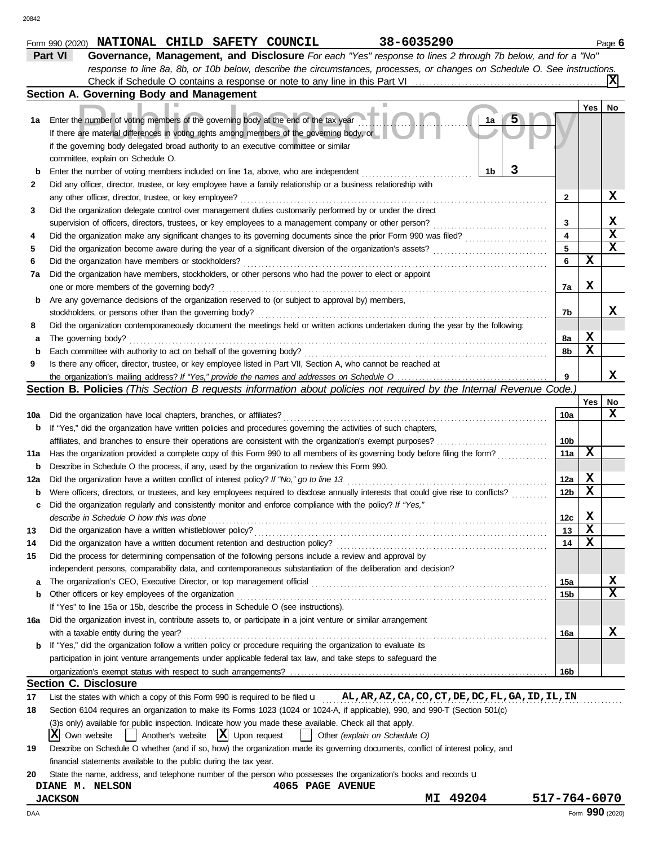|     | Check if Schedule O contains a response or note to any line in this Part VI                                                         |                 |                 | X           |
|-----|-------------------------------------------------------------------------------------------------------------------------------------|-----------------|-----------------|-------------|
|     | Section A. Governing Body and Management                                                                                            |                 |                 |             |
|     |                                                                                                                                     |                 | Yes             | No          |
| 1а  | 1a<br>Enter the number of voting members of the governing body at the end of the tax year                                           |                 |                 |             |
|     | If there are material differences in voting rights among members of the governing body, or                                          |                 |                 |             |
|     | if the governing body delegated broad authority to an executive committee or similar                                                |                 |                 |             |
|     | committee, explain on Schedule O.                                                                                                   |                 |                 |             |
| b   | 1b<br>Enter the number of voting members included on line 1a, above, who are independent                                            |                 |                 |             |
| 2   | Did any officer, director, trustee, or key employee have a family relationship or a business relationship with                      |                 |                 |             |
|     | any other officer, director, trustee, or key employee?                                                                              | 2               |                 | X           |
| 3   | Did the organization delegate control over management duties customarily performed by or under the direct                           |                 |                 |             |
|     | supervision of officers, directors, trustees, or key employees to a management company or other person?<br>.                        | 3               |                 | X           |
| 4   | Did the organization make any significant changes to its governing documents since the prior Form 990 was filed?                    | 4               |                 | $\mathbf x$ |
| 5   | Did the organization become aware during the year of a significant diversion of the organization's assets?                          | 5               |                 | X           |
| 6   | Did the organization have members or stockholders?                                                                                  | 6               | X               |             |
| 7a  | Did the organization have members, stockholders, or other persons who had the power to elect or appoint                             |                 |                 |             |
|     | one or more members of the governing body?                                                                                          | 7a              | X               |             |
| b   | Are any governance decisions of the organization reserved to (or subject to approval by) members,                                   |                 |                 |             |
|     | stockholders, or persons other than the governing body?                                                                             | 7b              |                 | x           |
| 8   | Did the organization contemporaneously document the meetings held or written actions undertaken during the year by the following:   |                 |                 |             |
| а   | The governing body?                                                                                                                 | 8а              | X               |             |
| b   | Each committee with authority to act on behalf of the governing body?                                                               | 8b              | X               |             |
| 9   | Is there any officer, director, trustee, or key employee listed in Part VII, Section A, who cannot be reached at                    |                 |                 |             |
|     |                                                                                                                                     |                 |                 | x           |
|     | <b>Section B. Policies</b> (This Section B requests information about policies not required by the Internal Revenue Code.)          |                 |                 |             |
|     |                                                                                                                                     |                 | Yes             | No          |
| 10a | Did the organization have local chapters, branches, or affiliates?                                                                  | 10a             |                 | x           |
| b   | If "Yes," did the organization have written policies and procedures governing the activities of such chapters,                      |                 |                 |             |
|     |                                                                                                                                     | 10b             |                 |             |
| 11a | Has the organization provided a complete copy of this Form 990 to all members of its governing body before filing the form?         | 11a             | X               |             |
| b   | Describe in Schedule O the process, if any, used by the organization to review this Form 990.                                       |                 |                 |             |
| 12a | Did the organization have a written conflict of interest policy? If "No," go to line 13                                             | 12a             | $\mathbf x$     |             |
| b   | Were officers, directors, or trustees, and key employees required to disclose annually interests that could give rise to conflicts? | 12 <sub>b</sub> | X               |             |
| c   | Did the organization regularly and consistently monitor and enforce compliance with the policy? If "Yes,"                           |                 |                 |             |
|     | describe in Schedule O how this was done                                                                                            | 12c             | X               |             |
| 13  | Did the organization have a written whistleblower policy?                                                                           | 13              | X               |             |
| 14  | Did the organization have a written document retention and destruction policy?                                                      | 14              | $\mathbf x$     |             |
|     | Did the process for determining compensation of the following persons include a review and approval by                              |                 |                 |             |
|     | independent persons, comparability data, and contemporaneous substantiation of the deliberation and decision?                       |                 |                 |             |
| a   | The organization's CEO, Executive Director, or top management official                                                              | 15a             |                 | X           |
| b   | Other officers or key employees of the organization                                                                                 | 15 <sub>b</sub> |                 | X           |
|     | If "Yes" to line 15a or 15b, describe the process in Schedule O (see instructions).                                                 |                 |                 |             |
| 16a | Did the organization invest in, contribute assets to, or participate in a joint venture or similar arrangement                      |                 |                 |             |
|     | with a taxable entity during the year?                                                                                              | 16a             |                 | x           |
| b   | If "Yes," did the organization follow a written policy or procedure requiring the organization to evaluate its                      |                 |                 |             |
|     | participation in joint venture arrangements under applicable federal tax law, and take steps to safeguard the                       |                 |                 |             |
|     |                                                                                                                                     | 16b             |                 |             |
|     | <b>Section C. Disclosure</b>                                                                                                        |                 |                 |             |
| 17  | List the states with which a copy of this Form 990 is required to be filed $u$ AL, AR, AZ, CA, CO, CT, DE, DC, FL, GA, ID, IL, IN   |                 |                 |             |
| 18  | Section 6104 requires an organization to make its Forms 1023 (1024 or 1024-A, if applicable), 990, and 990-T (Section 501(c)        |                 |                 |             |
|     | (3)s only) available for public inspection. Indicate how you made these available. Check all that apply.                            |                 |                 |             |
|     | Another's website $ \mathbf{X} $ Upon request<br>X Own website<br>Other (explain on Schedule O)                                     |                 |                 |             |
| 19  | Describe on Schedule O whether (and if so, how) the organization made its governing documents, conflict of interest policy, and     |                 |                 |             |
|     | financial statements available to the public during the tax year.                                                                   |                 |                 |             |
| 20  | State the name, address, and telephone number of the person who possesses the organization's books and records u                    |                 |                 |             |
|     | <b>4065 PAGE AVENUE</b><br>DIANE M. NELSON                                                                                          |                 |                 |             |
|     | 49204<br><b>JACKSON</b><br>MI                                                                                                       | 517-764-6070    |                 |             |
| DAA |                                                                                                                                     |                 | Form 990 (2020) |             |

Form 990 (2020) Page **6 NATIONAL CHILD SAFETY COUNCIL 38-6035290 Part VI Governance, Management, and Disclosure** *For each "Yes" response to lines 2 through 7b below, and for a "No"*

*response to line 8a, 8b, or 10b below, describe the circumstances, processes, or changes on Schedule O. See instructions.*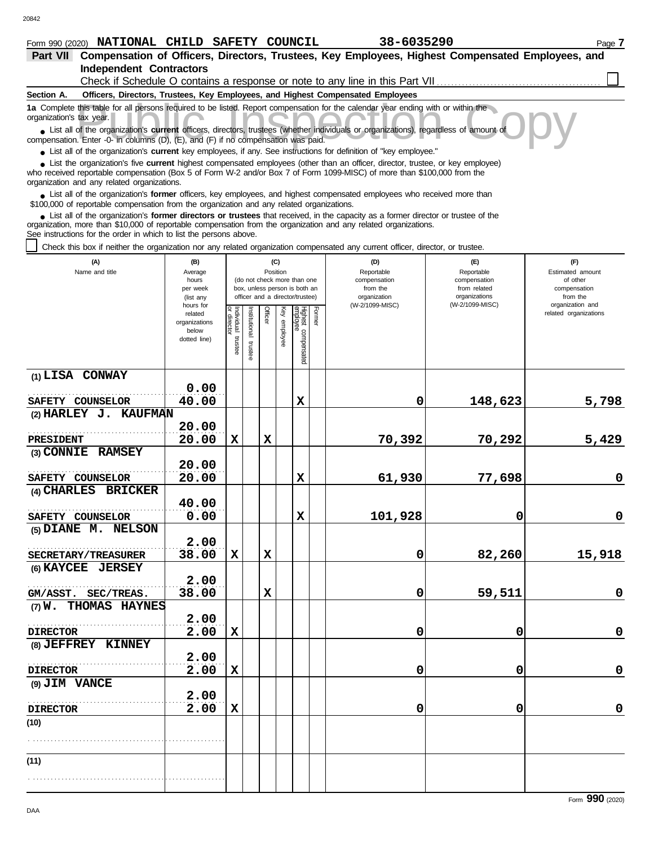## Form 990 (2020) Page **7 NATIONAL CHILD SAFETY COUNCIL 38-6035290**

| Part VII Compensation of Officers, Directors, Trustees, Key Employees, Highest Compensated Employees, and                                                                                                                                               |                          |                                |              |          |              |                                 |        |            |            |                       |  |  |  |
|---------------------------------------------------------------------------------------------------------------------------------------------------------------------------------------------------------------------------------------------------------|--------------------------|--------------------------------|--------------|----------|--------------|---------------------------------|--------|------------|------------|-----------------------|--|--|--|
| <b>Independent Contractors</b><br>Check if Schedule O contains a response or note to any line in this Part VII.                                                                                                                                         |                          |                                |              |          |              |                                 |        |            |            |                       |  |  |  |
| Officers, Directors, Trustees, Key Employees, and Highest Compensated Employees<br>Section A.                                                                                                                                                           |                          |                                |              |          |              |                                 |        |            |            |                       |  |  |  |
| 1a Complete this table for all persons required to be listed. Report compensation for the calendar year ending with or within the                                                                                                                       |                          |                                |              |          |              |                                 |        |            |            |                       |  |  |  |
| organization's tax year.<br>• List all of the organization's current officers, directors, trustees (whether individuals or organizations), regardless of amount of                                                                                      |                          |                                |              |          |              |                                 |        |            |            |                       |  |  |  |
| compensation. Enter -0- in columns (D), (E), and (F) if no compensation was paid.                                                                                                                                                                       |                          |                                |              |          |              |                                 |        |            |            |                       |  |  |  |
| • List all of the organization's current key employees, if any. See instructions for definition of "key employee."<br>List the organization's five current highest compensated employees (other than an officer, director, trustee, or key employee)    |                          |                                |              |          |              |                                 |        |            |            |                       |  |  |  |
| who received reportable compensation (Box 5 of Form W-2 and/or Box 7 of Form 1099-MISC) of more than \$100,000 from the<br>organization and any related organizations.                                                                                  |                          |                                |              |          |              |                                 |        |            |            |                       |  |  |  |
| • List all of the organization's former officers, key employees, and highest compensated employees who received more than<br>\$100,000 of reportable compensation from the organization and any related organizations.                                  |                          |                                |              |          |              |                                 |        |            |            |                       |  |  |  |
| • List all of the organization's former directors or trustees that received, in the capacity as a former director or trustee of the<br>organization, more than \$10,000 of reportable compensation from the organization and any related organizations. |                          |                                |              |          |              |                                 |        |            |            |                       |  |  |  |
| See instructions for the order in which to list the persons above.                                                                                                                                                                                      |                          |                                |              |          |              |                                 |        |            |            |                       |  |  |  |
| Check this box if neither the organization nor any related organization compensated any current officer, director, or trustee.                                                                                                                          |                          |                                |              |          |              |                                 |        |            |            |                       |  |  |  |
| (B)<br>(C)<br>(D)<br>(F)<br>(A)<br>(E)                                                                                                                                                                                                                  |                          |                                |              |          |              |                                 |        |            |            |                       |  |  |  |
| Name and title                                                                                                                                                                                                                                          | Average                  |                                |              | Position |              |                                 |        | Reportable | Reportable | Estimated amount      |  |  |  |
| compensation<br>(do not check more than one<br>compensation<br>of other<br>hours<br>box, unless person is both an<br>from the<br>from related<br>per week<br>compensation                                                                               |                          |                                |              |          |              |                                 |        |            |            |                       |  |  |  |
| organizations<br>officer and a director/trustee)<br>organization<br>from the<br>(list any<br>(W-2/1099-MISC)<br>organization and<br>hours for<br>(W-2/1099-MISC)                                                                                        |                          |                                |              |          |              |                                 |        |            |            |                       |  |  |  |
|                                                                                                                                                                                                                                                         | related<br>organizations | Individual trustee<br>director | nstitutional | Officer  | Key employee | Highest compensated<br>employee | Former |            |            | related organizations |  |  |  |
|                                                                                                                                                                                                                                                         | below                    |                                |              |          |              |                                 |        |            |            |                       |  |  |  |
|                                                                                                                                                                                                                                                         | dotted line)             |                                | trustee      |          |              |                                 |        |            |            |                       |  |  |  |
|                                                                                                                                                                                                                                                         |                          |                                |              |          |              |                                 |        |            |            |                       |  |  |  |
| (1) LISA CONWAY                                                                                                                                                                                                                                         |                          |                                |              |          |              |                                 |        |            |            |                       |  |  |  |
|                                                                                                                                                                                                                                                         | 0.00                     |                                |              |          |              |                                 |        |            |            |                       |  |  |  |
| SAFETY COUNSELOR<br>(2) HARLEY J. KAUFMAN                                                                                                                                                                                                               | 40.00                    |                                |              |          |              | X                               |        | 0          | 148,623    | 5,798                 |  |  |  |
|                                                                                                                                                                                                                                                         | 20.00                    |                                |              |          |              |                                 |        |            |            |                       |  |  |  |
| <b>PRESIDENT</b>                                                                                                                                                                                                                                        | 20.00                    | X                              |              | X        |              |                                 |        | 70,392     | 70,292     | 5,429                 |  |  |  |
| (3) CONNIE RAMSEY                                                                                                                                                                                                                                       |                          |                                |              |          |              |                                 |        |            |            |                       |  |  |  |
|                                                                                                                                                                                                                                                         | 20.00                    |                                |              |          |              |                                 |        |            |            |                       |  |  |  |
| SAFETY COUNSELOR                                                                                                                                                                                                                                        | 20.00                    |                                |              |          |              | X                               |        | 61,930     | 77,698     | 0                     |  |  |  |
| $(4)$ CHARLES<br><b>BRICKER</b>                                                                                                                                                                                                                         |                          |                                |              |          |              |                                 |        |            |            |                       |  |  |  |
|                                                                                                                                                                                                                                                         | 40.00                    |                                |              |          |              |                                 |        |            |            |                       |  |  |  |
| <b>SAFETY COUNSELOR</b><br>(5) DIANE M. NELSON                                                                                                                                                                                                          | 0.00                     |                                |              |          |              | X                               |        | 101,928    | 0          | 0                     |  |  |  |
|                                                                                                                                                                                                                                                         | 2.00                     |                                |              |          |              |                                 |        |            |            |                       |  |  |  |
| SECRETARY/TREASURER                                                                                                                                                                                                                                     | 38.00                    | X                              |              | X        |              |                                 |        | 0          | 82,260     | 15,918                |  |  |  |
| (6) KAYCEE JERSEY                                                                                                                                                                                                                                       |                          |                                |              |          |              |                                 |        |            |            |                       |  |  |  |
|                                                                                                                                                                                                                                                         | 2.00                     |                                |              |          |              |                                 |        |            |            |                       |  |  |  |
| GM/ASST. SEC/TREAS.                                                                                                                                                                                                                                     | 38.00                    |                                |              | X        |              |                                 |        | 0          | 59,511     | $\mathbf 0$           |  |  |  |
| (7) W. THOMAS HAYNES                                                                                                                                                                                                                                    | 2.00                     |                                |              |          |              |                                 |        |            |            |                       |  |  |  |
| <b>DIRECTOR</b>                                                                                                                                                                                                                                         | 2.00                     | х                              |              |          |              |                                 |        | 0          | 0          | $\mathbf 0$           |  |  |  |
| (8) JEFFREY KINNEY                                                                                                                                                                                                                                      |                          |                                |              |          |              |                                 |        |            |            |                       |  |  |  |
|                                                                                                                                                                                                                                                         | 2.00                     |                                |              |          |              |                                 |        |            |            |                       |  |  |  |
| <b>DIRECTOR</b>                                                                                                                                                                                                                                         | 2.00                     | X                              |              |          |              |                                 |        | 0          | 0          | $\mathbf 0$           |  |  |  |
| (9) JIM VANCE                                                                                                                                                                                                                                           |                          |                                |              |          |              |                                 |        |            |            |                       |  |  |  |
|                                                                                                                                                                                                                                                         | 2.00                     |                                |              |          |              |                                 |        |            |            |                       |  |  |  |
| <b>DIRECTOR</b>                                                                                                                                                                                                                                         | 2.00                     | $\mathbf x$                    |              |          |              |                                 |        | 0          | 0          | $\mathbf 0$           |  |  |  |
| (10)                                                                                                                                                                                                                                                    |                          |                                |              |          |              |                                 |        |            |            |                       |  |  |  |
|                                                                                                                                                                                                                                                         |                          |                                |              |          |              |                                 |        |            |            |                       |  |  |  |
| (11)                                                                                                                                                                                                                                                    |                          |                                |              |          |              |                                 |        |            |            |                       |  |  |  |
|                                                                                                                                                                                                                                                         |                          |                                |              |          |              |                                 |        |            |            |                       |  |  |  |
|                                                                                                                                                                                                                                                         |                          |                                |              |          |              |                                 |        |            |            |                       |  |  |  |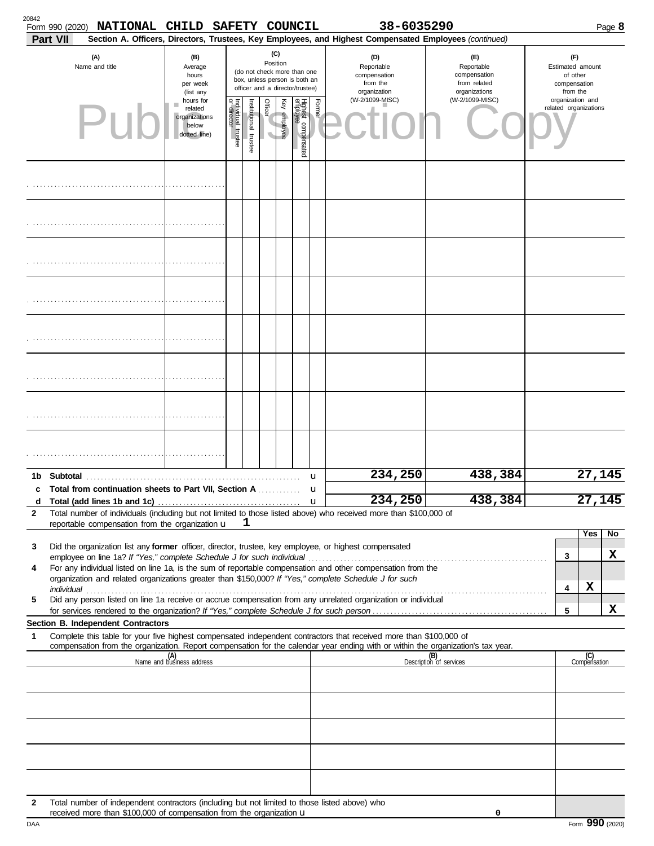| 20842                                                              | Form 990 (2020)<br>Part VII                                    | <b>NATIONAL</b>                                                                                                                                                       | <b>CHILD</b>                                     |  |                                                           | SAFETY COUNCIL                                                                                              |              |                                 |        | 38-6035290<br>Section A. Officers, Directors, Trustees, Key Employees, and Highest Compensated Employees (continued)                                                                                                                                   |                                                                    |                                                                 |                                           |        | Page 8 |
|--------------------------------------------------------------------|----------------------------------------------------------------|-----------------------------------------------------------------------------------------------------------------------------------------------------------------------|--------------------------------------------------|--|-----------------------------------------------------------|-------------------------------------------------------------------------------------------------------------|--------------|---------------------------------|--------|--------------------------------------------------------------------------------------------------------------------------------------------------------------------------------------------------------------------------------------------------------|--------------------------------------------------------------------|-----------------------------------------------------------------|-------------------------------------------|--------|--------|
|                                                                    |                                                                | (A)<br>Name and title                                                                                                                                                 | (B)<br>Average<br>hours<br>per week<br>(list any |  |                                                           | Position<br>(do not check more than one<br>box, unless person is both an<br>officer and a director/trustee) | (C)          |                                 |        | (D)<br>Reportable<br>compensation<br>from the<br>organization                                                                                                                                                                                          | (E)<br>Reportable<br>compensation<br>from related<br>organizations | (F)<br>Estimated amount<br>of other<br>compensation<br>from the |                                           |        |        |
|                                                                    | hours for<br>related<br>organizations<br>below<br>dotted line) |                                                                                                                                                                       |                                                  |  | Individual trustee<br>or director<br>nstitutional trustee | Officer                                                                                                     | Key employee | Highest compensated<br>employee | Former | (W-2/1099-MISC)                                                                                                                                                                                                                                        | (W-2/1099-MISC)                                                    |                                                                 | organization and<br>related organizations |        |        |
|                                                                    |                                                                |                                                                                                                                                                       |                                                  |  |                                                           |                                                                                                             |              |                                 |        |                                                                                                                                                                                                                                                        |                                                                    |                                                                 |                                           |        |        |
|                                                                    |                                                                |                                                                                                                                                                       |                                                  |  |                                                           |                                                                                                             |              |                                 |        |                                                                                                                                                                                                                                                        |                                                                    |                                                                 |                                           |        |        |
|                                                                    |                                                                |                                                                                                                                                                       |                                                  |  |                                                           |                                                                                                             |              |                                 |        |                                                                                                                                                                                                                                                        |                                                                    |                                                                 |                                           |        |        |
|                                                                    |                                                                |                                                                                                                                                                       |                                                  |  |                                                           |                                                                                                             |              |                                 |        |                                                                                                                                                                                                                                                        |                                                                    |                                                                 |                                           |        |        |
|                                                                    |                                                                |                                                                                                                                                                       |                                                  |  |                                                           |                                                                                                             |              |                                 |        |                                                                                                                                                                                                                                                        |                                                                    |                                                                 |                                           |        |        |
|                                                                    |                                                                |                                                                                                                                                                       |                                                  |  |                                                           |                                                                                                             |              |                                 |        |                                                                                                                                                                                                                                                        |                                                                    |                                                                 |                                           |        |        |
|                                                                    |                                                                |                                                                                                                                                                       |                                                  |  |                                                           |                                                                                                             |              |                                 |        |                                                                                                                                                                                                                                                        |                                                                    |                                                                 |                                           |        |        |
|                                                                    |                                                                |                                                                                                                                                                       |                                                  |  |                                                           |                                                                                                             |              |                                 |        |                                                                                                                                                                                                                                                        |                                                                    |                                                                 |                                           |        |        |
| 1b<br>c                                                            |                                                                | Total from continuation sheets to Part VII, Section A                                                                                                                 |                                                  |  |                                                           |                                                                                                             |              |                                 | u<br>u | 234,250                                                                                                                                                                                                                                                | 438,384                                                            |                                                                 |                                           | 27,145 |        |
| d                                                                  |                                                                |                                                                                                                                                                       |                                                  |  |                                                           |                                                                                                             |              |                                 |        | 234,250                                                                                                                                                                                                                                                | 438,384                                                            |                                                                 |                                           | 27,145 |        |
| $\overline{2}$                                                     |                                                                | reportable compensation from the organization u                                                                                                                       |                                                  |  | ı                                                         |                                                                                                             |              |                                 |        | Total number of individuals (including but not limited to those listed above) who received more than \$100,000 of                                                                                                                                      |                                                                    |                                                                 |                                           |        |        |
|                                                                    |                                                                |                                                                                                                                                                       |                                                  |  |                                                           |                                                                                                             |              |                                 |        |                                                                                                                                                                                                                                                        |                                                                    |                                                                 |                                           | Yes    | No     |
| 3                                                                  |                                                                |                                                                                                                                                                       |                                                  |  |                                                           |                                                                                                             |              |                                 |        | Did the organization list any former officer, director, trustee, key employee, or highest compensated                                                                                                                                                  |                                                                    |                                                                 | 3                                         |        | X      |
| 4                                                                  |                                                                |                                                                                                                                                                       |                                                  |  |                                                           |                                                                                                             |              |                                 |        | For any individual listed on line 1a, is the sum of reportable compensation and other compensation from the<br>organization and related organizations greater than \$150,000? If "Yes," complete Schedule J for such                                   |                                                                    |                                                                 |                                           |        |        |
|                                                                    |                                                                |                                                                                                                                                                       |                                                  |  |                                                           |                                                                                                             |              |                                 |        | Did any person listed on line 1a receive or accrue compensation from any unrelated organization or individual                                                                                                                                          |                                                                    |                                                                 | 4                                         | X      |        |
| 5                                                                  |                                                                |                                                                                                                                                                       |                                                  |  |                                                           |                                                                                                             |              |                                 |        |                                                                                                                                                                                                                                                        |                                                                    |                                                                 | 5                                         |        | x      |
|                                                                    |                                                                | Section B. Independent Contractors                                                                                                                                    |                                                  |  |                                                           |                                                                                                             |              |                                 |        |                                                                                                                                                                                                                                                        |                                                                    |                                                                 |                                           |        |        |
| 1                                                                  |                                                                |                                                                                                                                                                       |                                                  |  |                                                           |                                                                                                             |              |                                 |        | Complete this table for your five highest compensated independent contractors that received more than \$100,000 of<br>compensation from the organization. Report compensation for the calendar year ending with or within the organization's tax year. |                                                                    |                                                                 |                                           |        |        |
| (A)<br>Name and business address<br>(B)<br>Description of services |                                                                |                                                                                                                                                                       |                                                  |  |                                                           |                                                                                                             |              |                                 |        |                                                                                                                                                                                                                                                        |                                                                    | (C)<br>Compensation                                             |                                           |        |        |
|                                                                    |                                                                |                                                                                                                                                                       |                                                  |  |                                                           |                                                                                                             |              |                                 |        |                                                                                                                                                                                                                                                        |                                                                    |                                                                 |                                           |        |        |
|                                                                    |                                                                |                                                                                                                                                                       |                                                  |  |                                                           |                                                                                                             |              |                                 |        |                                                                                                                                                                                                                                                        |                                                                    |                                                                 |                                           |        |        |
|                                                                    |                                                                |                                                                                                                                                                       |                                                  |  |                                                           |                                                                                                             |              |                                 |        |                                                                                                                                                                                                                                                        |                                                                    |                                                                 |                                           |        |        |
|                                                                    |                                                                |                                                                                                                                                                       |                                                  |  |                                                           |                                                                                                             |              |                                 |        |                                                                                                                                                                                                                                                        |                                                                    |                                                                 |                                           |        |        |
|                                                                    |                                                                |                                                                                                                                                                       |                                                  |  |                                                           |                                                                                                             |              |                                 |        |                                                                                                                                                                                                                                                        |                                                                    |                                                                 |                                           |        |        |
| 2                                                                  |                                                                | Total number of independent contractors (including but not limited to those listed above) who<br>received more than \$100,000 of compensation from the organization u |                                                  |  |                                                           |                                                                                                             |              |                                 |        |                                                                                                                                                                                                                                                        | 0                                                                  |                                                                 |                                           |        |        |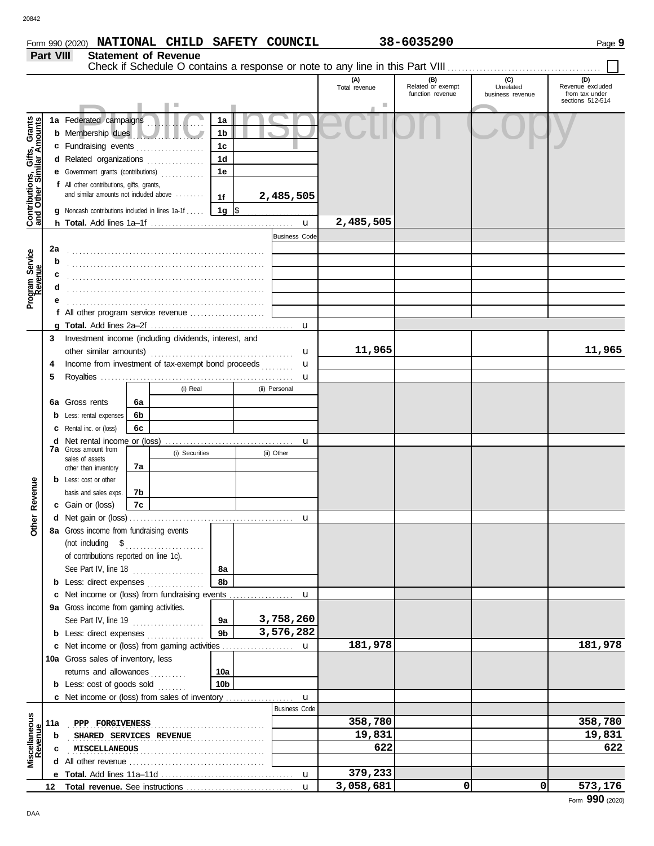**Part VIII Statement of Revenue**

|                                                                  |     |                                                                                                                                                                                                                                                                                                                                                                                                                                                                                                                             |    |                |                 |               |                      | Total revenue | (B)<br>Related or exempt | (C)<br>Unrelated | (D)<br>Revenue excluded            |
|------------------------------------------------------------------|-----|-----------------------------------------------------------------------------------------------------------------------------------------------------------------------------------------------------------------------------------------------------------------------------------------------------------------------------------------------------------------------------------------------------------------------------------------------------------------------------------------------------------------------------|----|----------------|-----------------|---------------|----------------------|---------------|--------------------------|------------------|------------------------------------|
|                                                                  |     |                                                                                                                                                                                                                                                                                                                                                                                                                                                                                                                             |    |                |                 |               |                      |               | function revenue         | business revenue | from tax under<br>sections 512-514 |
|                                                                  |     |                                                                                                                                                                                                                                                                                                                                                                                                                                                                                                                             |    |                |                 |               |                      |               |                          |                  |                                    |
|                                                                  |     | 1a Federated campaigns                                                                                                                                                                                                                                                                                                                                                                                                                                                                                                      |    |                | 1a              |               |                      |               |                          |                  |                                    |
|                                                                  |     | <b>b</b> Membership dues                                                                                                                                                                                                                                                                                                                                                                                                                                                                                                    |    |                | 1b              |               |                      |               |                          |                  |                                    |
|                                                                  |     | c Fundraising events                                                                                                                                                                                                                                                                                                                                                                                                                                                                                                        |    |                | 1c              |               |                      |               |                          |                  |                                    |
|                                                                  |     | d Related organizations                                                                                                                                                                                                                                                                                                                                                                                                                                                                                                     |    | .              | 1 <sub>d</sub>  |               |                      |               |                          |                  |                                    |
| <b>Contributions, Gifts, Grants</b><br>and Other Similar Amounts |     | <b>e</b> Government grants (contributions)                                                                                                                                                                                                                                                                                                                                                                                                                                                                                  |    | .              | 1e              |               |                      |               |                          |                  |                                    |
|                                                                  |     | f All other contributions, gifts, grants,                                                                                                                                                                                                                                                                                                                                                                                                                                                                                   |    |                |                 |               |                      |               |                          |                  |                                    |
|                                                                  |     | and similar amounts not included above                                                                                                                                                                                                                                                                                                                                                                                                                                                                                      |    |                | 1f              |               | 2,485,505            |               |                          |                  |                                    |
|                                                                  |     | Noncash contributions included in lines 1a-1f                                                                                                                                                                                                                                                                                                                                                                                                                                                                               |    |                | 1g  \$          |               |                      |               |                          |                  |                                    |
|                                                                  |     |                                                                                                                                                                                                                                                                                                                                                                                                                                                                                                                             |    |                |                 |               |                      | 2,485,505     |                          |                  |                                    |
|                                                                  |     |                                                                                                                                                                                                                                                                                                                                                                                                                                                                                                                             |    |                |                 |               | <b>Business Code</b> |               |                          |                  |                                    |
|                                                                  | 2a  |                                                                                                                                                                                                                                                                                                                                                                                                                                                                                                                             |    |                |                 |               |                      |               |                          |                  |                                    |
| Program Service<br>Revenue                                       | b   |                                                                                                                                                                                                                                                                                                                                                                                                                                                                                                                             |    |                |                 |               |                      |               |                          |                  |                                    |
|                                                                  | c   |                                                                                                                                                                                                                                                                                                                                                                                                                                                                                                                             |    |                |                 |               |                      |               |                          |                  |                                    |
|                                                                  | d   |                                                                                                                                                                                                                                                                                                                                                                                                                                                                                                                             |    |                |                 |               |                      |               |                          |                  |                                    |
|                                                                  |     |                                                                                                                                                                                                                                                                                                                                                                                                                                                                                                                             |    |                |                 |               |                      |               |                          |                  |                                    |
|                                                                  |     | f All other program service revenue                                                                                                                                                                                                                                                                                                                                                                                                                                                                                         |    |                |                 |               |                      |               |                          |                  |                                    |
|                                                                  |     |                                                                                                                                                                                                                                                                                                                                                                                                                                                                                                                             |    |                |                 |               |                      |               |                          |                  |                                    |
|                                                                  | 3   | Investment income (including dividends, interest, and                                                                                                                                                                                                                                                                                                                                                                                                                                                                       |    |                |                 |               |                      |               |                          |                  |                                    |
|                                                                  |     | other similar amounts)                                                                                                                                                                                                                                                                                                                                                                                                                                                                                                      |    |                |                 |               | u                    | 11,965        |                          |                  | 11,965                             |
|                                                                  | 4   | Income from investment of tax-exempt bond proceeds                                                                                                                                                                                                                                                                                                                                                                                                                                                                          |    |                |                 |               | u                    |               |                          |                  |                                    |
|                                                                  | 5   |                                                                                                                                                                                                                                                                                                                                                                                                                                                                                                                             |    |                |                 | u             |                      |               |                          |                  |                                    |
|                                                                  |     |                                                                                                                                                                                                                                                                                                                                                                                                                                                                                                                             |    | (i) Real       |                 | (ii) Personal |                      |               |                          |                  |                                    |
|                                                                  | 6а  | Gross rents                                                                                                                                                                                                                                                                                                                                                                                                                                                                                                                 | 6a |                |                 |               |                      |               |                          |                  |                                    |
|                                                                  |     | Less: rental expenses                                                                                                                                                                                                                                                                                                                                                                                                                                                                                                       | 6b |                |                 |               |                      |               |                          |                  |                                    |
|                                                                  |     | Rental inc. or (loss)                                                                                                                                                                                                                                                                                                                                                                                                                                                                                                       | 6c |                |                 |               |                      |               |                          |                  |                                    |
|                                                                  | d   | Net rental income or (loss)<br><b>7a</b> Gross amount from                                                                                                                                                                                                                                                                                                                                                                                                                                                                  |    |                |                 |               | u                    |               |                          |                  |                                    |
|                                                                  |     | sales of assets                                                                                                                                                                                                                                                                                                                                                                                                                                                                                                             |    | (i) Securities |                 | (ii) Other    |                      |               |                          |                  |                                    |
|                                                                  |     | other than inventory                                                                                                                                                                                                                                                                                                                                                                                                                                                                                                        | 7a |                |                 |               |                      |               |                          |                  |                                    |
|                                                                  |     | <b>b</b> Less: cost or other                                                                                                                                                                                                                                                                                                                                                                                                                                                                                                |    |                |                 |               |                      |               |                          |                  |                                    |
|                                                                  |     | basis and sales exps.                                                                                                                                                                                                                                                                                                                                                                                                                                                                                                       | 7b |                |                 |               |                      |               |                          |                  |                                    |
| Other Revenue                                                    |     | c Gain or (loss)                                                                                                                                                                                                                                                                                                                                                                                                                                                                                                            | 7c |                |                 |               |                      |               |                          |                  |                                    |
|                                                                  |     |                                                                                                                                                                                                                                                                                                                                                                                                                                                                                                                             |    |                |                 |               | u                    |               |                          |                  |                                    |
|                                                                  |     | 8a Gross income from fundraising events                                                                                                                                                                                                                                                                                                                                                                                                                                                                                     |    |                |                 |               |                      |               |                          |                  |                                    |
|                                                                  |     | $\begin{minipage}[c]{0.9\linewidth} (not including \quad $${\$}\quad \  \  \, \cdots \quad \  \  \, \cdots \quad \  \  \, \cdots \quad \  \  \, \cdots \quad \  \  \, \cdots \quad \  \  \, \cdots \quad \  \  \, \cdots \quad \  \  \, \cdots \quad \  \  \, \cdots \quad \  \  \, \cdots \quad \  \  \, \cdots \quad \  \, \cdots \quad \  \, \cdots \quad \  \, \cdots \quad \  \, \cdots \quad \  \, \cdots \quad \  \, \cdots \quad \  \, \cdots \quad \  \, \cdots \quad \$<br>of contributions reported on line 1c). |    |                |                 |               |                      |               |                          |                  |                                    |
|                                                                  |     | See Part IV, line 18                                                                                                                                                                                                                                                                                                                                                                                                                                                                                                        |    |                | 8а              |               |                      |               |                          |                  |                                    |
|                                                                  |     | <b>b</b> Less: direct expenses                                                                                                                                                                                                                                                                                                                                                                                                                                                                                              |    |                | 8b              |               |                      |               |                          |                  |                                    |
|                                                                  |     |                                                                                                                                                                                                                                                                                                                                                                                                                                                                                                                             |    |                |                 |               |                      |               |                          |                  |                                    |
|                                                                  |     | 9a Gross income from gaming activities.                                                                                                                                                                                                                                                                                                                                                                                                                                                                                     |    |                |                 |               |                      |               |                          |                  |                                    |
|                                                                  |     | See Part IV, line 19                                                                                                                                                                                                                                                                                                                                                                                                                                                                                                        |    |                | 9а              |               | 3,758,260            |               |                          |                  |                                    |
|                                                                  |     | <b>b</b> Less: direct expenses                                                                                                                                                                                                                                                                                                                                                                                                                                                                                              |    |                | 9 <sub>b</sub>  |               | 3,576,282            |               |                          |                  |                                    |
|                                                                  |     |                                                                                                                                                                                                                                                                                                                                                                                                                                                                                                                             |    |                |                 |               |                      | 181,978       |                          |                  | 181,978                            |
|                                                                  |     | 10a Gross sales of inventory, less                                                                                                                                                                                                                                                                                                                                                                                                                                                                                          |    |                |                 |               |                      |               |                          |                  |                                    |
|                                                                  |     | returns and allowances                                                                                                                                                                                                                                                                                                                                                                                                                                                                                                      |    |                | 10a             |               |                      |               |                          |                  |                                    |
|                                                                  |     | <b>b</b> Less: cost of goods sold                                                                                                                                                                                                                                                                                                                                                                                                                                                                                           |    | .              | 10 <sub>b</sub> |               |                      |               |                          |                  |                                    |
|                                                                  |     |                                                                                                                                                                                                                                                                                                                                                                                                                                                                                                                             |    |                |                 |               |                      |               |                          |                  |                                    |
|                                                                  |     |                                                                                                                                                                                                                                                                                                                                                                                                                                                                                                                             |    |                |                 |               | <b>Business Code</b> |               |                          |                  |                                    |
|                                                                  | 11a | PPP FORGIVENESS                                                                                                                                                                                                                                                                                                                                                                                                                                                                                                             |    |                |                 |               |                      | 358,780       |                          |                  | 358,780                            |
| Miscellaneous<br>Revenue                                         | b   | SHARED SERVICES REVENUE                                                                                                                                                                                                                                                                                                                                                                                                                                                                                                     |    |                |                 | .             |                      | 19,831        |                          |                  | 19,831                             |
|                                                                  | c   | MISCELLANEOUS                                                                                                                                                                                                                                                                                                                                                                                                                                                                                                               |    |                |                 |               |                      | 622           |                          |                  | 622                                |
|                                                                  |     |                                                                                                                                                                                                                                                                                                                                                                                                                                                                                                                             |    |                |                 |               |                      |               |                          |                  |                                    |
|                                                                  |     |                                                                                                                                                                                                                                                                                                                                                                                                                                                                                                                             |    |                |                 |               |                      | 379,233       |                          |                  |                                    |
|                                                                  | 12  |                                                                                                                                                                                                                                                                                                                                                                                                                                                                                                                             |    |                |                 |               | $\mathbf{u}$         | 3,058,681     | 0                        | $\overline{0}$   | 573,176                            |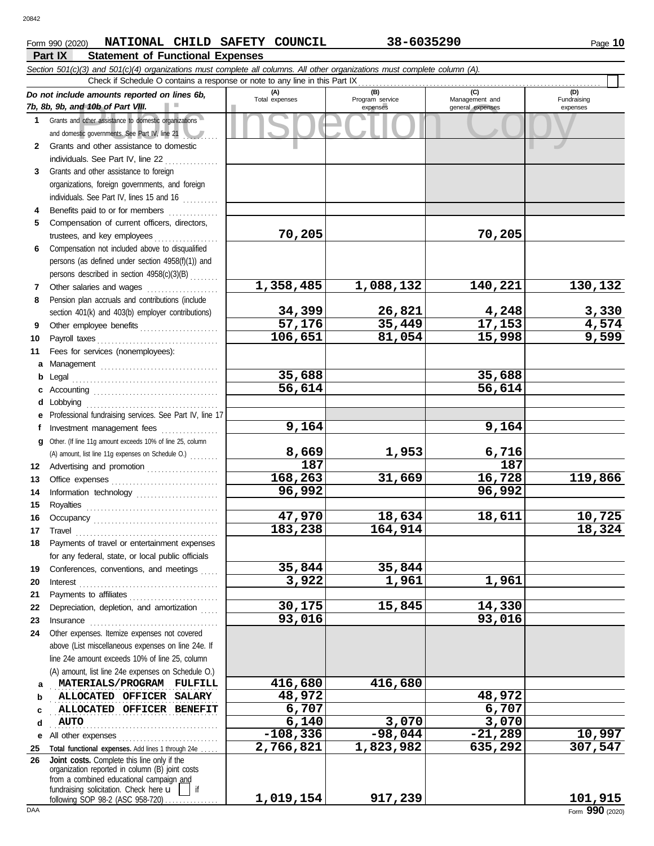### **Part IX Statement of Functional Expenses** Form 990 (2020) Page **10 NATIONAL CHILD SAFETY COUNCIL 38-6035290**

|              | Section 501(c)(3) and 501(c)(4) organizations must complete all columns. All other organizations must complete column (A).<br>Check if Schedule O contains a response or note to any line in this Part IX                           |                         |                             |                                    |                         |
|--------------|-------------------------------------------------------------------------------------------------------------------------------------------------------------------------------------------------------------------------------------|-------------------------|-----------------------------|------------------------------------|-------------------------|
|              | Do not include amounts reported on lines 6b,                                                                                                                                                                                        | (A)                     | (B)                         | (C)                                | (D)                     |
|              | 7b, 8b, 9b, and 10b of Part VIII.                                                                                                                                                                                                   | Total expenses          | Program service<br>expenses | Management and<br>general expenses | Fundraising<br>expenses |
|              | 1 Grants and other assistance to domestic organizations                                                                                                                                                                             |                         |                             |                                    |                         |
|              | and domestic governments. See Part IV, line 21                                                                                                                                                                                      |                         |                             |                                    |                         |
| $\mathbf{2}$ | Grants and other assistance to domestic                                                                                                                                                                                             |                         |                             |                                    |                         |
|              | individuals. See Part IV, line 22                                                                                                                                                                                                   |                         |                             |                                    |                         |
| 3            | Grants and other assistance to foreign                                                                                                                                                                                              |                         |                             |                                    |                         |
|              | organizations, foreign governments, and foreign                                                                                                                                                                                     |                         |                             |                                    |                         |
|              | individuals. See Part IV, lines 15 and 16                                                                                                                                                                                           |                         |                             |                                    |                         |
| 4            | Benefits paid to or for members                                                                                                                                                                                                     |                         |                             |                                    |                         |
| 5            | Compensation of current officers, directors,                                                                                                                                                                                        |                         |                             |                                    |                         |
|              | trustees, and key employees                                                                                                                                                                                                         | 70,205                  |                             | 70,205                             |                         |
| 6            | Compensation not included above to disqualified                                                                                                                                                                                     |                         |                             |                                    |                         |
|              | persons (as defined under section 4958(f)(1)) and                                                                                                                                                                                   |                         |                             |                                    |                         |
|              | persons described in section 4958(c)(3)(B)                                                                                                                                                                                          |                         |                             |                                    |                         |
| 7            | Other salaries and wages                                                                                                                                                                                                            | 1,358,485               | 1,088,132                   | 140,221                            | 130, 132                |
| 8            | Pension plan accruals and contributions (include                                                                                                                                                                                    |                         |                             |                                    |                         |
|              | section 401(k) and 403(b) employer contributions)                                                                                                                                                                                   | $\frac{34,399}{57,176}$ | 26,821                      | 4,248                              | $\frac{3,330}{4,574}$   |
| 9            | Other employee benefits                                                                                                                                                                                                             |                         | 35,449                      | 17,153                             |                         |
| 10           | Payroll taxes                                                                                                                                                                                                                       | 106,651                 | 81,054                      | 15,998                             | 9,599                   |
| 11           | Fees for services (nonemployees):                                                                                                                                                                                                   |                         |                             |                                    |                         |
| a            |                                                                                                                                                                                                                                     |                         |                             |                                    |                         |
| b            | Legal                                                                                                                                                                                                                               | 35,688                  |                             | 35,688                             |                         |
|              |                                                                                                                                                                                                                                     | 56,614                  |                             | 56,614                             |                         |
| d            | Lobbying                                                                                                                                                                                                                            |                         |                             |                                    |                         |
|              | Professional fundraising services. See Part IV, line 17                                                                                                                                                                             | 9,164                   |                             | 9,164                              |                         |
| f            | Investment management fees<br>.<br>Other. (If line 11g amount exceeds 10% of line 25, column                                                                                                                                        |                         |                             |                                    |                         |
| a            | (A) amount, list line 11g expenses on Schedule O.)                                                                                                                                                                                  | 8,669                   | 1,953                       | 6,716                              |                         |
| 12           | Advertising and promotion                                                                                                                                                                                                           | 187                     |                             | $\overline{187}$                   |                         |
| 13           |                                                                                                                                                                                                                                     | 168,263                 | 31,669                      | 16,728                             | 119,866                 |
| 14           | Information technology                                                                                                                                                                                                              | 96,992                  |                             | 96,992                             |                         |
| 15           |                                                                                                                                                                                                                                     |                         |                             |                                    |                         |
| 16           |                                                                                                                                                                                                                                     | 47,970                  | 18,634                      | 18,611                             | 10,725                  |
| 17           | $\begin{minipage}{0.5\textwidth} \centering \begin{tabular}{@{}c@{}} \textbf{True} & \textbf{True} \\ \textbf{True} & \textbf{True} \\ \textbf{True} & \textbf{True} \\ \end{tabular} \end{minipage}$                               | 183,238                 | 164,914                     |                                    | 18,324                  |
|              | Payments of travel or entertainment expenses                                                                                                                                                                                        |                         |                             |                                    |                         |
|              | for any federal, state, or local public officials                                                                                                                                                                                   |                         |                             |                                    |                         |
| 19           | Conferences, conventions, and meetings                                                                                                                                                                                              | 35,844                  | 35,844                      |                                    |                         |
| 20           | Interest                                                                                                                                                                                                                            | 3,922                   | 1,961                       | 1,961                              |                         |
| 21           | Payments to affiliates [11] results and the set of the set of the set of the set of the set of the set of the set of the set of the set of the set of the set of the set of the set of the set of the set of the set of the se      |                         |                             |                                    |                         |
| 22           | Depreciation, depletion, and amortization                                                                                                                                                                                           | 30,175                  | 15,845                      | 14,330                             |                         |
| 23           | Insurance <b>continuous</b> contains a series of the series of the series of the series of the series of the series of the series of the series of the series of the series of the series of the series of the series of the series | 93,016                  |                             | 93,016                             |                         |
| 24           | Other expenses. Itemize expenses not covered                                                                                                                                                                                        |                         |                             |                                    |                         |
|              | above (List miscellaneous expenses on line 24e. If                                                                                                                                                                                  |                         |                             |                                    |                         |
|              | line 24e amount exceeds 10% of line 25, column                                                                                                                                                                                      |                         |                             |                                    |                         |
|              | (A) amount, list line 24e expenses on Schedule O.)                                                                                                                                                                                  |                         |                             |                                    |                         |
| a            | MATERIALS/PROGRAM FULFILL                                                                                                                                                                                                           | 416,680                 | 416,680                     |                                    |                         |
| b            | ALLOCATED OFFICER SALARY                                                                                                                                                                                                            | 48,972                  |                             | 48,972                             |                         |
| c            | ALLOCATED OFFICER BENEFIT                                                                                                                                                                                                           | 6,707                   |                             | 6,707                              |                         |
| d            | <b>AUTO</b>                                                                                                                                                                                                                         | 6,140                   | 3,070                       | 3,070                              |                         |
| е            | All other expenses                                                                                                                                                                                                                  | $-108,336$<br>2,766,821 | $-98,044$                   | $-21,289$                          | 10,997<br>307,547       |
| 25<br>26     | Total functional expenses. Add lines 1 through 24e<br>Joint costs. Complete this line only if the                                                                                                                                   |                         | 1,823,982                   | 635,292                            |                         |
|              | organization reported in column (B) joint costs                                                                                                                                                                                     |                         |                             |                                    |                         |
|              | from a combined educational campaign and                                                                                                                                                                                            |                         |                             |                                    |                         |
|              | fundraising solicitation. Check here u<br>if<br>following SOP 98-2 (ASC 958-720)                                                                                                                                                    | 1,019,154               | 917,239                     |                                    | 101,915                 |
|              |                                                                                                                                                                                                                                     |                         |                             |                                    |                         |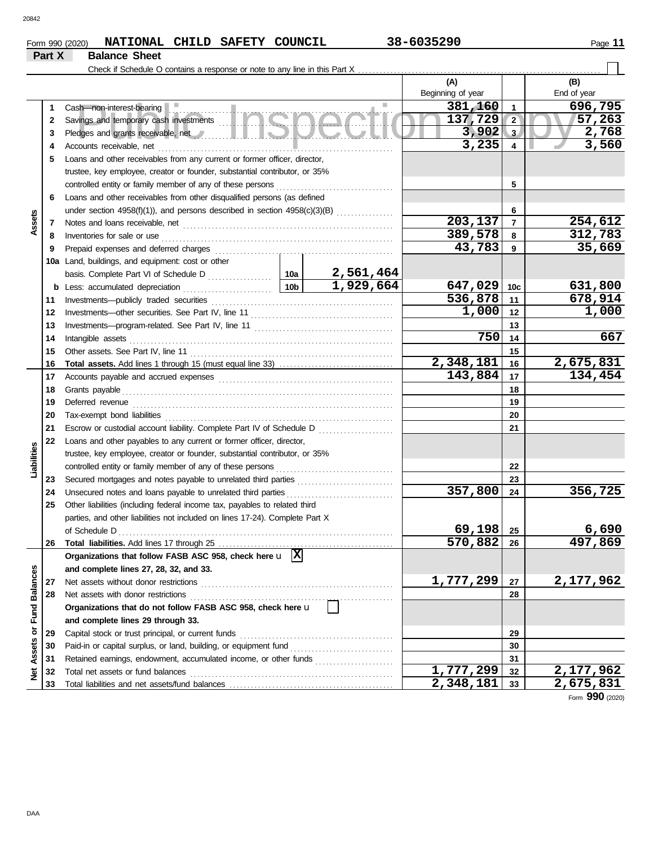**Part X Balance Sheet**

# Form 990 (2020) Page **11 NATIONAL CHILD SAFETY COUNCIL 38-6035290**

### Check if Schedule O contains a response or note to any line in this Part X **(A) (B)** Beginning of year | | End of year sh mon-interest-bearing<br>vings and temporary cash investments<br>counts receivable, net<br>counts receivable, net<br>3,235 4 **381,160 1 696,795**<br>**137,729 2 137,263** Cash—non-interest-bearing **1 1 137,729 57,263 2 2** Savings and temporary cash investments . . . . . . . . . . . . . . . . . . . . . . . . . . . . . . . . . . . . . . . . . . . . . . . . . **3,902 2,768 3 3** Pledges and grants receivable, net . . . . . . . . . . . . . . . . . . . . . . . . . . . . . . . . . . . . . . . . . . . . . . . . . . . . . . . . **3,235 3,560 4 4** Accounts receivable, net . . . . . . . . . . . . . . . . . . . . . . . . . . . . . . . . . . . . . . . . . . . . . . . . . . . . . . . . . . . . . . . . . . **5** Loans and other receivables from any current or former officer, director, trustee, key employee, creator or founder, substantial contributor, or 35% controlled entity or family member of any of these persons **5 6** Loans and other receivables from other disqualified persons (as defined **6** under section 4958(f)(1)), and persons described in section 4958(c)(3)(B) ................ **Assets 203,137 254,612 7 7** Notes and loans receivable, net . . . . . . . . . . . . . . . . . . . . . . . . . . . . . . . . . . . . . . . . . . . . . . . . . . . . . . . . . . . **389,578 312,783 8 8** Inventories for sale or use . . . . . . . . . . . . . . . . . . . . . . . . . . . . . . . . . . . . . . . . . . . . . . . . . . . . . . . . . . . . . . . . . **43,783 35,669** Prepaid expenses and deferred charges . . . . . . . . . . . . . . . . . . . . . . . . . . . . . . . . . . . . . . . . . . . . . . . . . . **9 9 10a** Land, buildings, and equipment: cost or other **2,561,464** basis. Complete Part VI of Schedule D .................. **10a 1,929,664 647,029 631,800 10c b** Less: accumulated depreciation . . . . . . . . . . . . . . . . . . . . . . . . . **10b 536,878 678,914** Investments—publicly traded securities . . . . . . . . . . . . . . . . . . . . . . . . . . . . . . . . . . . . . . . . . . . . . . . . . . . **11 11** Investments—other securities. See Part IV, line 11 . . . . . . . . . . . . . . . . . . . . . . . . . . . . . . . . . . . . . . . . **1,000 1,000 12 12 13 13** Investments—program-related. See Part IV, line 11 . . . . . . . . . . . . . . . . . . . . . . . . . . . . . . . . . . . . . . . **750 667 14** Intangible assets . . . . . . . . . . . . . . . . . . . . . . . . . . . . . . . . . . . . . . . . . . . . . . . . . . . . . . . . . . . . . . . . . . . . . . . . . . **14** Other assets. See Part IV, line 11 . . . . . . . . . . . . . . . . . . . . . . . . . . . . . . . . . . . . . . . . . . . . . . . . . . . . . . . . . **15 15 2,348,181 2,675,831 Total assets.** Add lines 1 through 15 (must equal line 33) . . . . . . . . . . . . . . . . . . . . . . . . . . . . . . . . **16 16 143,884 134,454 17** Accounts payable and accrued expenses . . . . . . . . . . . . . . . . . . . . . . . . . . . . . . . . . . . . . . . . . . . . . . . . . **17** Grants payable . . . . . . . . . . . . . . . . . . . . . . . . . . . . . . . . . . . . . . . . . . . . . . . . . . . . . . . . . . . . . . . . . . . . . . . . . . . . **18 18 19** Deferred revenue . . . . . . . . . . . . . . . . . . . . . . . . . . . . . . . . . . . . . . . . . . . . . . . . . . . . . . . . . . . . . . . . . . . . . . . . . **19** Tax-exempt bond liabilities . . . . . . . . . . . . . . . . . . . . . . . . . . . . . . . . . . . . . . . . . . . . . . . . . . . . . . . . . . . . . . . . **20 20 21** Escrow or custodial account liability. Complete Part IV of Schedule D . . . . . . . . . . . . . . . . . . . . . **21 22** Loans and other payables to any current or former officer, director, **Liabilities** trustee, key employee, creator or founder, substantial contributor, or 35% controlled entity or family member of any of these persons **22** Secured mortgages and notes payable to unrelated third parties ............................. **23 23 357,800 356,725 24** Unsecured notes and loans payable to unrelated third parties **24 25** Other liabilities (including federal income tax, payables to related third parties, and other liabilities not included on lines 17-24). Complete Part X **69,198 6,690** of Schedule D . . . . . . . . . . . . . . . . . . . . . . . . . . . . . . . . . . . . . . . . . . . . . . . . . . . . . . . . . . . . . . . . . . . . . . . . . . . . . **25 570,882 497,869 26 Total liabilities.** Add lines 17 through 25 . . . . . . . . . . . . . **26 Organizations that follow FASB ASC 958, check here** u **X and complete lines 27, 28, 32, and 33.** Net Assets or Fund Balances **Net Assets or Fund Balances 27** Net assets without donor restrictions . . . . . . . . . . . . . . . . . . . . . . . . . . . . . . . . . . . . . . . . . . . . . . . . . . . . . . **1,777,299 2,177,962 27** Net assets with donor restrictions . . . . . . . . . . . . . . . . . . . . . . . . . . . . . . . . . . . . . . . . . . . . . . . . . . . . . . . . . **28 28 Organizations that do not follow FASB ASC 958, check here** u **and complete lines 29 through 33.** Capital stock or trust principal, or current funds . . . . . . . . . . . . . . . . . . . . . . . . . . . . . . . . . . . . . . . . . . . **29 29** Paid-in or capital surplus, or land, building, or equipment fund .................................. **30 30 31** Retained earnings, endowment, accumulated income, or other funds . . . . . . . . . . . . . . . . . . . . . . **31** Total net assets or fund balances . . . . . . . . . . . . . . . . . . . . . . . . . . . . . . . . . . . . . . . . . . . . . . . . . . . . . . . . . **1,777,299 2,177,962 32 32 2,348,181 2,675,831 33** Total liabilities and net assets/fund balances ................................. **33**

Form **990** (2020)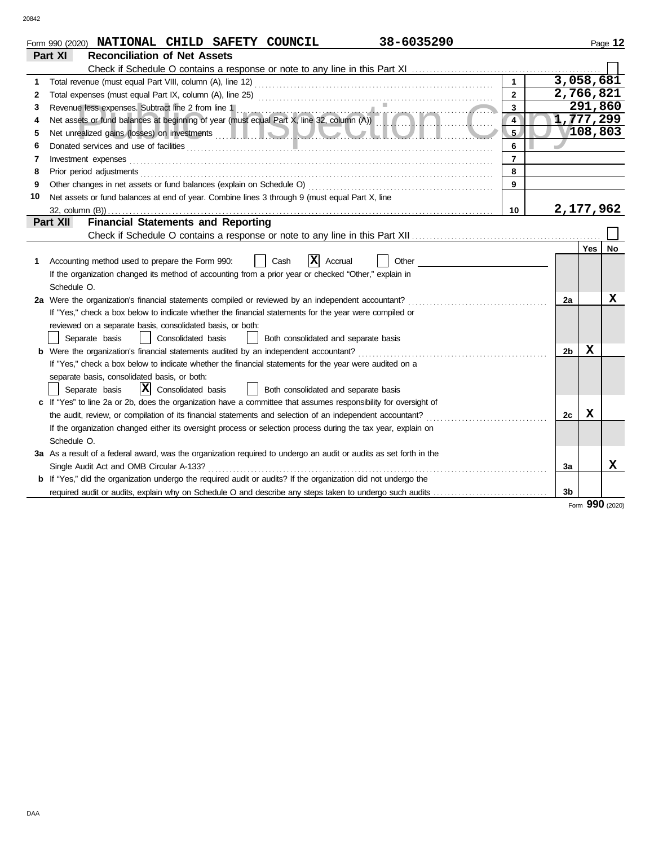| <b>Reconciliation of Net Assets</b><br>Part XI<br>Total revenue (must equal Part VIII, column (A), line 12)<br>1<br>$\overline{2}$<br>2<br>Revenue less expenses. Subtract line 2 from line 1<br>3<br>3<br>Revenue less expenses. Subtract line 2 from line 1<br>Net assets or fund balances at beginning of year (must equal Part X, line 32, column (A)) | 3,058,681<br>2,766,821<br>291,860<br>1,777,299<br>108,803 |           |
|------------------------------------------------------------------------------------------------------------------------------------------------------------------------------------------------------------------------------------------------------------------------------------------------------------------------------------------------------------|-----------------------------------------------------------|-----------|
|                                                                                                                                                                                                                                                                                                                                                            |                                                           |           |
|                                                                                                                                                                                                                                                                                                                                                            |                                                           |           |
|                                                                                                                                                                                                                                                                                                                                                            |                                                           |           |
|                                                                                                                                                                                                                                                                                                                                                            |                                                           |           |
|                                                                                                                                                                                                                                                                                                                                                            |                                                           |           |
| 4<br>4<br>. .                                                                                                                                                                                                                                                                                                                                              |                                                           |           |
| 5<br>5                                                                                                                                                                                                                                                                                                                                                     |                                                           |           |
| 6<br>6                                                                                                                                                                                                                                                                                                                                                     |                                                           |           |
| $\overline{7}$<br>Investment expenses<br>7                                                                                                                                                                                                                                                                                                                 |                                                           |           |
| 8<br>Prior period adjustments<br>8                                                                                                                                                                                                                                                                                                                         |                                                           |           |
| 9<br>9                                                                                                                                                                                                                                                                                                                                                     |                                                           |           |
| Net assets or fund balances at end of year. Combine lines 3 through 9 (must equal Part X, line<br>10                                                                                                                                                                                                                                                       |                                                           |           |
| 10                                                                                                                                                                                                                                                                                                                                                         | 2,177,962                                                 |           |
| <b>Financial Statements and Reporting</b><br>Part XII                                                                                                                                                                                                                                                                                                      |                                                           |           |
|                                                                                                                                                                                                                                                                                                                                                            |                                                           |           |
|                                                                                                                                                                                                                                                                                                                                                            | <b>Yes</b>                                                | <b>No</b> |
| ΙX<br>Accounting method used to prepare the Form 990:<br>Cash<br>Accrual<br>Other                                                                                                                                                                                                                                                                          |                                                           |           |
| If the organization changed its method of accounting from a prior year or checked "Other," explain in                                                                                                                                                                                                                                                      |                                                           |           |
| Schedule O.                                                                                                                                                                                                                                                                                                                                                |                                                           |           |
| 2a Were the organization's financial statements compiled or reviewed by an independent accountant?<br>2a                                                                                                                                                                                                                                                   |                                                           | х         |
| If "Yes," check a box below to indicate whether the financial statements for the year were compiled or                                                                                                                                                                                                                                                     |                                                           |           |
| reviewed on a separate basis, consolidated basis, or both:                                                                                                                                                                                                                                                                                                 |                                                           |           |
| Consolidated basis<br>Separate basis<br>Both consolidated and separate basis                                                                                                                                                                                                                                                                               |                                                           |           |
| <b>b</b> Were the organization's financial statements audited by an independent accountant?<br>2 <sub>b</sub>                                                                                                                                                                                                                                              | X                                                         |           |
| If "Yes," check a box below to indicate whether the financial statements for the year were audited on a                                                                                                                                                                                                                                                    |                                                           |           |
| separate basis, consolidated basis, or both:                                                                                                                                                                                                                                                                                                               |                                                           |           |
| $\vert x \vert$<br>Consolidated basis<br>Both consolidated and separate basis<br>Separate basis                                                                                                                                                                                                                                                            |                                                           |           |
| c If "Yes" to line 2a or 2b, does the organization have a committee that assumes responsibility for oversight of                                                                                                                                                                                                                                           |                                                           |           |
| the audit, review, or compilation of its financial statements and selection of an independent accountant?<br>2c                                                                                                                                                                                                                                            | x                                                         |           |
| If the organization changed either its oversight process or selection process during the tax year, explain on                                                                                                                                                                                                                                              |                                                           |           |
| Schedule O.                                                                                                                                                                                                                                                                                                                                                |                                                           |           |
| 3a As a result of a federal award, was the organization required to undergo an audit or audits as set forth in the                                                                                                                                                                                                                                         |                                                           | x         |
| Single Audit Act and OMB Circular A-133?<br>За                                                                                                                                                                                                                                                                                                             |                                                           |           |
| <b>b</b> If "Yes," did the organization undergo the required audit or audits? If the organization did not undergo the<br>3b                                                                                                                                                                                                                                |                                                           |           |
| required audit or audits, explain why on Schedule O and describe any steps taken to undergo such audits                                                                                                                                                                                                                                                    | Form 990 (2020)                                           |           |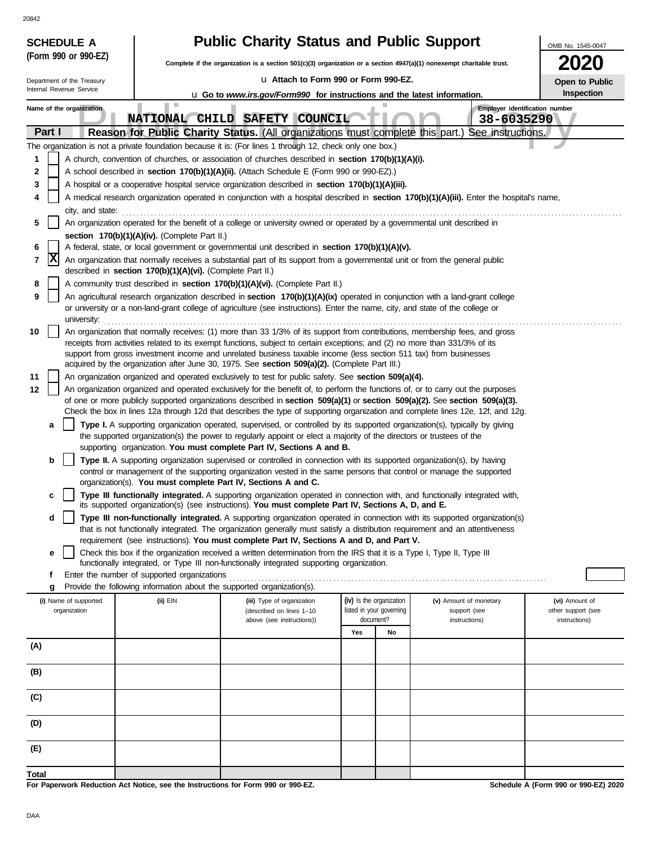| ٧<br>٠ |  |
|--------|--|

| <b>SCHEDULE A</b>          |                                                                        | <b>Public Charity Status and Public Support</b>                                                                                                                                                                                                                |                                       |  |                                | OMB No. 1545-0047                   |
|----------------------------|------------------------------------------------------------------------|----------------------------------------------------------------------------------------------------------------------------------------------------------------------------------------------------------------------------------------------------------------|---------------------------------------|--|--------------------------------|-------------------------------------|
| (Form 990 or 990-EZ)       |                                                                        | Complete if the organization is a section 501(c)(3) organization or a section 4947(a)(1) nonexempt charitable trust.                                                                                                                                           |                                       |  |                                |                                     |
| Department of the Treasury |                                                                        | u Attach to Form 990 or Form 990-EZ.                                                                                                                                                                                                                           |                                       |  |                                | Open to Public                      |
| Internal Revenue Service   |                                                                        | <b>u</b> Go to www.irs.gov/Form990 for instructions and the latest information.                                                                                                                                                                                |                                       |  |                                | Inspection                          |
| Name of the organization   | ш                                                                      |                                                                                                                                                                                                                                                                |                                       |  | Employer identification number |                                     |
| Part I                     | <b>NATIONAL</b>                                                        | CHILD SAFETY COUNCIL<br>Reason for Public Charity Status. (All organizations must complete this part.) See instructions.                                                                                                                                       |                                       |  | 38-6035290                     |                                     |
|                            |                                                                        | The organization is not a private foundation because it is: (For lines 1 through 12, check only one box.)                                                                                                                                                      |                                       |  |                                |                                     |
| 1                          |                                                                        | A church, convention of churches, or association of churches described in section 170(b)(1)(A)(i).                                                                                                                                                             |                                       |  |                                |                                     |
| 2                          |                                                                        | A school described in section 170(b)(1)(A)(ii). (Attach Schedule E (Form 990 or 990-EZ).)                                                                                                                                                                      |                                       |  |                                |                                     |
| 3                          |                                                                        | A hospital or a cooperative hospital service organization described in section 170(b)(1)(A)(iii).                                                                                                                                                              |                                       |  |                                |                                     |
| 4                          |                                                                        | A medical research organization operated in conjunction with a hospital described in section 170(b)(1)(A)(iii). Enter the hospital's name,                                                                                                                     |                                       |  |                                |                                     |
| city, and state:<br>5      |                                                                        | An organization operated for the benefit of a college or university owned or operated by a governmental unit described in                                                                                                                                      |                                       |  |                                |                                     |
|                            | section 170(b)(1)(A)(iv). (Complete Part II.)                          |                                                                                                                                                                                                                                                                |                                       |  |                                |                                     |
| 6                          |                                                                        | A federal, state, or local government or governmental unit described in section 170(b)(1)(A)(v).                                                                                                                                                               |                                       |  |                                |                                     |
| x <br>7                    |                                                                        | An organization that normally receives a substantial part of its support from a governmental unit or from the general public                                                                                                                                   |                                       |  |                                |                                     |
|                            | described in section 170(b)(1)(A)(vi). (Complete Part II.)             | A community trust described in section 170(b)(1)(A)(vi). (Complete Part II.)                                                                                                                                                                                   |                                       |  |                                |                                     |
| 8<br>9                     |                                                                        | An agricultural research organization described in section 170(b)(1)(A)(ix) operated in conjunction with a land-grant college                                                                                                                                  |                                       |  |                                |                                     |
| university:                |                                                                        | or university or a non-land-grant college of agriculture (see instructions). Enter the name, city, and state of the college or                                                                                                                                 |                                       |  |                                |                                     |
| 10                         |                                                                        | An organization that normally receives: (1) more than 33 1/3% of its support from contributions, membership fees, and gross                                                                                                                                    |                                       |  |                                |                                     |
|                            |                                                                        | receipts from activities related to its exempt functions, subject to certain exceptions; and (2) no more than 331/3% of its<br>support from gross investment income and unrelated business taxable income (less section 511 tax) from businesses               |                                       |  |                                |                                     |
|                            |                                                                        | acquired by the organization after June 30, 1975. See section 509(a)(2). (Complete Part III.)                                                                                                                                                                  |                                       |  |                                |                                     |
| 11                         |                                                                        | An organization organized and operated exclusively to test for public safety. See section 509(a)(4).                                                                                                                                                           |                                       |  |                                |                                     |
| 12                         |                                                                        | An organization organized and operated exclusively for the benefit of, to perform the functions of, or to carry out the purposes                                                                                                                               |                                       |  |                                |                                     |
|                            |                                                                        | of one or more publicly supported organizations described in section 509(a)(1) or section 509(a)(2). See section 509(a)(3).<br>Check the box in lines 12a through 12d that describes the type of supporting organization and complete lines 12e, 12f, and 12g. |                                       |  |                                |                                     |
| a                          |                                                                        | Type I. A supporting organization operated, supervised, or controlled by its supported organization(s), typically by giving                                                                                                                                    |                                       |  |                                |                                     |
|                            |                                                                        | the supported organization(s) the power to regularly appoint or elect a majority of the directors or trustees of the                                                                                                                                           |                                       |  |                                |                                     |
|                            |                                                                        | supporting organization. You must complete Part IV, Sections A and B.                                                                                                                                                                                          |                                       |  |                                |                                     |
| b                          |                                                                        | Type II. A supporting organization supervised or controlled in connection with its supported organization(s), by having<br>control or management of the supporting organization vested in the same persons that control or manage the supported                |                                       |  |                                |                                     |
|                            | organization(s). You must complete Part IV, Sections A and C.          |                                                                                                                                                                                                                                                                |                                       |  |                                |                                     |
| c                          |                                                                        | Type III functionally integrated. A supporting organization operated in connection with, and functionally integrated with,                                                                                                                                     |                                       |  |                                |                                     |
| d                          |                                                                        | its supported organization(s) (see instructions). You must complete Part IV, Sections A, D, and E.<br>Type III non-functionally integrated. A supporting organization operated in connection with its supported organization(s)                                |                                       |  |                                |                                     |
|                            |                                                                        | that is not functionally integrated. The organization generally must satisfy a distribution requirement and an attentiveness                                                                                                                                   |                                       |  |                                |                                     |
|                            |                                                                        | requirement (see instructions). You must complete Part IV, Sections A and D, and Part V.                                                                                                                                                                       |                                       |  |                                |                                     |
| е                          |                                                                        | Check this box if the organization received a written determination from the IRS that it is a Type I, Type II, Type III<br>functionally integrated, or Type III non-functionally integrated supporting organization.                                           |                                       |  |                                |                                     |
| f                          | Enter the number of supported organizations                            |                                                                                                                                                                                                                                                                |                                       |  |                                |                                     |
| g                          | Provide the following information about the supported organization(s). | .                                                                                                                                                                                                                                                              |                                       |  |                                |                                     |
| (i) Name of supported      | (ii) EIN                                                               | (iii) Type of organization                                                                                                                                                                                                                                     | (iv) Is the organization              |  | (v) Amount of monetary         | (vi) Amount of                      |
| organization               |                                                                        | (described on lines 1-10<br>above (see instructions))                                                                                                                                                                                                          | listed in your governing<br>document? |  | support (see<br>instructions)  | other support (see<br>instructions) |
|                            |                                                                        |                                                                                                                                                                                                                                                                | Yes<br>No                             |  |                                |                                     |
| (A)                        |                                                                        |                                                                                                                                                                                                                                                                |                                       |  |                                |                                     |
|                            |                                                                        |                                                                                                                                                                                                                                                                |                                       |  |                                |                                     |
| (B)                        |                                                                        |                                                                                                                                                                                                                                                                |                                       |  |                                |                                     |
| (C)                        |                                                                        |                                                                                                                                                                                                                                                                |                                       |  |                                |                                     |
| (D)                        |                                                                        |                                                                                                                                                                                                                                                                |                                       |  |                                |                                     |
|                            |                                                                        |                                                                                                                                                                                                                                                                |                                       |  |                                |                                     |
| (E)                        |                                                                        |                                                                                                                                                                                                                                                                |                                       |  |                                |                                     |
| <b>Total</b>               |                                                                        |                                                                                                                                                                                                                                                                |                                       |  |                                |                                     |

**For Paperwork Reduction Act Notice, see the Instructions for Form 990 or 990-EZ.**

**Schedule A (Form 990 or 990-EZ) 2020**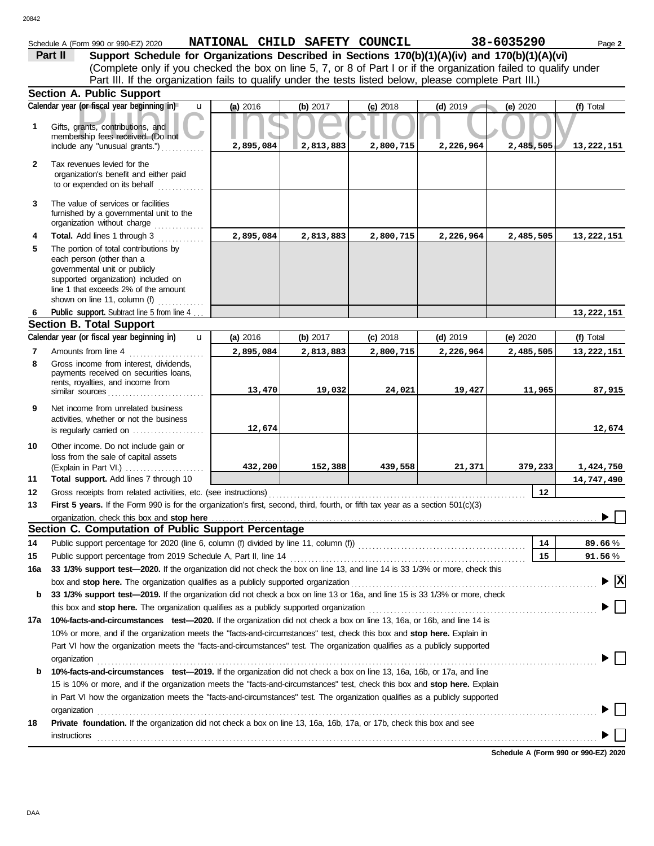| 0842         |                                                                                                                                                                                                                         |                               |           |            |            |            |                                          |
|--------------|-------------------------------------------------------------------------------------------------------------------------------------------------------------------------------------------------------------------------|-------------------------------|-----------|------------|------------|------------|------------------------------------------|
|              | Schedule A (Form 990 or 990-EZ) 2020                                                                                                                                                                                    | NATIONAL CHILD SAFETY COUNCIL |           |            |            | 38-6035290 | Page 2                                   |
|              | Support Schedule for Organizations Described in Sections 170(b)(1)(A)(iv) and 170(b)(1)(A)(vi)<br>Part II                                                                                                               |                               |           |            |            |            |                                          |
|              | (Complete only if you checked the box on line 5, 7, or 8 of Part I or if the organization failed to qualify under                                                                                                       |                               |           |            |            |            |                                          |
|              | Part III. If the organization fails to qualify under the tests listed below, please complete Part III.)                                                                                                                 |                               |           |            |            |            |                                          |
|              | <b>Section A. Public Support</b>                                                                                                                                                                                        |                               |           |            |            |            |                                          |
|              | Calendar year (or fiscal year beginning in)<br>$\mathbf{u}$                                                                                                                                                             | (a) 2016                      | (b) 2017  | $(c)$ 2018 | $(d)$ 2019 | (e) $2020$ | (f) Total                                |
| 1            | Gifts, grants, contributions, and<br>membership fees received. (Do not                                                                                                                                                  |                               |           |            |            |            |                                          |
|              | include any "unusual grants.")                                                                                                                                                                                          | 2,895,084                     | 2,813,883 | 2,800,715  | 2,226,964  | 2,485,505  | 13,222,151                               |
| $\mathbf{2}$ | Tax revenues levied for the<br>organization's benefit and either paid<br>to or expended on its behalf<br>.                                                                                                              |                               |           |            |            |            |                                          |
| 3            | The value of services or facilities<br>furnished by a governmental unit to the<br>organization without charge                                                                                                           |                               |           |            |            |            |                                          |
| 4            | Total. Add lines 1 through 3                                                                                                                                                                                            | 2,895,084                     | 2,813,883 | 2,800,715  | 2,226,964  | 2,485,505  | 13,222,151                               |
| 5            | The portion of total contributions by<br>each person (other than a<br>governmental unit or publicly<br>supported organization) included on<br>line 1 that exceeds 2% of the amount<br>shown on line 11, column (f)<br>. |                               |           |            |            |            |                                          |
| 6            | Public support. Subtract line 5 from line 4                                                                                                                                                                             |                               |           |            |            |            | 13,222,151                               |
|              | <b>Section B. Total Support</b>                                                                                                                                                                                         |                               |           |            |            |            |                                          |
|              | Calendar year (or fiscal year beginning in)<br>$\mathbf{u}$                                                                                                                                                             | (a) 2016                      | (b) 2017  | $(c)$ 2018 | $(d)$ 2019 | (e) $2020$ | (f) Total                                |
| 7            | Amounts from line 4                                                                                                                                                                                                     | 2,895,084                     | 2,813,883 | 2,800,715  | 2,226,964  | 2,485,505  | 13,222,151                               |
| 8            | Gross income from interest, dividends,<br>payments received on securities loans,<br>rents, royalties, and income from<br>similar sources                                                                                | 13,470                        | 19,032    | 24,021     | 19,427     | 11,965     | 87,915                                   |
| 9            | Net income from unrelated business<br>activities, whether or not the business                                                                                                                                           |                               |           |            |            |            |                                          |
|              | is regularly carried on <i></i>                                                                                                                                                                                         | 12,674                        |           |            |            |            | 12,674                                   |
| 10           | Other income. Do not include gain or<br>loss from the sale of capital assets<br>(Explain in Part VI.)                                                                                                                   | 432,200                       | 152,388   | 439,558    | 21,371     | 379,233    | 1,424,750                                |
| 11           | Total support. Add lines 7 through 10                                                                                                                                                                                   |                               |           |            |            |            | 14,747,490                               |
| 12           | Gross receipts from related activities, etc. (see instructions)                                                                                                                                                         |                               |           |            |            | 12         |                                          |
| 13           | First 5 years. If the Form 990 is for the organization's first, second, third, fourth, or fifth tax year as a section 501(c)(3)                                                                                         |                               |           |            |            |            |                                          |
|              |                                                                                                                                                                                                                         |                               |           |            |            |            | ▶                                        |
|              | Section C. Computation of Public Support Percentage                                                                                                                                                                     |                               |           |            |            |            |                                          |
| 14           |                                                                                                                                                                                                                         |                               |           |            |            | 14         | 89.66%                                   |
| 15           | Public support percentage from 2019 Schedule A, Part II, line 14                                                                                                                                                        |                               |           |            |            | 15         | $91.56\,\%$                              |
| 16a          | 33 1/3% support test-2020. If the organization did not check the box on line 13, and line 14 is 33 1/3% or more, check this                                                                                             |                               |           |            |            |            |                                          |
|              | box and stop here. The organization qualifies as a publicly supported organization <b>construes and stop here.</b> The organization                                                                                     |                               |           |            |            |            | $\blacktriangleright$ $\boxed{\text{X}}$ |
| b            | 33 1/3% support test-2019. If the organization did not check a box on line 13 or 16a, and line 15 is 33 1/3% or more, check                                                                                             |                               |           |            |            |            |                                          |
|              | this box and stop here. The organization qualifies as a publicly supported organization                                                                                                                                 |                               |           |            |            |            |                                          |
| 17a          | 10%-facts-and-circumstances test-2020. If the organization did not check a box on line 13, 16a, or 16b, and line 14 is                                                                                                  |                               |           |            |            |            |                                          |
|              | 10% or more, and if the organization meets the "facts-and-circumstances" test, check this box and stop here. Explain in                                                                                                 |                               |           |            |            |            |                                          |
|              | Part VI how the organization meets the "facts-and-circumstances" test. The organization qualifies as a publicly supported<br>organization                                                                               |                               |           |            |            |            |                                          |
| b            | 10%-facts-and-circumstances test-2019. If the organization did not check a box on line 13, 16a, 16b, or 17a, and line                                                                                                   |                               |           |            |            |            |                                          |
|              | 15 is 10% or more, and if the organization meets the "facts-and-circumstances" test, check this box and stop here. Explain                                                                                              |                               |           |            |            |            |                                          |
|              | in Part VI how the organization meets the "facts-and-circumstances" test. The organization qualifies as a publicly supported                                                                                            |                               |           |            |            |            |                                          |
|              | organization                                                                                                                                                                                                            |                               |           |            |            |            |                                          |
| 18           | Private foundation. If the organization did not check a box on line 13, 16a, 16b, 17a, or 17b, check this box and see                                                                                                   |                               |           |            |            |            |                                          |
|              |                                                                                                                                                                                                                         |                               |           |            |            |            |                                          |

**Schedule A (Form 990 or 990-EZ) 2020**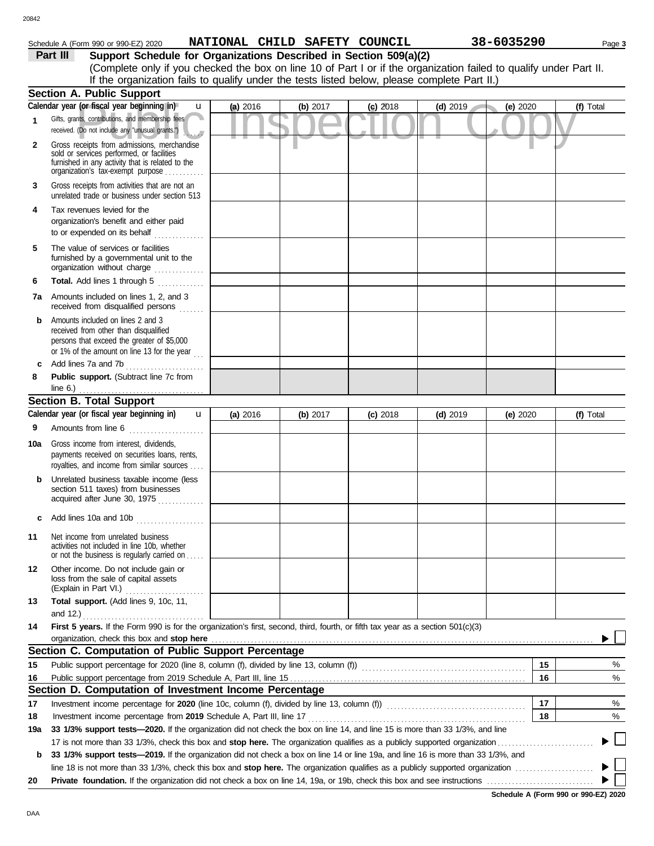# Schedule A (Form 990 or 990-EZ) 2020 Page **3 NATIONAL CHILD SAFETY COUNCIL 38-6035290**

| Part III | Support Schedule for Organizations Described in Section 509(a)(2)                                                  |
|----------|--------------------------------------------------------------------------------------------------------------------|
|          | (Complete only if you checked the box on line 10 of Part I or if the organization failed to qualify under Part II. |
|          | If the organization fails to qualify under the tests listed below, please complete Part II.)                       |
|          | ection A. Public Support                                                                                           |

|     | <b>Section A. Public Support</b>                                                                                                                                                  |          |            |            |            |            |           |
|-----|-----------------------------------------------------------------------------------------------------------------------------------------------------------------------------------|----------|------------|------------|------------|------------|-----------|
|     | Calendar year (or fiscal year beginning in)<br>$\mathbf{u}$                                                                                                                       | (a) 2016 | (b) $2017$ | $(c)$ 2018 | $(d)$ 2019 | (e) 2020   | (f) Total |
| 1   | Gifts, grants, contributions, and membership fees<br>received. (Do not include any "unusual grants.")                                                                             |          |            |            |            |            |           |
| 2   | Gross receipts from admissions, merchandise<br>sold or services performed, or facilities<br>furnished in any activity that is related to the<br>organization's tax-exempt purpose |          |            |            |            |            |           |
| 3   | Gross receipts from activities that are not an<br>unrelated trade or business under section 513                                                                                   |          |            |            |            |            |           |
| 4   | Tax revenues levied for the<br>organization's benefit and either paid<br>to or expended on its behalf                                                                             |          |            |            |            |            |           |
| 5   | The value of services or facilities<br>furnished by a governmental unit to the<br>organization without charge                                                                     |          |            |            |            |            |           |
| 6   | Total. Add lines 1 through 5                                                                                                                                                      |          |            |            |            |            |           |
| 7a  | Amounts included on lines 1, 2, and 3<br>received from disqualified persons                                                                                                       |          |            |            |            |            |           |
| b   | Amounts included on lines 2 and 3<br>received from other than disqualified<br>persons that exceed the greater of \$5,000<br>or 1% of the amount on line 13 for the year           |          |            |            |            |            |           |
| c   | Add lines 7a and 7b                                                                                                                                                               |          |            |            |            |            |           |
| 8   | Public support. (Subtract line 7c from<br>line $6.$ )                                                                                                                             |          |            |            |            |            |           |
|     | <b>Section B. Total Support</b>                                                                                                                                                   |          |            |            |            |            |           |
|     | Calendar year (or fiscal year beginning in)<br>$\mathbf{u}$                                                                                                                       | (a) 2016 | (b) 2017   | $(c)$ 2018 | $(d)$ 2019 | (e) $2020$ | (f) Total |
| 9   | Amounts from line 6                                                                                                                                                               |          |            |            |            |            |           |
| 10a | Gross income from interest, dividends,<br>payments received on securities loans, rents,<br>royalties, and income from similar sources                                             |          |            |            |            |            |           |
| b   | Unrelated business taxable income (less<br>section 511 taxes) from businesses<br>acquired after June 30, 1975                                                                     |          |            |            |            |            |           |
| c   | Add lines 10a and 10b                                                                                                                                                             |          |            |            |            |            |           |
| 11  | Net income from unrelated business<br>activities not included in line 10b, whether<br>or not the business is regularly carried on                                                 |          |            |            |            |            |           |
| 12  | Other income. Do not include gain or<br>loss from the sale of capital assets<br>(Explain in Part VI.)                                                                             |          |            |            |            |            |           |
| 13  | Total support. (Add lines 9, 10c, 11,                                                                                                                                             |          |            |            |            |            |           |
|     | and 12.)                                                                                                                                                                          |          |            |            |            |            |           |
| 14  | First 5 years. If the Form 990 is for the organization's first, second, third, fourth, or fifth tax year as a section 501(c)(3)                                                   |          |            |            |            |            |           |
|     | organization, check this box and stop here<br>Section C. Computation of Public Support Percentage                                                                                 |          |            |            |            |            |           |
|     |                                                                                                                                                                                   |          |            |            |            | 15         |           |
| 15  | Public support percentage for 2020 (line 8, column (f), divided by line 13, column (f)) [[[[[[[[[[[[[[[[[[[[[                                                                     |          |            |            |            | 16         | %<br>%    |
| 16  | Section D. Computation of Investment Income Percentage                                                                                                                            |          |            |            |            |            |           |
| 17  |                                                                                                                                                                                   |          |            |            |            | 17         | %         |
| 18  |                                                                                                                                                                                   |          |            |            |            | 18         | %         |
| 19a | 33 1/3% support tests-2020. If the organization did not check the box on line 14, and line 15 is more than 33 1/3%, and line                                                      |          |            |            |            |            |           |
|     |                                                                                                                                                                                   |          |            |            |            |            |           |
| b   | 33 1/3% support tests-2019. If the organization did not check a box on line 14 or line 19a, and line 16 is more than 33 1/3%, and                                                 |          |            |            |            |            |           |
|     |                                                                                                                                                                                   |          |            |            |            |            |           |
| 20  | <b>Private foundation.</b> If the organization did not check a box on line 14, 19a, or 19b, check this box and see instructions <i>mummmmmmmm</i>                                 |          |            |            |            |            |           |
|     |                                                                                                                                                                                   |          |            |            |            |            |           |

**Schedule A (Form 990 or 990-EZ) 2020**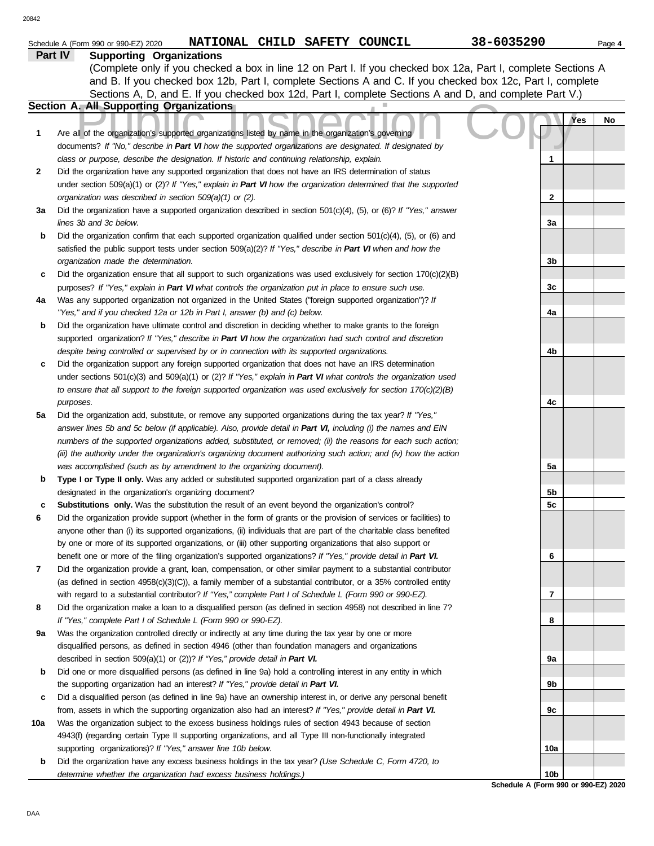|              | NATIONAL CHILD SAFETY COUNCIL<br>Schedule A (Form 990 or 990-EZ) 2020                                                                                                                                                              | 38-6035290                           | Page 4    |
|--------------|------------------------------------------------------------------------------------------------------------------------------------------------------------------------------------------------------------------------------------|--------------------------------------|-----------|
|              | Part IV<br><b>Supporting Organizations</b>                                                                                                                                                                                         |                                      |           |
|              | (Complete only if you checked a box in line 12 on Part I. If you checked box 12a, Part I, complete Sections A                                                                                                                      |                                      |           |
|              | and B. If you checked box 12b, Part I, complete Sections A and C. If you checked box 12c, Part I, complete                                                                                                                         |                                      |           |
|              | Sections A, D, and E. If you checked box 12d, Part I, complete Sections A and D, and complete Part V.)                                                                                                                             |                                      |           |
|              | Section A. All Supporting Organizations                                                                                                                                                                                            |                                      |           |
| 1            | Are all of the organization's supported organizations listed by name in the organization's governing                                                                                                                               |                                      | Yes<br>No |
|              | documents? If "No," describe in Part VI how the supported organizations are designated. If designated by                                                                                                                           |                                      |           |
|              | class or purpose, describe the designation. If historic and continuing relationship, explain.                                                                                                                                      | 1                                    |           |
| $\mathbf{2}$ | Did the organization have any supported organization that does not have an IRS determination of status                                                                                                                             |                                      |           |
|              | under section 509(a)(1) or (2)? If "Yes," explain in Part VI how the organization determined that the supported                                                                                                                    |                                      |           |
|              | organization was described in section 509(a)(1) or (2).                                                                                                                                                                            | $\mathbf{2}$                         |           |
| За           | Did the organization have a supported organization described in section $501(c)(4)$ , (5), or (6)? If "Yes," answer                                                                                                                |                                      |           |
|              | lines 3b and 3c below.                                                                                                                                                                                                             | За                                   |           |
| b            | Did the organization confirm that each supported organization qualified under section $501(c)(4)$ , (5), or (6) and                                                                                                                |                                      |           |
|              | satisfied the public support tests under section $509(a)(2)?$ If "Yes," describe in Part VI when and how the                                                                                                                       |                                      |           |
|              | organization made the determination.                                                                                                                                                                                               | 3b                                   |           |
| c            | Did the organization ensure that all support to such organizations was used exclusively for section $170(c)(2)(B)$                                                                                                                 |                                      |           |
|              | purposes? If "Yes," explain in Part VI what controls the organization put in place to ensure such use.                                                                                                                             | 3c                                   |           |
| 4a           | Was any supported organization not organized in the United States ("foreign supported organization")? If                                                                                                                           |                                      |           |
|              | "Yes," and if you checked 12a or 12b in Part I, answer (b) and (c) below.                                                                                                                                                          | 4a                                   |           |
| b            | Did the organization have ultimate control and discretion in deciding whether to make grants to the foreign                                                                                                                        |                                      |           |
|              | supported organization? If "Yes," describe in Part VI how the organization had such control and discretion<br>despite being controlled or supervised by or in connection with its supported organizations.                         | 4b                                   |           |
| c            | Did the organization support any foreign supported organization that does not have an IRS determination                                                                                                                            |                                      |           |
|              | under sections $501(c)(3)$ and $509(a)(1)$ or (2)? If "Yes," explain in Part VI what controls the organization used                                                                                                                |                                      |           |
|              | to ensure that all support to the foreign supported organization was used exclusively for section $170(c)(2)(B)$                                                                                                                   |                                      |           |
|              | purposes.                                                                                                                                                                                                                          | 4c                                   |           |
| 5a           | Did the organization add, substitute, or remove any supported organizations during the tax year? If "Yes,"                                                                                                                         |                                      |           |
|              | answer lines 5b and 5c below (if applicable). Also, provide detail in Part VI, including (i) the names and EIN                                                                                                                     |                                      |           |
|              | numbers of the supported organizations added, substituted, or removed; (ii) the reasons for each such action;                                                                                                                      |                                      |           |
|              | (iii) the authority under the organization's organizing document authorizing such action; and (iv) how the action                                                                                                                  |                                      |           |
|              | was accomplished (such as by amendment to the organizing document).                                                                                                                                                                | 5a                                   |           |
| b            | Type I or Type II only. Was any added or substituted supported organization part of a class already                                                                                                                                |                                      |           |
|              | designated in the organization's organizing document?                                                                                                                                                                              | 5b                                   |           |
| c            | Substitutions only. Was the substitution the result of an event beyond the organization's control?                                                                                                                                 | 5c                                   |           |
| 6            | Did the organization provide support (whether in the form of grants or the provision of services or facilities) to                                                                                                                 |                                      |           |
|              | anyone other than (i) its supported organizations, (ii) individuals that are part of the charitable class benefited<br>by one or more of its supported organizations, or (iii) other supporting organizations that also support or |                                      |           |
|              | benefit one or more of the filing organization's supported organizations? If "Yes," provide detail in Part VI.                                                                                                                     | 6                                    |           |
| 7            | Did the organization provide a grant, loan, compensation, or other similar payment to a substantial contributor                                                                                                                    |                                      |           |
|              | (as defined in section $4958(c)(3)(C)$ ), a family member of a substantial contributor, or a 35% controlled entity                                                                                                                 |                                      |           |
|              | with regard to a substantial contributor? If "Yes," complete Part I of Schedule L (Form 990 or 990-EZ).                                                                                                                            | 7                                    |           |
| 8            | Did the organization make a loan to a disqualified person (as defined in section 4958) not described in line 7?                                                                                                                    |                                      |           |
|              | If "Yes," complete Part I of Schedule L (Form 990 or 990-EZ).                                                                                                                                                                      | 8                                    |           |
| 9а           | Was the organization controlled directly or indirectly at any time during the tax year by one or more                                                                                                                              |                                      |           |
|              | disqualified persons, as defined in section 4946 (other than foundation managers and organizations                                                                                                                                 |                                      |           |
|              | described in section 509(a)(1) or (2))? If "Yes," provide detail in Part VI.                                                                                                                                                       | 9а                                   |           |
| b            | Did one or more disqualified persons (as defined in line 9a) hold a controlling interest in any entity in which                                                                                                                    |                                      |           |
|              | the supporting organization had an interest? If "Yes," provide detail in Part VI.                                                                                                                                                  | 9b                                   |           |
| c            | Did a disqualified person (as defined in line 9a) have an ownership interest in, or derive any personal benefit                                                                                                                    |                                      |           |
|              | from, assets in which the supporting organization also had an interest? If "Yes," provide detail in Part VI.                                                                                                                       | 9с                                   |           |
| 10a          | Was the organization subject to the excess business holdings rules of section 4943 because of section<br>4943(f) (regarding certain Type II supporting organizations, and all Type III non-functionally integrated                 |                                      |           |
|              | supporting organizations)? If "Yes," answer line 10b below.                                                                                                                                                                        | 10a                                  |           |
| b            | Did the organization have any excess business holdings in the tax year? (Use Schedule C, Form 4720, to                                                                                                                             |                                      |           |
|              | determine whether the organization had excess business holdings.)                                                                                                                                                                  | 10b                                  |           |
|              |                                                                                                                                                                                                                                    | Schedule A (Form 990 or 990-F7) 2020 |           |

**Schedule A (Form 990 or 990-EZ) 2020**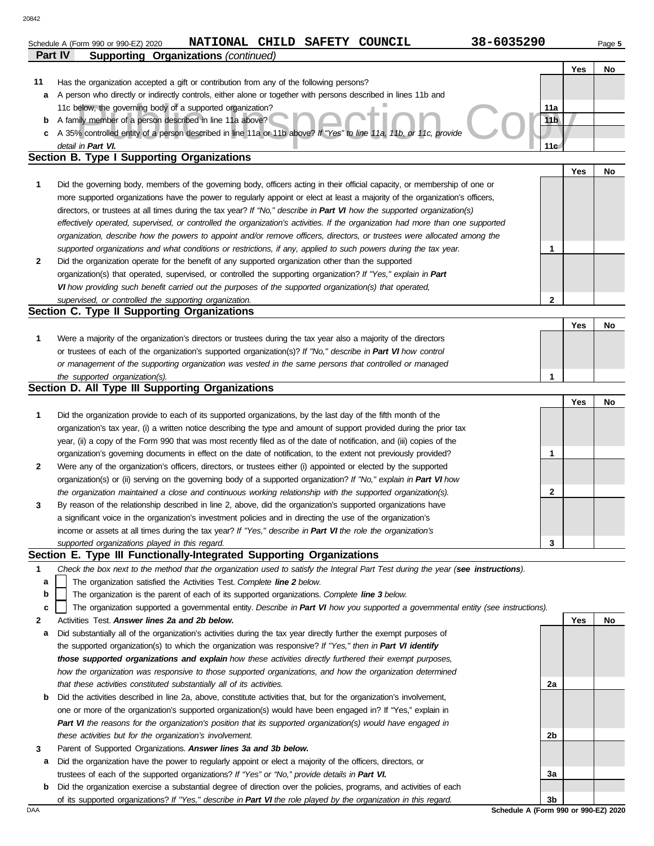### below, the governing body of a supported organization?<br>
We controlled entity of a person described in line 11a or 11b above? If "Yes" to line 11a, 11b, or 11c, provide<br>
I in Part VI. **Part IV Supporting Organizations** *(continued)* Schedule A (Form 990 or 990-EZ) 2020 Page **5 NATIONAL CHILD SAFETY COUNCIL 38-6035290 Yes No 2 1** *supported organizations and what conditions or restrictions, if any, applied to such powers during the tax year. organization, describe how the powers to appoint and/or remove officers, directors, or trustees were allocated among the effectively operated, supervised, or controlled the organization's activities. If the organization had more than one supported* directors, or trustees at all times during the tax year? *If "No," describe in Part VI how the supported organization(s)* more supported organizations have the power to regularly appoint or elect at least a majority of the organization's officers, **Section B. Type I Supporting Organizations 11 c** A 35% controlled entity of a person described in line 11a or 11b above? *If "Yes" to line 11a, 11b, or 11c, provide* **b** A family member of a person described in line 11a above? **a** A person who directly or indirectly controls, either alone or together with persons described in lines 11b and Has the organization accepted a gift or contribution from any of the following persons? 11c below, the governing body of a supported organization? *detail in Part VI.* **11a 11b 11c** Did the governing body, members of the governing body, officers acting in their official capacity, or membership of one or Did the organization operate for the benefit of any supported organization other than the supported organization(s) that operated, supervised, or controlled the supporting organization? *If "Yes," explain in Part VI how providing such benefit carried out the purposes of the supported organization(s) that operated, supervised, or controlled the supporting organization.* **Section C. Type II Supporting Organizations** Were a majority of the organization's directors or trustees during the tax year also a majority of the directors or trustees of each of the organization's supported organization(s)? *If "No," describe in Part VI how control* **1** *or management of the supporting organization was vested in the same persons that controlled or managed the supported organization(s).* **Section D. All Type III Supporting Organizations** Did the organization provide to each of its supported organizations, by the last day of the fifth month of the organization's tax year, (i) a written notice describing the type and amount of support provided during the prior tax **1** year, (ii) a copy of the Form 990 that was most recently filed as of the date of notification, and (iii) copies of the organization's governing documents in effect on the date of notification, to the extent not previously provided? **2** Were any of the organization's officers, directors, or trustees either (i) appointed or elected by the supported *the organization maintained a close and continuous working relationship with the supported organization(s).* organization(s) or (ii) serving on the governing body of a supported organization? *If "No," explain in Part VI how supported organizations played in this regard.* income or assets at all times during the tax year? *If "Yes," describe in Part VI the role the organization's* **3** a significant voice in the organization's investment policies and in directing the use of the organization's By reason of the relationship described in line 2, above, did the organization's supported organizations have **Section E. Type III Functionally-Integrated Supporting Organizations 1** *Check the box next to the method that the organization used to satisfy the Integral Part Test during the year (see instructions).* The organization satisfied the Activities Test. *Complete line 2 below.* The organization is the parent of each of its supported organizations. *Complete line 3 below.* **b a Yes No 1 2 1 Yes No Yes No 1 2 3** 20842

The organization supported a governmental entity. *Describe in Part VI how you supported a governmental entity (see instructions).* **c**

- **2** Activities Test. *Answer lines 2a and 2b below.*
- **a** Did substantially all of the organization's activities during the tax year directly further the exempt purposes of the supported organization(s) to which the organization was responsive? *If "Yes," then in Part VI identify those supported organizations and explain how these activities directly furthered their exempt purposes, how the organization was responsive to those supported organizations, and how the organization determined that these activities constituted substantially all of its activities.*
- **b** Did the activities described in line 2a, above, constitute activities that, but for the organization's involvement, one or more of the organization's supported organization(s) would have been engaged in? If "Yes," explain in *Part VI the reasons for the organization's position that its supported organization(s) would have engaged in these activities but for the organization's involvement.*
- **3** Parent of Supported Organizations. *Answer lines 3a and 3b below.*
- **a** Did the organization have the power to regularly appoint or elect a majority of the officers, directors, or trustees of each of the supported organizations? *If "Yes" or "No," provide details in Part VI.*
- **b** Did the organization exercise a substantial degree of direction over the policies, programs, and activities of each of its supported organizations? *If "Yes," describe in Part VI the role played by the organization in this regard.*

DAA **Schedule A (Form 990 or 990-EZ) 2020 3b**

**2a**

**2b**

**3a**

**Yes No**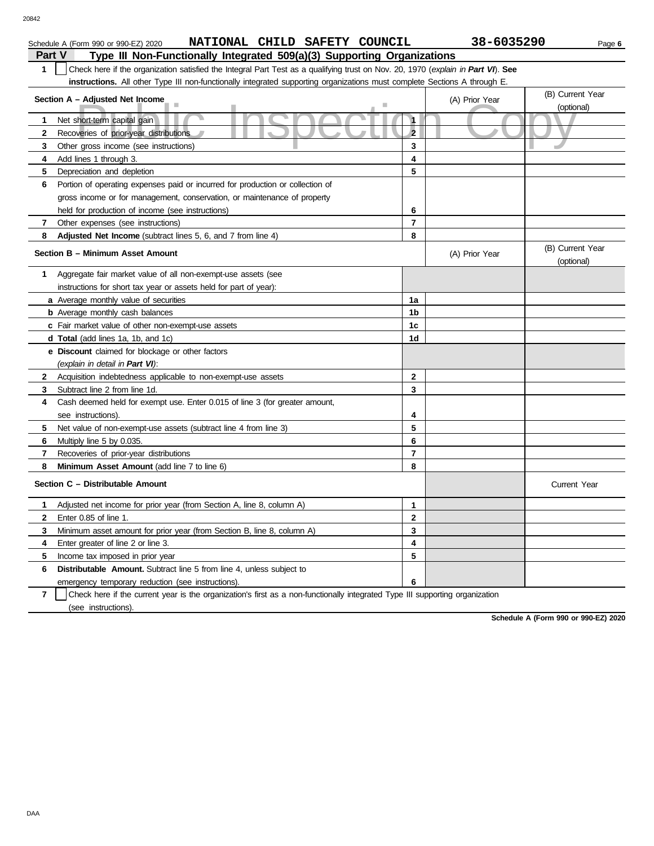| Schedule A (Form 990 or 990-EZ) 2020                                              | <b>NATIONAL</b> |  | CHILD SAFETY COUNCIL | 38-6035290 | Page 6 |
|-----------------------------------------------------------------------------------|-----------------|--|----------------------|------------|--------|
| Part V<br>Type III Non-Functionally Integrated 509(a)(3) Supporting Organizations |                 |  |                      |            |        |

| Check here if the organization satisfied the Integral Part Test as a qualifying trust on Nov. 20, 1970 (explain in Part VI). See<br>1                                                                                                                                                                                             |                     |                |                                |
|-----------------------------------------------------------------------------------------------------------------------------------------------------------------------------------------------------------------------------------------------------------------------------------------------------------------------------------|---------------------|----------------|--------------------------------|
| <b>instructions.</b> All other Type III non-functionally integrated supporting organizations must complete Sections A through E.                                                                                                                                                                                                  |                     |                |                                |
| Section A - Adjusted Net Income<br>ш                                                                                                                                                                                                                                                                                              |                     | (A) Prior Year | (B) Current Year<br>(optional) |
| Net short-term capital gain<br>1.                                                                                                                                                                                                                                                                                                 | $\ddot{\mathbf{1}}$ |                |                                |
| $\mathbf{2}$<br>Recoveries of prior-year distributions                                                                                                                                                                                                                                                                            | $\overline{2}$      |                |                                |
| 3<br>Other gross income (see instructions)                                                                                                                                                                                                                                                                                        | 3                   |                |                                |
| Add lines 1 through 3.<br>4                                                                                                                                                                                                                                                                                                       | 4                   |                |                                |
| 5<br>Depreciation and depletion                                                                                                                                                                                                                                                                                                   | 5                   |                |                                |
| 6<br>Portion of operating expenses paid or incurred for production or collection of                                                                                                                                                                                                                                               |                     |                |                                |
| gross income or for management, conservation, or maintenance of property                                                                                                                                                                                                                                                          |                     |                |                                |
| held for production of income (see instructions)                                                                                                                                                                                                                                                                                  | 6                   |                |                                |
| 7<br>Other expenses (see instructions)                                                                                                                                                                                                                                                                                            | $\overline{7}$      |                |                                |
| 8<br>Adjusted Net Income (subtract lines 5, 6, and 7 from line 4)                                                                                                                                                                                                                                                                 | 8                   |                |                                |
| Section B - Minimum Asset Amount                                                                                                                                                                                                                                                                                                  |                     | (A) Prior Year | (B) Current Year<br>(optional) |
| Aggregate fair market value of all non-exempt-use assets (see<br>1.                                                                                                                                                                                                                                                               |                     |                |                                |
| instructions for short tax year or assets held for part of year):                                                                                                                                                                                                                                                                 |                     |                |                                |
| a Average monthly value of securities                                                                                                                                                                                                                                                                                             | 1a                  |                |                                |
| <b>b</b> Average monthly cash balances                                                                                                                                                                                                                                                                                            | 1b                  |                |                                |
| c Fair market value of other non-exempt-use assets                                                                                                                                                                                                                                                                                | 1 <sub>c</sub>      |                |                                |
| <b>d Total</b> (add lines 1a, 1b, and 1c)                                                                                                                                                                                                                                                                                         | 1d                  |                |                                |
| <b>e</b> Discount claimed for blockage or other factors<br>(explain in detail in Part VI):                                                                                                                                                                                                                                        |                     |                |                                |
| $\mathbf{2}$<br>Acquisition indebtedness applicable to non-exempt-use assets                                                                                                                                                                                                                                                      | 2                   |                |                                |
| Subtract line 2 from line 1d.<br>3                                                                                                                                                                                                                                                                                                | 3                   |                |                                |
| 4<br>Cash deemed held for exempt use. Enter 0.015 of line 3 (for greater amount,                                                                                                                                                                                                                                                  |                     |                |                                |
| see instructions).                                                                                                                                                                                                                                                                                                                | 4                   |                |                                |
|                                                                                                                                                                                                                                                                                                                                   | 5                   |                |                                |
| Net value of non-exempt-use assets (subtract line 4 from line 3)<br>5.                                                                                                                                                                                                                                                            | 6                   |                |                                |
| Multiply line 5 by 0.035.<br>6<br>7                                                                                                                                                                                                                                                                                               | $\overline{7}$      |                |                                |
| Recoveries of prior-year distributions<br>Minimum Asset Amount (add line 7 to line 6)<br>8                                                                                                                                                                                                                                        | 8                   |                |                                |
| Section C - Distributable Amount                                                                                                                                                                                                                                                                                                  |                     |                | Current Year                   |
| 1<br>Adjusted net income for prior year (from Section A, line 8, column A)                                                                                                                                                                                                                                                        | 1                   |                |                                |
| $\mathbf{2}$<br>Enter 0.85 of line 1.                                                                                                                                                                                                                                                                                             | $\overline{2}$      |                |                                |
| Minimum asset amount for prior year (from Section B, line 8, column A)<br>3                                                                                                                                                                                                                                                       | 3                   |                |                                |
| Enter greater of line 2 or line 3.<br>4                                                                                                                                                                                                                                                                                           | 4                   |                |                                |
| 5<br>Income tax imposed in prior year                                                                                                                                                                                                                                                                                             | 5                   |                |                                |
| 6<br><b>Distributable Amount.</b> Subtract line 5 from line 4, unless subject to                                                                                                                                                                                                                                                  |                     |                |                                |
| emergency temporary reduction (see instructions).                                                                                                                                                                                                                                                                                 | 6                   |                |                                |
| $\bullet$ . Documents the contract of the contract of the contract of the contract of the contract of the contract of the contract of the contract of the contract of the contract of the contract of the contract of the contract<br>$\mathbf{r}$<br>and all a company for the co<br>المتوارد المتحالي والمراد<br>ويتقارب المقار |                     |                |                                |

**7** | Check here if the current year is the organization's first as a non-functionally integrated Type III supporting organization (see instructions).

**Schedule A (Form 990 or 990-EZ) 2020**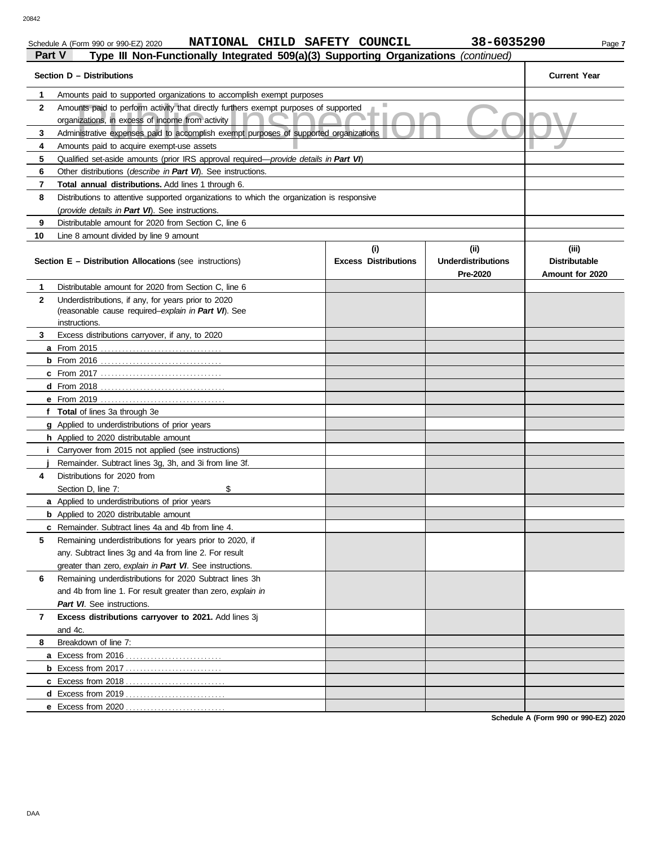## Schedule A (Form 990 or 990-EZ) 2020 **NATIONAL CHILD SAFETY COUNCIL 38-6035290** Page 7

### Amounts paid to perform activity that directly furthers exempt purposes of supported<br>
Administrative expenses paid to accomplish exempt purposes of supported organizations<br>
Amounts paid to acquire exempt-use assets **Part V Type III Non-Functionally Integrated 509(a)(3) Supporting Organizations** *(continued)* **Section D – Distributions Current Year 1 2 3 4 5 6 7 8 9 10** Amounts paid to supported organizations to accomplish exempt purposes organizations, in excess of income from activity Administrative expenses paid to accomplish exempt purposes of supported organizations Amounts paid to acquire exempt-use assets Qualified set-aside amounts (prior IRS approval required—*provide details in Part VI*) Other distributions (*describe in Part VI*). See instructions. **Total annual distributions.** Add lines 1 through 6. Distributions to attentive supported organizations to which the organization is responsive (*provide details in Part VI*). See instructions. Distributable amount for 2020 from Section C, line 6 Line 8 amount divided by line 9 amount **Section E – Distribution Allocations** (see instructions) **Excess Distributions (i) (ii) Underdistributions Pre-2020 (iii) Distributable Amount for 2020 8 7 6 5 4 3 2 1 a** From 2015 . . . . . . . . . . . . . . . . . . . . . . . . . . . . . . . . . . **b** From 2016 . . . . . . . . . . . . . . . . . . . . . . . . . . . . . . . . . . **c** From 2017 . . . . . . . . . . . . . . . . . . . . . . . . . . . . . . . . . . **d** From 2018 . . . . . . . . . . . . . . . . . . . . . . . . . . . . . . . . . . . **e** From 2019 . . . . . . . . . . . . . . . . . . . . . . . . . . . . . . . . . . . **f Total** of lines 3a through 3e **g** Applied to underdistributions of prior years **h** Applied to 2020 distributable amount **i j** Remainder. Subtract lines 3g, 3h, and 3i from line 3f. **a** Applied to underdistributions of prior years **b** Applied to 2020 distributable amount **c** Remainder. Subtract lines 4a and 4b from line 4. **a** Excess from 2016 . . . . . . . . . . . . . . . . . . . . . . . . . . . **b** Excess from 2017 . . . . . . . . . . . . . . . . . . . . . . . . . . . **c** Excess from 2018 . . . . . . . . . . . . . . . . . . . . . . . . . . . . **d** Excess from 2019 . . . . . . . . . . . . . . . . . . . . . . . . . . . . **e** Excess from 2020 . . . . . . . . . . . . . . . . . . . . . . . . . . . . Distributable amount for 2020 from Section C, line 6 Underdistributions, if any, for years prior to 2020 (reasonable cause required–*explain in Part VI*). See Excess distributions carryover, if any, to 2020 Carryover from 2015 not applied (see instructions) Distributions for 2020 from Section D, line 7: \$ Remaining underdistributions for years prior to 2020, if any. Subtract lines 3g and 4a from line 2. For result greater than zero, *explain in Part VI*. See instructions. Remaining underdistributions for 2020 Subtract lines 3h and 4b from line 1. For result greater than zero, *explain in Part VI*. See instructions. **Excess distributions carryover to 2021.** Add lines 3j and 4c. Breakdown of line 7: instructions.

**Schedule A (Form 990 or 990-EZ) 2020**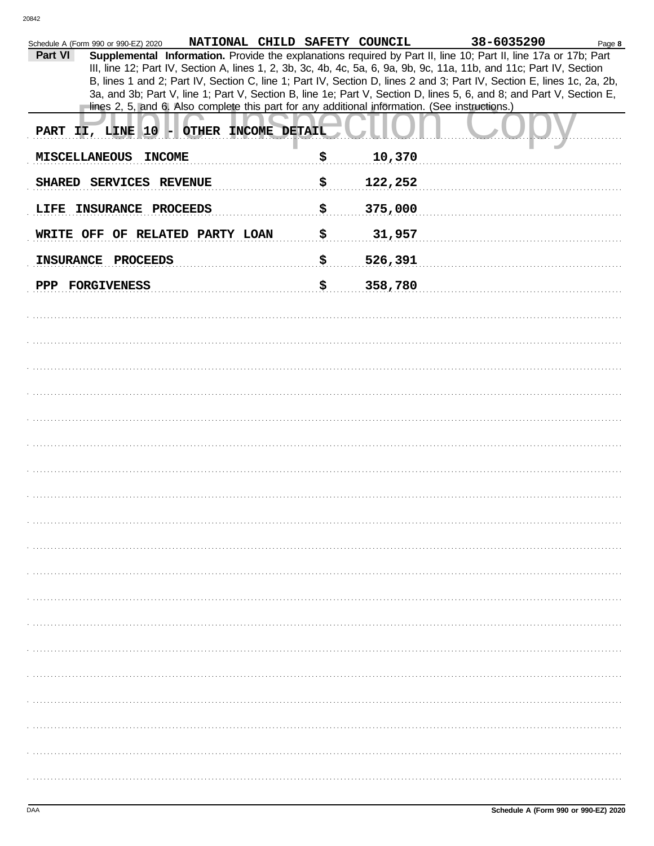| NATIONAL CHILD SAFETY COUNCIL<br>Schedule A (Form 990 or 990-EZ) 2020                                                      |               | 38-6035290 | Page 8 |
|----------------------------------------------------------------------------------------------------------------------------|---------------|------------|--------|
| Supplemental Information. Provide the explanations required by Part II, line 10; Part II, line 17a or 17b; Part<br>Part VI |               |            |        |
| III, line 12; Part IV, Section A, lines 1, 2, 3b, 3c, 4b, 4c, 5a, 6, 9a, 9b, 9c, 11a, 11b, and 11c; Part IV, Section       |               |            |        |
| B, lines 1 and 2; Part IV, Section C, line 1; Part IV, Section D, lines 2 and 3; Part IV, Section E, lines 1c, 2a, 2b,     |               |            |        |
| 3a, and 3b; Part V, line 1; Part V, Section B, line 1e; Part V, Section D, lines 5, 6, and 8; and Part V, Section E,       |               |            |        |
| lines 2, 5, and 6. Also complete this part for any additional information. (See instructions.)                             |               |            |        |
| PART II, LINE 10 - OTHER INCOME DETAIL                                                                                     |               |            |        |
| <b>MISCELLANEOUS</b><br><b>INCOME</b>                                                                                      | \$<br>10,370  |            |        |
| SHARED SERVICES REVENUE                                                                                                    | \$<br>122,252 |            |        |
| LIFE INSURANCE PROCEEDS                                                                                                    | \$<br>375,000 |            |        |
| WRITE OFF OF RELATED PARTY LOAN                                                                                            | \$<br>31,957  |            |        |
| <b>INSURANCE</b><br>PROCEEDS                                                                                               | \$<br>526,391 |            |        |
| PPP FORGIVENESS                                                                                                            | \$<br>358,780 |            |        |
|                                                                                                                            |               |            |        |
|                                                                                                                            |               |            |        |
|                                                                                                                            |               |            |        |
|                                                                                                                            |               |            |        |
|                                                                                                                            |               |            |        |
|                                                                                                                            |               |            |        |
|                                                                                                                            |               |            |        |
|                                                                                                                            |               |            |        |
|                                                                                                                            |               |            |        |
|                                                                                                                            |               |            |        |
|                                                                                                                            |               |            |        |
|                                                                                                                            |               |            |        |
|                                                                                                                            |               |            |        |
|                                                                                                                            |               |            |        |
|                                                                                                                            |               |            |        |
|                                                                                                                            |               |            |        |
|                                                                                                                            |               |            |        |
|                                                                                                                            |               |            |        |
|                                                                                                                            |               |            |        |
|                                                                                                                            |               |            |        |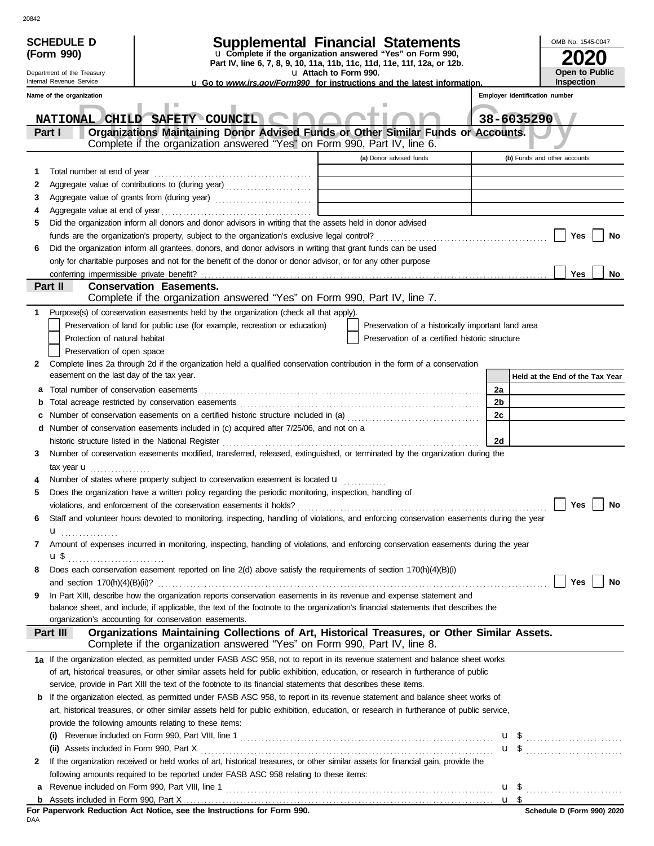| <b>SCHEDULE D</b><br>(Form 990) |                                                        |                                                                                                                |  | <b>Supplemental Financial Statements</b><br>u Complete if the organization answered "Yes" on Form 990,<br>Part IV, line 6, 7, 8, 9, 10, 11a, 11b, 11c, 11d, 11e, 11f, 12a, or 12b. |                                                                                                                                                                                                                                                          |  |    |            | OMB No. 1545-0047                   |               |
|---------------------------------|--------------------------------------------------------|----------------------------------------------------------------------------------------------------------------|--|------------------------------------------------------------------------------------------------------------------------------------------------------------------------------------|----------------------------------------------------------------------------------------------------------------------------------------------------------------------------------------------------------------------------------------------------------|--|----|------------|-------------------------------------|---------------|
|                                 | Department of the Treasury<br>Internal Revenue Service |                                                                                                                |  | u Attach to Form 990.                                                                                                                                                              | <b>u</b> Go to <i>www.irs.gov/Form990</i> for instructions and the latest information.                                                                                                                                                                   |  |    |            | Open to Public<br><b>Inspection</b> |               |
|                                 | Name of the organization                               |                                                                                                                |  |                                                                                                                                                                                    |                                                                                                                                                                                                                                                          |  |    |            | Employer identification number      |               |
|                                 |                                                        |                                                                                                                |  |                                                                                                                                                                                    |                                                                                                                                                                                                                                                          |  |    |            |                                     |               |
|                                 | <b>NATIONAL CHILD</b>                                  | SAFETY COUNCIL CO                                                                                              |  |                                                                                                                                                                                    |                                                                                                                                                                                                                                                          |  |    | 38-6035290 |                                     |               |
|                                 | Part I                                                 |                                                                                                                |  |                                                                                                                                                                                    | Organizations Maintaining Donor Advised Funds or Other Similar Funds or Accounts.                                                                                                                                                                        |  |    |            |                                     |               |
|                                 |                                                        | Complete if the organization answered "Yes" on Form 990, Part IV, line 6.                                      |  |                                                                                                                                                                                    |                                                                                                                                                                                                                                                          |  |    |            |                                     |               |
|                                 |                                                        |                                                                                                                |  |                                                                                                                                                                                    | (a) Donor advised funds                                                                                                                                                                                                                                  |  |    |            | (b) Funds and other accounts        |               |
| 1                               | Total number at end of year                            |                                                                                                                |  |                                                                                                                                                                                    |                                                                                                                                                                                                                                                          |  |    |            |                                     |               |
| 2                               |                                                        | Aggregate value of contributions to (during year)                                                              |  |                                                                                                                                                                                    | the control of the control of the control of                                                                                                                                                                                                             |  |    |            |                                     |               |
| 3                               |                                                        |                                                                                                                |  |                                                                                                                                                                                    |                                                                                                                                                                                                                                                          |  |    |            |                                     |               |
| 4                               |                                                        |                                                                                                                |  |                                                                                                                                                                                    |                                                                                                                                                                                                                                                          |  |    |            |                                     |               |
| 5                               |                                                        | Did the organization inform all donors and donor advisors in writing that the assets held in donor advised     |  |                                                                                                                                                                                    |                                                                                                                                                                                                                                                          |  |    |            |                                     |               |
|                                 |                                                        |                                                                                                                |  |                                                                                                                                                                                    |                                                                                                                                                                                                                                                          |  |    |            | Yes                                 | No            |
| 6                               |                                                        | Did the organization inform all grantees, donors, and donor advisors in writing that grant funds can be used   |  |                                                                                                                                                                                    |                                                                                                                                                                                                                                                          |  |    |            |                                     |               |
|                                 |                                                        | only for charitable purposes and not for the benefit of the donor or donor advisor, or for any other purpose   |  |                                                                                                                                                                                    |                                                                                                                                                                                                                                                          |  |    |            |                                     |               |
|                                 |                                                        |                                                                                                                |  |                                                                                                                                                                                    |                                                                                                                                                                                                                                                          |  |    |            | Yes                                 | No            |
|                                 | Part II                                                | <b>Conservation Easements.</b>                                                                                 |  |                                                                                                                                                                                    |                                                                                                                                                                                                                                                          |  |    |            |                                     |               |
|                                 |                                                        | Complete if the organization answered "Yes" on Form 990, Part IV, line 7.                                      |  |                                                                                                                                                                                    |                                                                                                                                                                                                                                                          |  |    |            |                                     |               |
| 1                               |                                                        | Purpose(s) of conservation easements held by the organization (check all that apply).                          |  |                                                                                                                                                                                    |                                                                                                                                                                                                                                                          |  |    |            |                                     |               |
|                                 |                                                        | Preservation of land for public use (for example, recreation or education)                                     |  |                                                                                                                                                                                    | Preservation of a historically important land area                                                                                                                                                                                                       |  |    |            |                                     |               |
|                                 | Protection of natural habitat                          |                                                                                                                |  |                                                                                                                                                                                    | Preservation of a certified historic structure                                                                                                                                                                                                           |  |    |            |                                     |               |
|                                 | Preservation of open space                             |                                                                                                                |  |                                                                                                                                                                                    |                                                                                                                                                                                                                                                          |  |    |            |                                     |               |
| 2                               |                                                        |                                                                                                                |  |                                                                                                                                                                                    | Complete lines 2a through 2d if the organization held a qualified conservation contribution in the form of a conservation                                                                                                                                |  |    |            |                                     |               |
|                                 | easement on the last day of the tax year.              |                                                                                                                |  |                                                                                                                                                                                    |                                                                                                                                                                                                                                                          |  |    |            | Held at the End of the Tax Year     |               |
|                                 |                                                        |                                                                                                                |  |                                                                                                                                                                                    |                                                                                                                                                                                                                                                          |  | 2a |            |                                     |               |
| b                               |                                                        |                                                                                                                |  |                                                                                                                                                                                    |                                                                                                                                                                                                                                                          |  | 2b |            |                                     |               |
| c                               |                                                        |                                                                                                                |  |                                                                                                                                                                                    |                                                                                                                                                                                                                                                          |  | 2c |            |                                     |               |
|                                 |                                                        | <b>d</b> Number of conservation easements included in (c) acquired after 7/25/06, and not on a                 |  |                                                                                                                                                                                    |                                                                                                                                                                                                                                                          |  |    |            |                                     |               |
|                                 |                                                        |                                                                                                                |  |                                                                                                                                                                                    |                                                                                                                                                                                                                                                          |  | 2d |            |                                     |               |
| 3                               |                                                        |                                                                                                                |  |                                                                                                                                                                                    | Number of conservation easements modified, transferred, released, extinguished, or terminated by the organization during the                                                                                                                             |  |    |            |                                     |               |
|                                 | tax year $\mathbf{u}$                                  |                                                                                                                |  |                                                                                                                                                                                    |                                                                                                                                                                                                                                                          |  |    |            |                                     |               |
| 4                               |                                                        | Number of states where property subject to conservation easement is located $\mathbf{u}$                       |  |                                                                                                                                                                                    |                                                                                                                                                                                                                                                          |  |    |            |                                     |               |
| 5                               |                                                        | Does the organization have a written policy regarding the periodic monitoring, inspection, handling of         |  |                                                                                                                                                                                    |                                                                                                                                                                                                                                                          |  |    |            |                                     |               |
|                                 |                                                        | violations, and enforcement of the conservation easements it holds?                                            |  |                                                                                                                                                                                    |                                                                                                                                                                                                                                                          |  |    |            | Yes                                 | No            |
| 6                               |                                                        |                                                                                                                |  |                                                                                                                                                                                    | Staff and volunteer hours devoted to monitoring, inspecting, handling of violations, and enforcing conservation easements during the year                                                                                                                |  |    |            |                                     |               |
|                                 | $\mathbf{u}$                                           |                                                                                                                |  |                                                                                                                                                                                    |                                                                                                                                                                                                                                                          |  |    |            |                                     |               |
| 7                               |                                                        |                                                                                                                |  |                                                                                                                                                                                    | Amount of expenses incurred in monitoring, inspecting, handling of violations, and enforcing conservation easements during the year                                                                                                                      |  |    |            |                                     |               |
|                                 |                                                        |                                                                                                                |  |                                                                                                                                                                                    |                                                                                                                                                                                                                                                          |  |    |            |                                     |               |
| 8                               |                                                        |                                                                                                                |  |                                                                                                                                                                                    | Does each conservation easement reported on line 2(d) above satisfy the requirements of section 170(h)(4)(B)(i)                                                                                                                                          |  |    |            |                                     |               |
|                                 |                                                        |                                                                                                                |  |                                                                                                                                                                                    |                                                                                                                                                                                                                                                          |  |    |            |                                     | Yes    <br>No |
| 9                               |                                                        |                                                                                                                |  |                                                                                                                                                                                    | In Part XIII, describe how the organization reports conservation easements in its revenue and expense statement and<br>balance sheet, and include, if applicable, the text of the footnote to the organization's financial statements that describes the |  |    |            |                                     |               |
|                                 |                                                        | organization's accounting for conservation easements.                                                          |  |                                                                                                                                                                                    |                                                                                                                                                                                                                                                          |  |    |            |                                     |               |
|                                 | Part III                                               |                                                                                                                |  |                                                                                                                                                                                    | Organizations Maintaining Collections of Art, Historical Treasures, or Other Similar Assets.                                                                                                                                                             |  |    |            |                                     |               |
|                                 |                                                        | Complete if the organization answered "Yes" on Form 990, Part IV, line 8.                                      |  |                                                                                                                                                                                    |                                                                                                                                                                                                                                                          |  |    |            |                                     |               |
|                                 |                                                        |                                                                                                                |  |                                                                                                                                                                                    | 1a If the organization elected, as permitted under FASB ASC 958, not to report in its revenue statement and balance sheet works                                                                                                                          |  |    |            |                                     |               |
|                                 |                                                        |                                                                                                                |  |                                                                                                                                                                                    | of art, historical treasures, or other similar assets held for public exhibition, education, or research in furtherance of public                                                                                                                        |  |    |            |                                     |               |
|                                 |                                                        | service, provide in Part XIII the text of the footnote to its financial statements that describes these items. |  |                                                                                                                                                                                    |                                                                                                                                                                                                                                                          |  |    |            |                                     |               |
|                                 |                                                        |                                                                                                                |  |                                                                                                                                                                                    | <b>b</b> If the organization elected, as permitted under FASB ASC 958, to report in its revenue statement and balance sheet works of                                                                                                                     |  |    |            |                                     |               |
|                                 |                                                        |                                                                                                                |  |                                                                                                                                                                                    | art, historical treasures, or other similar assets held for public exhibition, education, or research in furtherance of public service,                                                                                                                  |  |    |            |                                     |               |
|                                 |                                                        | provide the following amounts relating to these items:                                                         |  |                                                                                                                                                                                    |                                                                                                                                                                                                                                                          |  |    |            |                                     |               |
|                                 |                                                        |                                                                                                                |  |                                                                                                                                                                                    |                                                                                                                                                                                                                                                          |  |    |            |                                     |               |
|                                 |                                                        |                                                                                                                |  |                                                                                                                                                                                    |                                                                                                                                                                                                                                                          |  |    |            | $u$ \$                              |               |
| 2                               |                                                        |                                                                                                                |  |                                                                                                                                                                                    | If the organization received or held works of art, historical treasures, or other similar assets for financial gain, provide the                                                                                                                         |  |    |            |                                     |               |
|                                 |                                                        | following amounts required to be reported under FASB ASC 958 relating to these items:                          |  |                                                                                                                                                                                    |                                                                                                                                                                                                                                                          |  |    |            |                                     |               |
| a                               |                                                        |                                                                                                                |  |                                                                                                                                                                                    |                                                                                                                                                                                                                                                          |  |    |            |                                     |               |
|                                 |                                                        |                                                                                                                |  |                                                                                                                                                                                    |                                                                                                                                                                                                                                                          |  |    |            |                                     |               |
|                                 |                                                        | For Paperwork Reduction Act Notice, see the Instructions for Form 990.                                         |  |                                                                                                                                                                                    |                                                                                                                                                                                                                                                          |  |    |            | Schedule D (Form 990) 2020          |               |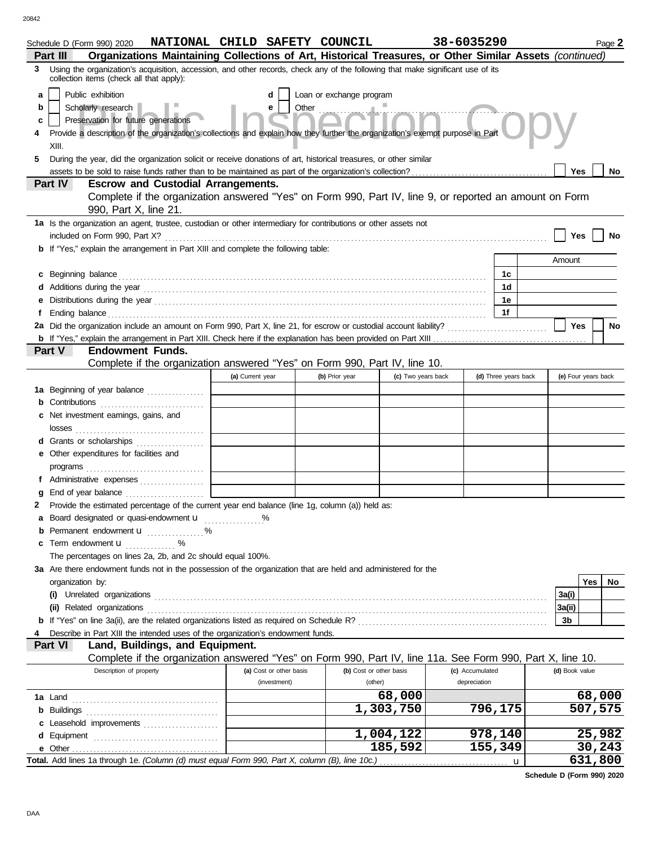|                       | Schedule D (Form 990) 2020<br>Organizations Maintaining Collections of Art, Historical Treasures, or Other Similar Assets (continued)<br>Part III                                                                                                                                                                                                                                                                                                       | NATIONAL CHILD SAFETY COUNCIL |  |                         |                    | 38-6035290      |                      |        |                     | Page 2  |
|-----------------------|---------------------------------------------------------------------------------------------------------------------------------------------------------------------------------------------------------------------------------------------------------------------------------------------------------------------------------------------------------------------------------------------------------------------------------------------------------|-------------------------------|--|-------------------------|--------------------|-----------------|----------------------|--------|---------------------|---------|
| 3                     | Using the organization's acquisition, accession, and other records, check any of the following that make significant use of its                                                                                                                                                                                                                                                                                                                         |                               |  |                         |                    |                 |                      |        |                     |         |
| a<br>b<br>c<br>4<br>5 | collection items (check all that apply):<br>Public exhibition<br>Loan or exchange program<br>d<br>Other $\frac{1}{2}$<br>Scholarly research<br>е<br>Preservation for future generations<br>Provide a description of the organization's collections and explain how they further the organization's exempt purpose in Part<br>XIII.<br>During the year, did the organization solicit or receive donations of art, historical treasures, or other similar |                               |  |                         |                    |                 |                      |        |                     |         |
|                       |                                                                                                                                                                                                                                                                                                                                                                                                                                                         |                               |  |                         |                    |                 |                      |        | Yes                 | No      |
|                       | Part IV<br><b>Escrow and Custodial Arrangements.</b><br>Complete if the organization answered "Yes" on Form 990, Part IV, line 9, or reported an amount on Form<br>990, Part X, line 21.                                                                                                                                                                                                                                                                |                               |  |                         |                    |                 |                      |        |                     |         |
|                       | 1a Is the organization an agent, trustee, custodian or other intermediary for contributions or other assets not                                                                                                                                                                                                                                                                                                                                         |                               |  |                         |                    |                 |                      |        |                     |         |
|                       |                                                                                                                                                                                                                                                                                                                                                                                                                                                         |                               |  |                         |                    |                 |                      |        | Yes                 | No      |
|                       | <b>b</b> If "Yes," explain the arrangement in Part XIII and complete the following table:                                                                                                                                                                                                                                                                                                                                                               |                               |  |                         |                    |                 |                      | Amount |                     |         |
|                       |                                                                                                                                                                                                                                                                                                                                                                                                                                                         |                               |  |                         |                    |                 | 1c                   |        |                     |         |
|                       | c Beginning balance entity and the contract of the contract of the contract of the contract of the contract of the contract of the contract of the contract of the contract of the contract of the contract of the contract of                                                                                                                                                                                                                          |                               |  |                         |                    |                 | 1d                   |        |                     |         |
| е                     |                                                                                                                                                                                                                                                                                                                                                                                                                                                         |                               |  |                         |                    |                 | 1е                   |        |                     |         |
| f                     |                                                                                                                                                                                                                                                                                                                                                                                                                                                         |                               |  |                         |                    |                 | 1f                   |        |                     |         |
|                       | 2a Did the organization include an amount on Form 990, Part X, line 21, for escrow or custodial account liability?                                                                                                                                                                                                                                                                                                                                      |                               |  |                         |                    |                 |                      |        | Yes                 | No      |
|                       |                                                                                                                                                                                                                                                                                                                                                                                                                                                         |                               |  |                         |                    |                 |                      |        |                     |         |
|                       | <b>Part V</b><br><b>Endowment Funds.</b>                                                                                                                                                                                                                                                                                                                                                                                                                |                               |  |                         |                    |                 |                      |        |                     |         |
|                       | Complete if the organization answered "Yes" on Form 990, Part IV, line 10.                                                                                                                                                                                                                                                                                                                                                                              |                               |  |                         |                    |                 |                      |        |                     |         |
|                       |                                                                                                                                                                                                                                                                                                                                                                                                                                                         | (a) Current year              |  | (b) Prior year          | (c) Two years back |                 | (d) Three years back |        | (e) Four years back |         |
|                       | 1a Beginning of year balance<br><b>b</b> Contributions <b>contributions</b>                                                                                                                                                                                                                                                                                                                                                                             |                               |  |                         |                    |                 |                      |        |                     |         |
|                       | c Net investment earnings, gains, and                                                                                                                                                                                                                                                                                                                                                                                                                   |                               |  |                         |                    |                 |                      |        |                     |         |
|                       |                                                                                                                                                                                                                                                                                                                                                                                                                                                         |                               |  |                         |                    |                 |                      |        |                     |         |
|                       | d Grants or scholarships                                                                                                                                                                                                                                                                                                                                                                                                                                |                               |  |                         |                    |                 |                      |        |                     |         |
|                       | e Other expenditures for facilities and                                                                                                                                                                                                                                                                                                                                                                                                                 |                               |  |                         |                    |                 |                      |        |                     |         |
|                       |                                                                                                                                                                                                                                                                                                                                                                                                                                                         |                               |  |                         |                    |                 |                      |        |                     |         |
|                       | f Administrative expenses                                                                                                                                                                                                                                                                                                                                                                                                                               |                               |  |                         |                    |                 |                      |        |                     |         |
|                       |                                                                                                                                                                                                                                                                                                                                                                                                                                                         |                               |  |                         |                    |                 |                      |        |                     |         |
| 2                     | Provide the estimated percentage of the current year end balance (line 1g, column (a)) held as:                                                                                                                                                                                                                                                                                                                                                         |                               |  |                         |                    |                 |                      |        |                     |         |
|                       | a Board designated or quasi-endowment <b>u</b>                                                                                                                                                                                                                                                                                                                                                                                                          |                               |  |                         |                    |                 |                      |        |                     |         |
|                       | <b>b</b> Permanent endowment $\mathbf{u}$ %<br>c Term endowment <b>u</b>                                                                                                                                                                                                                                                                                                                                                                                |                               |  |                         |                    |                 |                      |        |                     |         |
|                       | The percentages on lines 2a, 2b, and 2c should equal 100%.                                                                                                                                                                                                                                                                                                                                                                                              |                               |  |                         |                    |                 |                      |        |                     |         |
|                       | 3a Are there endowment funds not in the possession of the organization that are held and administered for the                                                                                                                                                                                                                                                                                                                                           |                               |  |                         |                    |                 |                      |        |                     |         |
|                       | organization by:                                                                                                                                                                                                                                                                                                                                                                                                                                        |                               |  |                         |                    |                 |                      |        | Yes                 | No.     |
|                       | (i) Unrelated organizations <i>contraction</i> and the contract of the contract of the contract of the contract of the contract of the contract of the contract of the contract of the contract of the contract of the contract of                                                                                                                                                                                                                      |                               |  |                         |                    |                 |                      | 3a(i)  |                     |         |
|                       |                                                                                                                                                                                                                                                                                                                                                                                                                                                         |                               |  |                         |                    |                 |                      | 3a(ii) |                     |         |
|                       |                                                                                                                                                                                                                                                                                                                                                                                                                                                         |                               |  |                         |                    |                 |                      | 3b     |                     |         |
| 4                     | Describe in Part XIII the intended uses of the organization's endowment funds.<br>Part VI                                                                                                                                                                                                                                                                                                                                                               |                               |  |                         |                    |                 |                      |        |                     |         |
|                       | Land, Buildings, and Equipment.<br>Complete if the organization answered "Yes" on Form 990, Part IV, line 11a. See Form 990, Part X, line 10.                                                                                                                                                                                                                                                                                                           |                               |  |                         |                    |                 |                      |        |                     |         |
|                       | Description of property                                                                                                                                                                                                                                                                                                                                                                                                                                 | (a) Cost or other basis       |  | (b) Cost or other basis |                    | (c) Accumulated |                      |        | (d) Book value      |         |
|                       |                                                                                                                                                                                                                                                                                                                                                                                                                                                         | (investment)                  |  | (other)                 |                    | depreciation    |                      |        |                     |         |
|                       |                                                                                                                                                                                                                                                                                                                                                                                                                                                         |                               |  |                         | 68,000             |                 |                      |        |                     | 68,000  |
|                       |                                                                                                                                                                                                                                                                                                                                                                                                                                                         |                               |  |                         | 1,303,750          |                 | 796,175              |        |                     | 507,575 |
|                       | c Leasehold improvements                                                                                                                                                                                                                                                                                                                                                                                                                                |                               |  |                         |                    |                 |                      |        |                     |         |
|                       |                                                                                                                                                                                                                                                                                                                                                                                                                                                         |                               |  |                         | 1,004,122          |                 | 978,140              |        |                     | 25,982  |
|                       |                                                                                                                                                                                                                                                                                                                                                                                                                                                         |                               |  |                         | 185,592            |                 | 155,349              |        |                     | 30,243  |
|                       | Total. Add lines 1a through 1e. (Column (d) must equal Form 990, Part X, column (B), line 10c.)                                                                                                                                                                                                                                                                                                                                                         |                               |  |                         |                    |                 | u                    |        |                     | 631,800 |

**Schedule D (Form 990) 2020**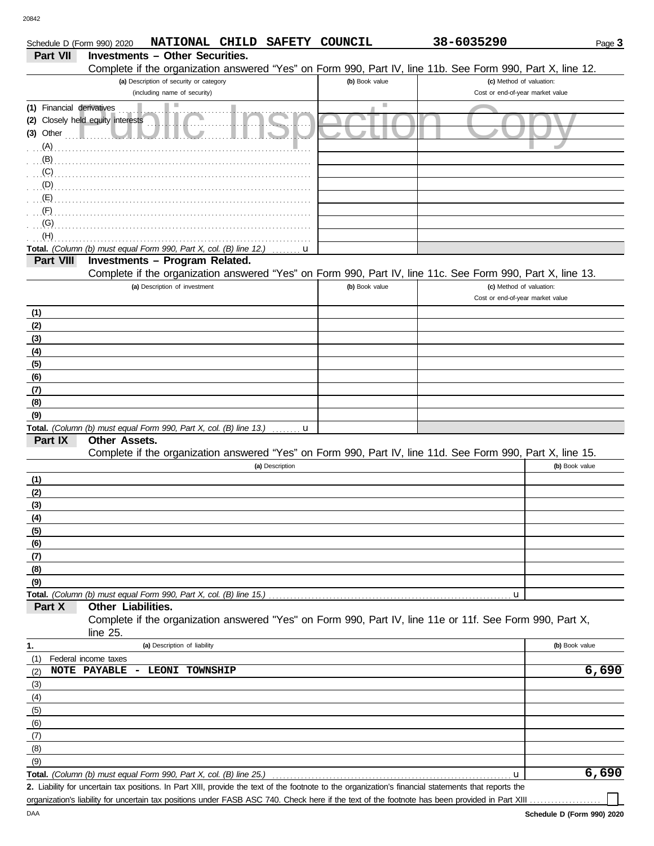DAA

(9)

| <b>Investments - Other Securities.</b><br>Part VII<br>Complete if the organization answered "Yes" on Form 990, Part IV, line 11b. See Form 990, Part X, line 12.<br>(a) Description of security or category<br>(b) Book value<br>(c) Method of valuation:<br>(including name of security)<br>Cost or end-of-year market value<br>ш<br>(1) Financial derivatives<br>(2) Closely held equity interests<br>$(3)$ Other $\ldots$ $\blacksquare$<br>$\overline{a}$ (G) $\overline{a}$ (G) $\overline{a}$ (G) $\overline{a}$ (Fig. (C) $\overline{a}$ (Fig. (C) $\overline{a}$ (Fig. (C) $\overline{a}$ (Fig. (C) $\overline{a}$ (Fig. (C) $\overline{a}$ (Fig. (C) $\overline{a}$ (Fig. (C) $\overline{a}$ (Fig. (C) $\overline{a}$ (Fig. (C) $\overline{a}$ (F<br>(H)<br>Total. (Column (b) must equal Form 990, Part X, col. (B) line 12.) $\ldots$ .<br>Investments - Program Related.<br>Part VIII<br>Complete if the organization answered "Yes" on Form 990, Part IV, line 11c. See Form 990, Part X, line 13.<br>(a) Description of investment<br>(c) Method of valuation:<br>(b) Book value<br>Cost or end-of-year market value<br>(1)<br>(2)<br>(3)<br>(4)<br>(5)<br>(6)<br>(7)<br>(8)<br>(9)<br><b>Total.</b> (Column (b) must equal Form 990, Part X, col. (B) line 13.) $\ldots$ $\ldots$<br>Part IX<br>Other Assets.<br>Complete if the organization answered "Yes" on Form 990, Part IV, line 11d. See Form 990, Part X, line 15.<br>(b) Book value<br>(a) Description<br>(1)<br>(2)<br>(3)<br>(4)<br>(5)<br>(6)<br>(7)<br>(8)<br>(9)<br>Total. (Column (b) must equal Form 990, Part X, col. (B) line 15.)<br>u<br><b>Other Liabilities.</b><br>Part X<br>Complete if the organization answered "Yes" on Form 990, Part IV, line 11e or 11f. See Form 990, Part X,<br>line 25.<br>(a) Description of liability<br>(b) Book value<br>(1)<br>Federal income taxes<br>6,690<br><b>NOTE PAYABLE</b><br>- LEONI TOWNSHIP<br>(2)<br>(3)<br>(4)<br>(5)<br>(6)<br>(7)<br>(8) | Schedule D (Form 990) 2020 |  |  | NATIONAL CHILD SAFETY COUNCIL | 38-6035290 | Page 3 |
|--------------------------------------------------------------------------------------------------------------------------------------------------------------------------------------------------------------------------------------------------------------------------------------------------------------------------------------------------------------------------------------------------------------------------------------------------------------------------------------------------------------------------------------------------------------------------------------------------------------------------------------------------------------------------------------------------------------------------------------------------------------------------------------------------------------------------------------------------------------------------------------------------------------------------------------------------------------------------------------------------------------------------------------------------------------------------------------------------------------------------------------------------------------------------------------------------------------------------------------------------------------------------------------------------------------------------------------------------------------------------------------------------------------------------------------------------------------------------------------------------------------------------------------------------------------------------------------------------------------------------------------------------------------------------------------------------------------------------------------------------------------------------------------------------------------------------------------------------------------------------------------------------------------------------------------------------------------------------------|----------------------------|--|--|-------------------------------|------------|--------|
|                                                                                                                                                                                                                                                                                                                                                                                                                                                                                                                                                                                                                                                                                                                                                                                                                                                                                                                                                                                                                                                                                                                                                                                                                                                                                                                                                                                                                                                                                                                                                                                                                                                                                                                                                                                                                                                                                                                                                                                |                            |  |  |                               |            |        |
|                                                                                                                                                                                                                                                                                                                                                                                                                                                                                                                                                                                                                                                                                                                                                                                                                                                                                                                                                                                                                                                                                                                                                                                                                                                                                                                                                                                                                                                                                                                                                                                                                                                                                                                                                                                                                                                                                                                                                                                |                            |  |  |                               |            |        |
|                                                                                                                                                                                                                                                                                                                                                                                                                                                                                                                                                                                                                                                                                                                                                                                                                                                                                                                                                                                                                                                                                                                                                                                                                                                                                                                                                                                                                                                                                                                                                                                                                                                                                                                                                                                                                                                                                                                                                                                |                            |  |  |                               |            |        |
|                                                                                                                                                                                                                                                                                                                                                                                                                                                                                                                                                                                                                                                                                                                                                                                                                                                                                                                                                                                                                                                                                                                                                                                                                                                                                                                                                                                                                                                                                                                                                                                                                                                                                                                                                                                                                                                                                                                                                                                |                            |  |  |                               |            |        |
|                                                                                                                                                                                                                                                                                                                                                                                                                                                                                                                                                                                                                                                                                                                                                                                                                                                                                                                                                                                                                                                                                                                                                                                                                                                                                                                                                                                                                                                                                                                                                                                                                                                                                                                                                                                                                                                                                                                                                                                |                            |  |  |                               |            |        |
|                                                                                                                                                                                                                                                                                                                                                                                                                                                                                                                                                                                                                                                                                                                                                                                                                                                                                                                                                                                                                                                                                                                                                                                                                                                                                                                                                                                                                                                                                                                                                                                                                                                                                                                                                                                                                                                                                                                                                                                |                            |  |  |                               |            |        |
|                                                                                                                                                                                                                                                                                                                                                                                                                                                                                                                                                                                                                                                                                                                                                                                                                                                                                                                                                                                                                                                                                                                                                                                                                                                                                                                                                                                                                                                                                                                                                                                                                                                                                                                                                                                                                                                                                                                                                                                |                            |  |  |                               |            |        |
|                                                                                                                                                                                                                                                                                                                                                                                                                                                                                                                                                                                                                                                                                                                                                                                                                                                                                                                                                                                                                                                                                                                                                                                                                                                                                                                                                                                                                                                                                                                                                                                                                                                                                                                                                                                                                                                                                                                                                                                |                            |  |  |                               |            |        |
|                                                                                                                                                                                                                                                                                                                                                                                                                                                                                                                                                                                                                                                                                                                                                                                                                                                                                                                                                                                                                                                                                                                                                                                                                                                                                                                                                                                                                                                                                                                                                                                                                                                                                                                                                                                                                                                                                                                                                                                |                            |  |  |                               |            |        |
|                                                                                                                                                                                                                                                                                                                                                                                                                                                                                                                                                                                                                                                                                                                                                                                                                                                                                                                                                                                                                                                                                                                                                                                                                                                                                                                                                                                                                                                                                                                                                                                                                                                                                                                                                                                                                                                                                                                                                                                |                            |  |  |                               |            |        |
|                                                                                                                                                                                                                                                                                                                                                                                                                                                                                                                                                                                                                                                                                                                                                                                                                                                                                                                                                                                                                                                                                                                                                                                                                                                                                                                                                                                                                                                                                                                                                                                                                                                                                                                                                                                                                                                                                                                                                                                |                            |  |  |                               |            |        |
|                                                                                                                                                                                                                                                                                                                                                                                                                                                                                                                                                                                                                                                                                                                                                                                                                                                                                                                                                                                                                                                                                                                                                                                                                                                                                                                                                                                                                                                                                                                                                                                                                                                                                                                                                                                                                                                                                                                                                                                |                            |  |  |                               |            |        |
|                                                                                                                                                                                                                                                                                                                                                                                                                                                                                                                                                                                                                                                                                                                                                                                                                                                                                                                                                                                                                                                                                                                                                                                                                                                                                                                                                                                                                                                                                                                                                                                                                                                                                                                                                                                                                                                                                                                                                                                |                            |  |  |                               |            |        |
|                                                                                                                                                                                                                                                                                                                                                                                                                                                                                                                                                                                                                                                                                                                                                                                                                                                                                                                                                                                                                                                                                                                                                                                                                                                                                                                                                                                                                                                                                                                                                                                                                                                                                                                                                                                                                                                                                                                                                                                |                            |  |  |                               |            |        |
|                                                                                                                                                                                                                                                                                                                                                                                                                                                                                                                                                                                                                                                                                                                                                                                                                                                                                                                                                                                                                                                                                                                                                                                                                                                                                                                                                                                                                                                                                                                                                                                                                                                                                                                                                                                                                                                                                                                                                                                |                            |  |  |                               |            |        |
|                                                                                                                                                                                                                                                                                                                                                                                                                                                                                                                                                                                                                                                                                                                                                                                                                                                                                                                                                                                                                                                                                                                                                                                                                                                                                                                                                                                                                                                                                                                                                                                                                                                                                                                                                                                                                                                                                                                                                                                |                            |  |  |                               |            |        |
|                                                                                                                                                                                                                                                                                                                                                                                                                                                                                                                                                                                                                                                                                                                                                                                                                                                                                                                                                                                                                                                                                                                                                                                                                                                                                                                                                                                                                                                                                                                                                                                                                                                                                                                                                                                                                                                                                                                                                                                |                            |  |  |                               |            |        |
|                                                                                                                                                                                                                                                                                                                                                                                                                                                                                                                                                                                                                                                                                                                                                                                                                                                                                                                                                                                                                                                                                                                                                                                                                                                                                                                                                                                                                                                                                                                                                                                                                                                                                                                                                                                                                                                                                                                                                                                |                            |  |  |                               |            |        |
|                                                                                                                                                                                                                                                                                                                                                                                                                                                                                                                                                                                                                                                                                                                                                                                                                                                                                                                                                                                                                                                                                                                                                                                                                                                                                                                                                                                                                                                                                                                                                                                                                                                                                                                                                                                                                                                                                                                                                                                |                            |  |  |                               |            |        |
|                                                                                                                                                                                                                                                                                                                                                                                                                                                                                                                                                                                                                                                                                                                                                                                                                                                                                                                                                                                                                                                                                                                                                                                                                                                                                                                                                                                                                                                                                                                                                                                                                                                                                                                                                                                                                                                                                                                                                                                |                            |  |  |                               |            |        |
|                                                                                                                                                                                                                                                                                                                                                                                                                                                                                                                                                                                                                                                                                                                                                                                                                                                                                                                                                                                                                                                                                                                                                                                                                                                                                                                                                                                                                                                                                                                                                                                                                                                                                                                                                                                                                                                                                                                                                                                |                            |  |  |                               |            |        |
|                                                                                                                                                                                                                                                                                                                                                                                                                                                                                                                                                                                                                                                                                                                                                                                                                                                                                                                                                                                                                                                                                                                                                                                                                                                                                                                                                                                                                                                                                                                                                                                                                                                                                                                                                                                                                                                                                                                                                                                |                            |  |  |                               |            |        |
|                                                                                                                                                                                                                                                                                                                                                                                                                                                                                                                                                                                                                                                                                                                                                                                                                                                                                                                                                                                                                                                                                                                                                                                                                                                                                                                                                                                                                                                                                                                                                                                                                                                                                                                                                                                                                                                                                                                                                                                |                            |  |  |                               |            |        |
|                                                                                                                                                                                                                                                                                                                                                                                                                                                                                                                                                                                                                                                                                                                                                                                                                                                                                                                                                                                                                                                                                                                                                                                                                                                                                                                                                                                                                                                                                                                                                                                                                                                                                                                                                                                                                                                                                                                                                                                |                            |  |  |                               |            |        |
|                                                                                                                                                                                                                                                                                                                                                                                                                                                                                                                                                                                                                                                                                                                                                                                                                                                                                                                                                                                                                                                                                                                                                                                                                                                                                                                                                                                                                                                                                                                                                                                                                                                                                                                                                                                                                                                                                                                                                                                |                            |  |  |                               |            |        |
|                                                                                                                                                                                                                                                                                                                                                                                                                                                                                                                                                                                                                                                                                                                                                                                                                                                                                                                                                                                                                                                                                                                                                                                                                                                                                                                                                                                                                                                                                                                                                                                                                                                                                                                                                                                                                                                                                                                                                                                |                            |  |  |                               |            |        |
|                                                                                                                                                                                                                                                                                                                                                                                                                                                                                                                                                                                                                                                                                                                                                                                                                                                                                                                                                                                                                                                                                                                                                                                                                                                                                                                                                                                                                                                                                                                                                                                                                                                                                                                                                                                                                                                                                                                                                                                |                            |  |  |                               |            |        |
|                                                                                                                                                                                                                                                                                                                                                                                                                                                                                                                                                                                                                                                                                                                                                                                                                                                                                                                                                                                                                                                                                                                                                                                                                                                                                                                                                                                                                                                                                                                                                                                                                                                                                                                                                                                                                                                                                                                                                                                |                            |  |  |                               |            |        |
|                                                                                                                                                                                                                                                                                                                                                                                                                                                                                                                                                                                                                                                                                                                                                                                                                                                                                                                                                                                                                                                                                                                                                                                                                                                                                                                                                                                                                                                                                                                                                                                                                                                                                                                                                                                                                                                                                                                                                                                |                            |  |  |                               |            |        |
|                                                                                                                                                                                                                                                                                                                                                                                                                                                                                                                                                                                                                                                                                                                                                                                                                                                                                                                                                                                                                                                                                                                                                                                                                                                                                                                                                                                                                                                                                                                                                                                                                                                                                                                                                                                                                                                                                                                                                                                |                            |  |  |                               |            |        |
|                                                                                                                                                                                                                                                                                                                                                                                                                                                                                                                                                                                                                                                                                                                                                                                                                                                                                                                                                                                                                                                                                                                                                                                                                                                                                                                                                                                                                                                                                                                                                                                                                                                                                                                                                                                                                                                                                                                                                                                |                            |  |  |                               |            |        |
|                                                                                                                                                                                                                                                                                                                                                                                                                                                                                                                                                                                                                                                                                                                                                                                                                                                                                                                                                                                                                                                                                                                                                                                                                                                                                                                                                                                                                                                                                                                                                                                                                                                                                                                                                                                                                                                                                                                                                                                |                            |  |  |                               |            |        |
|                                                                                                                                                                                                                                                                                                                                                                                                                                                                                                                                                                                                                                                                                                                                                                                                                                                                                                                                                                                                                                                                                                                                                                                                                                                                                                                                                                                                                                                                                                                                                                                                                                                                                                                                                                                                                                                                                                                                                                                |                            |  |  |                               |            |        |
|                                                                                                                                                                                                                                                                                                                                                                                                                                                                                                                                                                                                                                                                                                                                                                                                                                                                                                                                                                                                                                                                                                                                                                                                                                                                                                                                                                                                                                                                                                                                                                                                                                                                                                                                                                                                                                                                                                                                                                                |                            |  |  |                               |            |        |
|                                                                                                                                                                                                                                                                                                                                                                                                                                                                                                                                                                                                                                                                                                                                                                                                                                                                                                                                                                                                                                                                                                                                                                                                                                                                                                                                                                                                                                                                                                                                                                                                                                                                                                                                                                                                                                                                                                                                                                                |                            |  |  |                               |            |        |
|                                                                                                                                                                                                                                                                                                                                                                                                                                                                                                                                                                                                                                                                                                                                                                                                                                                                                                                                                                                                                                                                                                                                                                                                                                                                                                                                                                                                                                                                                                                                                                                                                                                                                                                                                                                                                                                                                                                                                                                |                            |  |  |                               |            |        |
|                                                                                                                                                                                                                                                                                                                                                                                                                                                                                                                                                                                                                                                                                                                                                                                                                                                                                                                                                                                                                                                                                                                                                                                                                                                                                                                                                                                                                                                                                                                                                                                                                                                                                                                                                                                                                                                                                                                                                                                |                            |  |  |                               |            |        |
|                                                                                                                                                                                                                                                                                                                                                                                                                                                                                                                                                                                                                                                                                                                                                                                                                                                                                                                                                                                                                                                                                                                                                                                                                                                                                                                                                                                                                                                                                                                                                                                                                                                                                                                                                                                                                                                                                                                                                                                |                            |  |  |                               |            |        |
|                                                                                                                                                                                                                                                                                                                                                                                                                                                                                                                                                                                                                                                                                                                                                                                                                                                                                                                                                                                                                                                                                                                                                                                                                                                                                                                                                                                                                                                                                                                                                                                                                                                                                                                                                                                                                                                                                                                                                                                |                            |  |  |                               |            |        |
|                                                                                                                                                                                                                                                                                                                                                                                                                                                                                                                                                                                                                                                                                                                                                                                                                                                                                                                                                                                                                                                                                                                                                                                                                                                                                                                                                                                                                                                                                                                                                                                                                                                                                                                                                                                                                                                                                                                                                                                |                            |  |  |                               |            |        |
|                                                                                                                                                                                                                                                                                                                                                                                                                                                                                                                                                                                                                                                                                                                                                                                                                                                                                                                                                                                                                                                                                                                                                                                                                                                                                                                                                                                                                                                                                                                                                                                                                                                                                                                                                                                                                                                                                                                                                                                |                            |  |  |                               |            |        |
|                                                                                                                                                                                                                                                                                                                                                                                                                                                                                                                                                                                                                                                                                                                                                                                                                                                                                                                                                                                                                                                                                                                                                                                                                                                                                                                                                                                                                                                                                                                                                                                                                                                                                                                                                                                                                                                                                                                                                                                |                            |  |  |                               |            |        |
|                                                                                                                                                                                                                                                                                                                                                                                                                                                                                                                                                                                                                                                                                                                                                                                                                                                                                                                                                                                                                                                                                                                                                                                                                                                                                                                                                                                                                                                                                                                                                                                                                                                                                                                                                                                                                                                                                                                                                                                |                            |  |  |                               |            |        |
|                                                                                                                                                                                                                                                                                                                                                                                                                                                                                                                                                                                                                                                                                                                                                                                                                                                                                                                                                                                                                                                                                                                                                                                                                                                                                                                                                                                                                                                                                                                                                                                                                                                                                                                                                                                                                                                                                                                                                                                |                            |  |  |                               |            |        |
|                                                                                                                                                                                                                                                                                                                                                                                                                                                                                                                                                                                                                                                                                                                                                                                                                                                                                                                                                                                                                                                                                                                                                                                                                                                                                                                                                                                                                                                                                                                                                                                                                                                                                                                                                                                                                                                                                                                                                                                | 1.                         |  |  |                               |            |        |
|                                                                                                                                                                                                                                                                                                                                                                                                                                                                                                                                                                                                                                                                                                                                                                                                                                                                                                                                                                                                                                                                                                                                                                                                                                                                                                                                                                                                                                                                                                                                                                                                                                                                                                                                                                                                                                                                                                                                                                                |                            |  |  |                               |            |        |
|                                                                                                                                                                                                                                                                                                                                                                                                                                                                                                                                                                                                                                                                                                                                                                                                                                                                                                                                                                                                                                                                                                                                                                                                                                                                                                                                                                                                                                                                                                                                                                                                                                                                                                                                                                                                                                                                                                                                                                                |                            |  |  |                               |            |        |
|                                                                                                                                                                                                                                                                                                                                                                                                                                                                                                                                                                                                                                                                                                                                                                                                                                                                                                                                                                                                                                                                                                                                                                                                                                                                                                                                                                                                                                                                                                                                                                                                                                                                                                                                                                                                                                                                                                                                                                                |                            |  |  |                               |            |        |
|                                                                                                                                                                                                                                                                                                                                                                                                                                                                                                                                                                                                                                                                                                                                                                                                                                                                                                                                                                                                                                                                                                                                                                                                                                                                                                                                                                                                                                                                                                                                                                                                                                                                                                                                                                                                                                                                                                                                                                                |                            |  |  |                               |            |        |
|                                                                                                                                                                                                                                                                                                                                                                                                                                                                                                                                                                                                                                                                                                                                                                                                                                                                                                                                                                                                                                                                                                                                                                                                                                                                                                                                                                                                                                                                                                                                                                                                                                                                                                                                                                                                                                                                                                                                                                                |                            |  |  |                               |            |        |
|                                                                                                                                                                                                                                                                                                                                                                                                                                                                                                                                                                                                                                                                                                                                                                                                                                                                                                                                                                                                                                                                                                                                                                                                                                                                                                                                                                                                                                                                                                                                                                                                                                                                                                                                                                                                                                                                                                                                                                                |                            |  |  |                               |            |        |
|                                                                                                                                                                                                                                                                                                                                                                                                                                                                                                                                                                                                                                                                                                                                                                                                                                                                                                                                                                                                                                                                                                                                                                                                                                                                                                                                                                                                                                                                                                                                                                                                                                                                                                                                                                                                                                                                                                                                                                                |                            |  |  |                               |            |        |

Liability for uncertain tax positions. In Part XIII, provide the text of the footnote to the organization's financial statements that reports the **2.** organization's liability for uncertain tax positions under FASB ASC 740. Check here if the text of the footnote has been provided in Part XIII **6,690**

u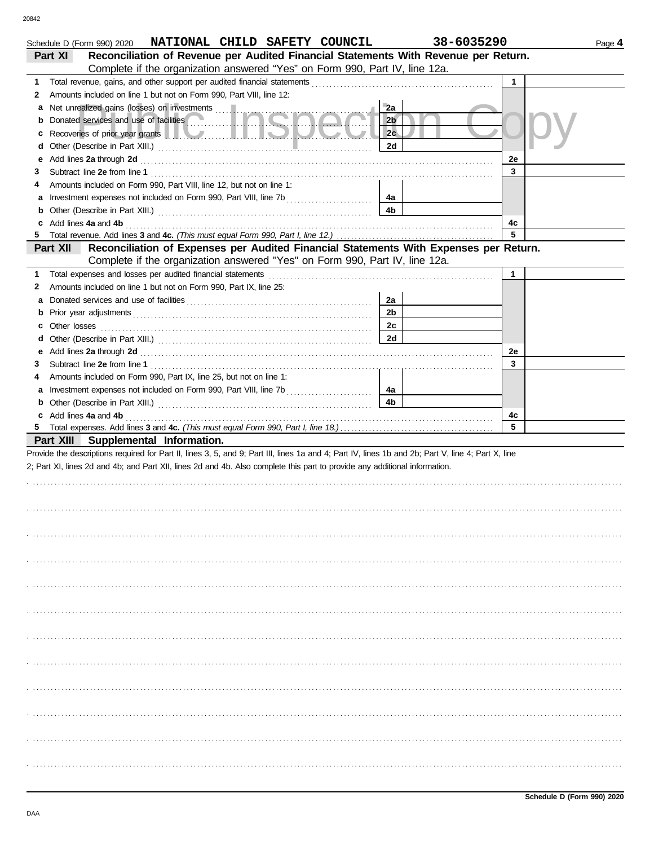|    | Schedule D (Form 990) 2020 NATIONAL CHILD SAFETY COUNCIL                                                                                                                                                                            | 38-6035290     |    | Page 4 |
|----|-------------------------------------------------------------------------------------------------------------------------------------------------------------------------------------------------------------------------------------|----------------|----|--------|
|    | Reconciliation of Revenue per Audited Financial Statements With Revenue per Return.<br>Part XI                                                                                                                                      |                |    |        |
|    | Complete if the organization answered "Yes" on Form 990, Part IV, line 12a.                                                                                                                                                         |                |    |        |
| 1. |                                                                                                                                                                                                                                     |                | 1  |        |
| 2  | Amounts included on line 1 but not on Form 990, Part VIII, line 12:                                                                                                                                                                 |                |    |        |
| a  |                                                                                                                                                                                                                                     | 2a             |    |        |
| b  | Donated services and use of facilities <b>Community</b>                                                                                                                                                                             | 2 <sub>b</sub> |    |        |
| c  | Recoveries of prior year grants <b>All Accounts</b> and the second in the second second in the second second in the second second in the second second second second second second second second second second second second second | 2c             |    |        |
| d  |                                                                                                                                                                                                                                     | 2d             |    |        |
| е  | Add lines 2a through 2d [11] Additional Property and Table 1 and Table 1 and Table 1 and Table 1 and Table 1 and Table 1 and Table 1 and Table 1 and Table 1 and Table 1 and Table 1 and Table 1 and Table 1 and Table 1 and T      |                | 2e |        |
| З  |                                                                                                                                                                                                                                     |                | 3  |        |
| 4  | Amounts included on Form 990, Part VIII, line 12, but not on line 1:                                                                                                                                                                |                |    |        |
| a  |                                                                                                                                                                                                                                     | 4a             |    |        |
|    |                                                                                                                                                                                                                                     | 4b             |    |        |
|    | c Add lines 4a and 4b                                                                                                                                                                                                               |                | 4c |        |
| 5. |                                                                                                                                                                                                                                     |                | 5  |        |
|    | Reconciliation of Expenses per Audited Financial Statements With Expenses per Return.<br>Part XII                                                                                                                                   |                |    |        |
|    | Complete if the organization answered "Yes" on Form 990, Part IV, line 12a.                                                                                                                                                         |                |    |        |
| 1. |                                                                                                                                                                                                                                     |                | 1  |        |
| 2  | Amounts included on line 1 but not on Form 990, Part IX, line 25:                                                                                                                                                                   |                |    |        |
| a  | Donated services and use of facilities [[11][11] contact the service of facilities [[11] contact the service of facilities [[11] contact the service of facilities [[11] contact the service of facilities [[11] contact the s      | 2a             |    |        |
| b  |                                                                                                                                                                                                                                     | 2b             |    |        |
| c  |                                                                                                                                                                                                                                     | 2c             |    |        |
| d  |                                                                                                                                                                                                                                     | 2d             |    |        |
| е  |                                                                                                                                                                                                                                     |                | 2e |        |
| 3  |                                                                                                                                                                                                                                     |                | 3  |        |
| 4  | Amounts included on Form 990, Part IX, line 25, but not on line 1:                                                                                                                                                                  |                |    |        |
| a  |                                                                                                                                                                                                                                     | 4a             |    |        |
|    |                                                                                                                                                                                                                                     | 4b             |    |        |
|    | c Add lines 4a and 4b                                                                                                                                                                                                               |                | 4c |        |
|    |                                                                                                                                                                                                                                     |                | 5  |        |
|    | Part XIII Supplemental Information.                                                                                                                                                                                                 |                |    |        |
|    | Provide the descriptions required for Part II, lines 3, 5, and 9; Part III, lines 1a and 4; Part IV, lines 1b and 2b; Part V, line 4; Part X, line                                                                                  |                |    |        |
|    | 2; Part XI, lines 2d and 4b; and Part XII, lines 2d and 4b. Also complete this part to provide any additional information.                                                                                                          |                |    |        |
|    |                                                                                                                                                                                                                                     |                |    |        |
|    |                                                                                                                                                                                                                                     |                |    |        |
|    |                                                                                                                                                                                                                                     |                |    |        |
|    |                                                                                                                                                                                                                                     |                |    |        |
|    |                                                                                                                                                                                                                                     |                |    |        |
|    |                                                                                                                                                                                                                                     |                |    |        |
|    |                                                                                                                                                                                                                                     |                |    |        |
|    |                                                                                                                                                                                                                                     |                |    |        |
|    |                                                                                                                                                                                                                                     |                |    |        |
|    |                                                                                                                                                                                                                                     |                |    |        |
|    |                                                                                                                                                                                                                                     |                |    |        |
|    |                                                                                                                                                                                                                                     |                |    |        |
|    |                                                                                                                                                                                                                                     |                |    |        |
|    |                                                                                                                                                                                                                                     |                |    |        |
|    |                                                                                                                                                                                                                                     |                |    |        |
|    |                                                                                                                                                                                                                                     |                |    |        |
|    |                                                                                                                                                                                                                                     |                |    |        |
|    |                                                                                                                                                                                                                                     |                |    |        |
|    |                                                                                                                                                                                                                                     |                |    |        |
|    |                                                                                                                                                                                                                                     |                |    |        |
|    |                                                                                                                                                                                                                                     |                |    |        |
|    |                                                                                                                                                                                                                                     |                |    |        |
|    |                                                                                                                                                                                                                                     |                |    |        |
|    |                                                                                                                                                                                                                                     |                |    |        |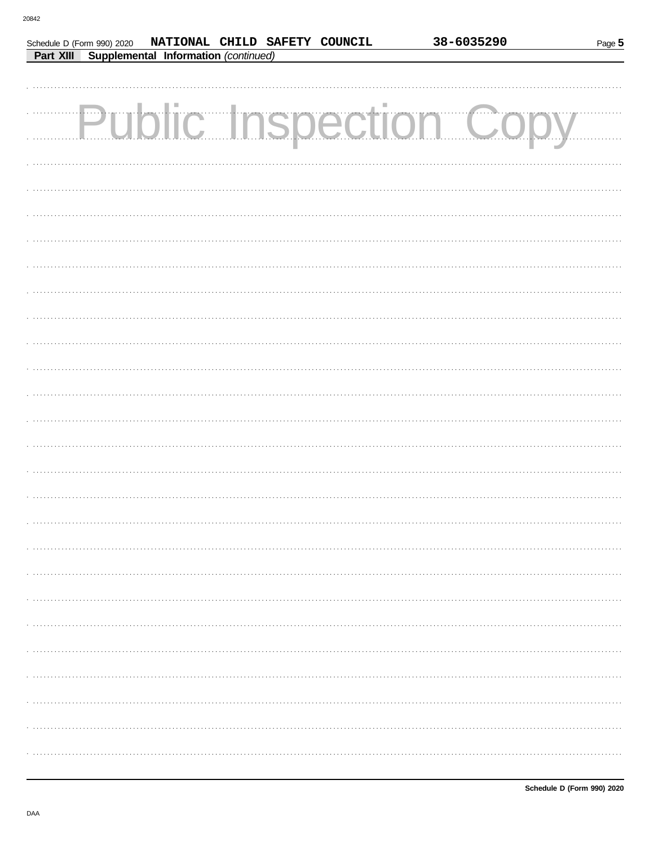| Schedule D (Form 990) 2020 | NATIONAL CHILD SAFETY COUNCIL                         |  |  |
|----------------------------|-------------------------------------------------------|--|--|
|                            | <b>Part XIII Supplemental Information (continued)</b> |  |  |

| Page 5 |
|--------|
|        |

| <b>Public Inspection Copy</b> |
|-------------------------------|
|                               |
|                               |
|                               |
|                               |
|                               |
|                               |
|                               |
|                               |
|                               |
|                               |
|                               |
|                               |
|                               |
|                               |
|                               |
|                               |
|                               |
|                               |
|                               |
|                               |
|                               |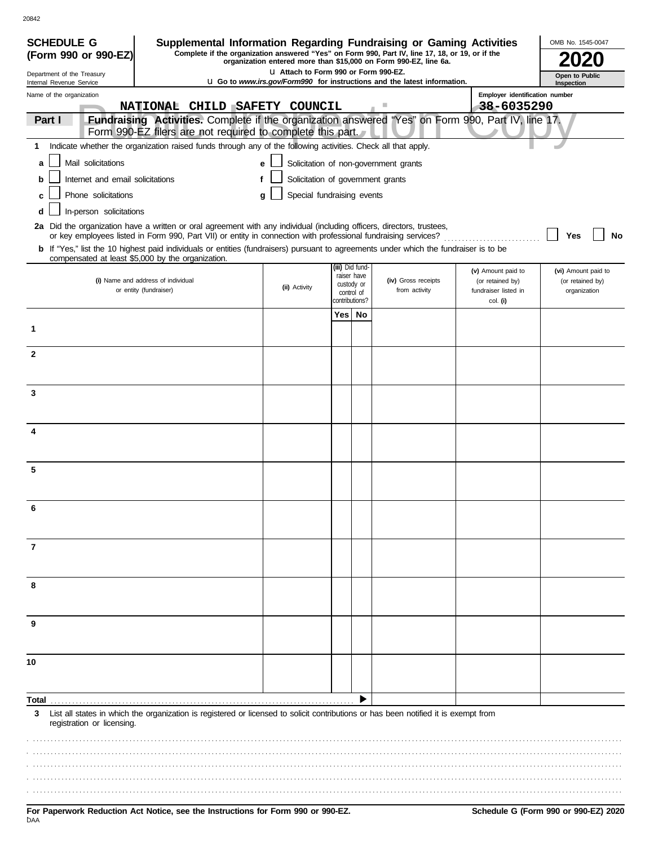| <b>SCHEDULE G</b><br>Supplemental Information Regarding Fundraising or Gaming Activities                                                                                                                                                                |                                                                                                                                                                     |                |                           |                                                                                 |                                        | OMB No. 1545-0047                       |  |  |
|---------------------------------------------------------------------------------------------------------------------------------------------------------------------------------------------------------------------------------------------------------|---------------------------------------------------------------------------------------------------------------------------------------------------------------------|----------------|---------------------------|---------------------------------------------------------------------------------|----------------------------------------|-----------------------------------------|--|--|
| (Form 990 or 990-EZ)                                                                                                                                                                                                                                    | Complete if the organization answered "Yes" on Form 990, Part IV, line 17, 18, or 19, or if the<br>organization entered more than \$15,000 on Form 990-EZ, line 6a. |                |                           |                                                                                 |                                        |                                         |  |  |
| Department of the Treasury<br>Internal Revenue Service                                                                                                                                                                                                  | LI Attach to Form 990 or Form 990-EZ.                                                                                                                               |                |                           | <b>u</b> Go to www.irs.gov/Form990 for instructions and the latest information. |                                        | Open to Public<br>Inspection            |  |  |
| Name of the organization                                                                                                                                                                                                                                |                                                                                                                                                                     |                |                           |                                                                                 | Employer identification number         |                                         |  |  |
| NATIONAL CHILD                                                                                                                                                                                                                                          | SAFETY COUNCIL                                                                                                                                                      |                |                           |                                                                                 | 38-6035290                             |                                         |  |  |
| Fundraising Activities. Complete if the organization answered "Yes" on Form 990, Part IV, line 17.<br>Part I<br>Form 990-EZ filers are not required to complete this part.                                                                              |                                                                                                                                                                     |                |                           |                                                                                 |                                        |                                         |  |  |
| Indicate whether the organization raised funds through any of the following activities. Check all that apply.<br>1                                                                                                                                      |                                                                                                                                                                     |                |                           |                                                                                 |                                        |                                         |  |  |
| Mail solicitations<br>a                                                                                                                                                                                                                                 | е                                                                                                                                                                   |                |                           | Solicitation of non-government grants                                           |                                        |                                         |  |  |
| Internet and email solicitations<br>b                                                                                                                                                                                                                   | Solicitation of government grants<br>f                                                                                                                              |                |                           |                                                                                 |                                        |                                         |  |  |
| Phone solicitations<br>C                                                                                                                                                                                                                                | Special fundraising events<br>a                                                                                                                                     |                |                           |                                                                                 |                                        |                                         |  |  |
| In-person solicitations<br>d                                                                                                                                                                                                                            |                                                                                                                                                                     |                |                           |                                                                                 |                                        |                                         |  |  |
| 2a Did the organization have a written or oral agreement with any individual (including officers, directors, trustees,                                                                                                                                  |                                                                                                                                                                     |                |                           |                                                                                 |                                        |                                         |  |  |
| or key employees listed in Form 990, Part VII) or entity in connection with professional fundraising services?<br>b If "Yes," list the 10 highest paid individuals or entities (fundraisers) pursuant to agreements under which the fundraiser is to be |                                                                                                                                                                     |                |                           |                                                                                 |                                        | No<br>Yes                               |  |  |
| compensated at least \$5,000 by the organization.                                                                                                                                                                                                       |                                                                                                                                                                     |                | (iii) Did fund-           |                                                                                 |                                        |                                         |  |  |
| (i) Name and address of individual                                                                                                                                                                                                                      |                                                                                                                                                                     |                | raiser have<br>custody or | (iv) Gross receipts                                                             | (v) Amount paid to<br>(or retained by) | (vi) Amount paid to<br>(or retained by) |  |  |
| or entity (fundraiser)                                                                                                                                                                                                                                  | (ii) Activity                                                                                                                                                       | contributions? | control of                | from activity                                                                   | fundraiser listed in<br>col. (i)       | organization                            |  |  |
|                                                                                                                                                                                                                                                         |                                                                                                                                                                     | Yes            | No                        |                                                                                 |                                        |                                         |  |  |
| 1                                                                                                                                                                                                                                                       |                                                                                                                                                                     |                |                           |                                                                                 |                                        |                                         |  |  |
|                                                                                                                                                                                                                                                         |                                                                                                                                                                     |                |                           |                                                                                 |                                        |                                         |  |  |
| $\mathbf{2}$                                                                                                                                                                                                                                            |                                                                                                                                                                     |                |                           |                                                                                 |                                        |                                         |  |  |
|                                                                                                                                                                                                                                                         |                                                                                                                                                                     |                |                           |                                                                                 |                                        |                                         |  |  |
| 3                                                                                                                                                                                                                                                       |                                                                                                                                                                     |                |                           |                                                                                 |                                        |                                         |  |  |
|                                                                                                                                                                                                                                                         |                                                                                                                                                                     |                |                           |                                                                                 |                                        |                                         |  |  |
| 4                                                                                                                                                                                                                                                       |                                                                                                                                                                     |                |                           |                                                                                 |                                        |                                         |  |  |
|                                                                                                                                                                                                                                                         |                                                                                                                                                                     |                |                           |                                                                                 |                                        |                                         |  |  |
| 5                                                                                                                                                                                                                                                       |                                                                                                                                                                     |                |                           |                                                                                 |                                        |                                         |  |  |
|                                                                                                                                                                                                                                                         |                                                                                                                                                                     |                |                           |                                                                                 |                                        |                                         |  |  |
|                                                                                                                                                                                                                                                         |                                                                                                                                                                     |                |                           |                                                                                 |                                        |                                         |  |  |
|                                                                                                                                                                                                                                                         |                                                                                                                                                                     |                |                           |                                                                                 |                                        |                                         |  |  |
|                                                                                                                                                                                                                                                         |                                                                                                                                                                     |                |                           |                                                                                 |                                        |                                         |  |  |
| 7                                                                                                                                                                                                                                                       |                                                                                                                                                                     |                |                           |                                                                                 |                                        |                                         |  |  |
|                                                                                                                                                                                                                                                         |                                                                                                                                                                     |                |                           |                                                                                 |                                        |                                         |  |  |
| 8                                                                                                                                                                                                                                                       |                                                                                                                                                                     |                |                           |                                                                                 |                                        |                                         |  |  |
|                                                                                                                                                                                                                                                         |                                                                                                                                                                     |                |                           |                                                                                 |                                        |                                         |  |  |
|                                                                                                                                                                                                                                                         |                                                                                                                                                                     |                |                           |                                                                                 |                                        |                                         |  |  |
| 9                                                                                                                                                                                                                                                       |                                                                                                                                                                     |                |                           |                                                                                 |                                        |                                         |  |  |
|                                                                                                                                                                                                                                                         |                                                                                                                                                                     |                |                           |                                                                                 |                                        |                                         |  |  |
| 10                                                                                                                                                                                                                                                      |                                                                                                                                                                     |                |                           |                                                                                 |                                        |                                         |  |  |
|                                                                                                                                                                                                                                                         |                                                                                                                                                                     |                |                           |                                                                                 |                                        |                                         |  |  |
| Total                                                                                                                                                                                                                                                   |                                                                                                                                                                     |                |                           |                                                                                 |                                        |                                         |  |  |
| 3<br>List all states in which the organization is registered or licensed to solicit contributions or has been notified it is exempt from                                                                                                                |                                                                                                                                                                     |                |                           |                                                                                 |                                        |                                         |  |  |
| registration or licensing.                                                                                                                                                                                                                              |                                                                                                                                                                     |                |                           |                                                                                 |                                        |                                         |  |  |
|                                                                                                                                                                                                                                                         |                                                                                                                                                                     |                |                           |                                                                                 |                                        |                                         |  |  |
|                                                                                                                                                                                                                                                         |                                                                                                                                                                     |                |                           |                                                                                 |                                        |                                         |  |  |
|                                                                                                                                                                                                                                                         |                                                                                                                                                                     |                |                           |                                                                                 |                                        |                                         |  |  |
|                                                                                                                                                                                                                                                         |                                                                                                                                                                     |                |                           |                                                                                 |                                        |                                         |  |  |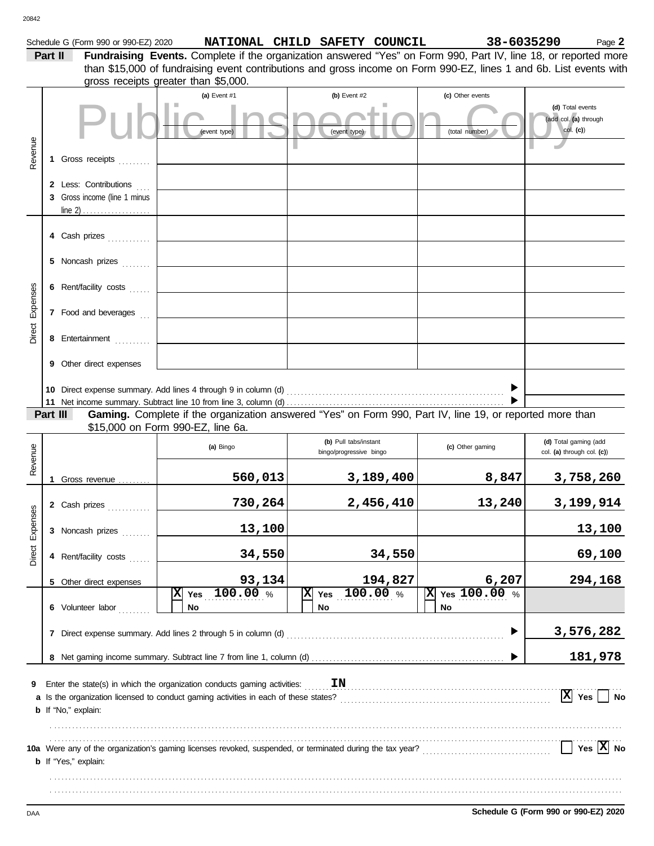| 20842           |          |                                      |                                                                                                                                                                                                                                       |                                                  |                                   |                                                     |
|-----------------|----------|--------------------------------------|---------------------------------------------------------------------------------------------------------------------------------------------------------------------------------------------------------------------------------------|--------------------------------------------------|-----------------------------------|-----------------------------------------------------|
|                 | Part II  | Schedule G (Form 990 or 990-EZ) 2020 | Fundraising Events. Complete if the organization answered "Yes" on Form 990, Part IV, line 18, or reported more<br>than \$15,000 of fundraising event contributions and gross income on Form 990-EZ, lines 1 and 6b. List events with | NATIONAL CHILD SAFETY COUNCIL                    | 38-6035290                        | Page 2                                              |
|                 |          |                                      | gross receipts greater than \$5,000.                                                                                                                                                                                                  |                                                  |                                   |                                                     |
|                 |          |                                      | (a) Event #1                                                                                                                                                                                                                          | (b) Event #2                                     | (c) Other events                  | (d) Total events                                    |
|                 |          |                                      | (event type)                                                                                                                                                                                                                          | (event type)                                     | (total number)                    | (add col. (a) through<br>$col.$ (c))                |
| Revenue         |          | 1 Gross receipts                     |                                                                                                                                                                                                                                       |                                                  |                                   |                                                     |
|                 |          | 2 Less: Contributions                |                                                                                                                                                                                                                                       |                                                  |                                   |                                                     |
|                 |          | 3 Gross income (line 1 minus         |                                                                                                                                                                                                                                       |                                                  |                                   |                                                     |
|                 |          | 4 Cash prizes                        |                                                                                                                                                                                                                                       |                                                  |                                   |                                                     |
|                 |          | 5 Noncash prizes                     |                                                                                                                                                                                                                                       |                                                  |                                   |                                                     |
|                 |          | 6 Rent/facility costs                |                                                                                                                                                                                                                                       |                                                  |                                   |                                                     |
| Direct Expenses |          | 7 Food and beverages                 |                                                                                                                                                                                                                                       |                                                  |                                   |                                                     |
|                 |          | 8 Entertainment                      |                                                                                                                                                                                                                                       |                                                  |                                   |                                                     |
|                 |          | <b>9</b> Other direct expenses       |                                                                                                                                                                                                                                       |                                                  |                                   |                                                     |
|                 |          |                                      |                                                                                                                                                                                                                                       |                                                  |                                   |                                                     |
|                 | Part III |                                      | Gaming. Complete if the organization answered "Yes" on Form 990, Part IV, line 19, or reported more than                                                                                                                              |                                                  |                                   |                                                     |
|                 |          |                                      | \$15,000 on Form 990-EZ, line 6a.                                                                                                                                                                                                     |                                                  |                                   |                                                     |
| Revenue         |          |                                      | (a) Bingo                                                                                                                                                                                                                             | (b) Pull tabs/instant<br>bingo/progressive bingo | (c) Other gaming                  | (d) Total gaming (add<br>col. (a) through col. (c)) |
|                 |          | 1 Gross revenue                      | 560,013                                                                                                                                                                                                                               | 3,189,400                                        | 8,847                             | 3,758,260                                           |
|                 |          | 2 Cash prizes                        | 730,264                                                                                                                                                                                                                               | 2,456,410                                        | 13,240                            | 3,199,914                                           |
| Direct Expenses |          | 3 Noncash prizes                     | 13,100                                                                                                                                                                                                                                |                                                  |                                   | 13,100                                              |
|                 |          | 4 Rent/facility costs                | 34,550                                                                                                                                                                                                                                | 34,550                                           |                                   | 69,100                                              |
|                 |          | 5 Other direct expenses              | 93,134                                                                                                                                                                                                                                | 194,827                                          | 6,207                             | 294,168                                             |
|                 |          | 6 Volunteer labor                    | 100.00 %<br>図<br>Yes<br>No                                                                                                                                                                                                            | 100.00%<br> x <br>Yes<br>No                      | $\overline{X}$ Yes 100.00 %<br>No |                                                     |
|                 |          |                                      | 7 Direct expense summary. Add lines 2 through 5 in column (d)                                                                                                                                                                         |                                                  |                                   | 3,576,282                                           |
|                 |          |                                      |                                                                                                                                                                                                                                       |                                                  |                                   | 181,978                                             |
| 9               |          | <b>b</b> If "No," explain:           | Enter the state(s) in which the organization conducts gaming activities:<br>a Is the organization licensed to conduct gaming activities in each of these states?                                                                      | IN                                               |                                   | $\overline{X}$ Yes<br><b>No</b>                     |
|                 |          | <b>b</b> If "Yes," explain:          | 10a Were any of the organization's gaming licenses revoked, suspended, or terminated during the tax year?<br>10a Were any of the organization's gaming licenses revoked, suspended, or terminated during the tax year?                |                                                  |                                   | $Yes \boxed{X} No$                                  |
|                 |          |                                      |                                                                                                                                                                                                                                       |                                                  |                                   |                                                     |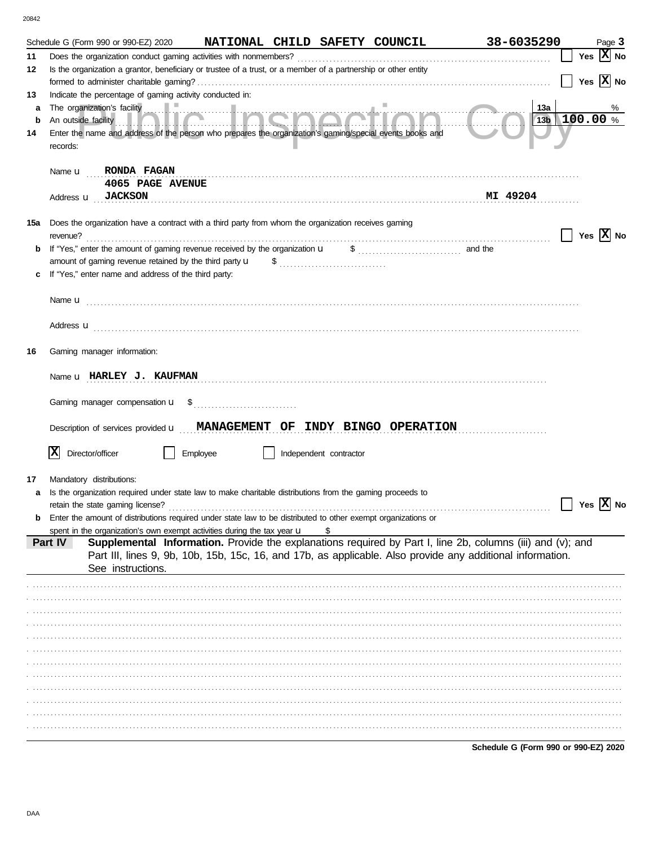|         | Schedule G (Form 990 or 990-EZ) 2020                                                                                                                                                                                                    | NATIONAL CHILD SAFETY COUNCIL |                        |                       | 38-6035290                                                                                                 | Page 3                     |
|---------|-----------------------------------------------------------------------------------------------------------------------------------------------------------------------------------------------------------------------------------------|-------------------------------|------------------------|-----------------------|------------------------------------------------------------------------------------------------------------|----------------------------|
| 11      | Does the organization conduct gaming activities with nonmembers?                                                                                                                                                                        |                               |                        |                       |                                                                                                            | Yes $X$ No                 |
| 12      | Is the organization a grantor, beneficiary or trustee of a trust, or a member of a partnership or other entity                                                                                                                          |                               |                        |                       |                                                                                                            |                            |
|         |                                                                                                                                                                                                                                         |                               |                        |                       |                                                                                                            | Yes $\overline{X}$ No      |
| 13      | Indicate the percentage of gaming activity conducted in:                                                                                                                                                                                |                               |                        |                       |                                                                                                            |                            |
| a       | The organization's facility<br>An outside facility <b>The Structure of the Structure of the Contract of the Contract of the Contract of the Contract of the Contract of the Contract of the Contract of the Contract of the Contrac</b> |                               |                        |                       | 13a                                                                                                        | %<br>$13b$ 100.00 %        |
| b<br>14 | Enter the name and address of the person who prepares the organization's gaming/special events books and                                                                                                                                |                               |                        |                       |                                                                                                            |                            |
|         | records:                                                                                                                                                                                                                                |                               |                        |                       |                                                                                                            |                            |
|         | RONDA FAGAN<br>Name <b>u</b>                                                                                                                                                                                                            |                               |                        |                       |                                                                                                            |                            |
|         | 4065 PAGE AVENUE                                                                                                                                                                                                                        |                               |                        |                       |                                                                                                            |                            |
|         | Address <b>u</b> JACKSON                                                                                                                                                                                                                |                               |                        |                       | MI 49204                                                                                                   |                            |
|         |                                                                                                                                                                                                                                         |                               |                        |                       |                                                                                                            |                            |
| 15a     | Does the organization have a contract with a third party from whom the organization receives gaming                                                                                                                                     |                               |                        |                       |                                                                                                            |                            |
|         | revenue?                                                                                                                                                                                                                                |                               |                        |                       |                                                                                                            | $\vert$   Yes $\vert$ X No |
| b       | If "Yes," enter the amount of gaming revenue received by the organization u                                                                                                                                                             |                               |                        | $\frac{1}{2}$ and the |                                                                                                            |                            |
|         | amount of gaming revenue retained by the third party $\mathbf u$                                                                                                                                                                        |                               |                        |                       |                                                                                                            |                            |
|         | If "Yes," enter name and address of the third party:                                                                                                                                                                                    |                               |                        |                       |                                                                                                            |                            |
|         |                                                                                                                                                                                                                                         |                               |                        |                       |                                                                                                            |                            |
|         |                                                                                                                                                                                                                                         |                               |                        |                       |                                                                                                            |                            |
|         | Address <b>u</b>                                                                                                                                                                                                                        |                               |                        |                       |                                                                                                            |                            |
|         |                                                                                                                                                                                                                                         |                               |                        |                       |                                                                                                            |                            |
| 16      | Gaming manager information:                                                                                                                                                                                                             |                               |                        |                       |                                                                                                            |                            |
|         |                                                                                                                                                                                                                                         |                               |                        |                       |                                                                                                            |                            |
|         | Name u HARLEY J. KAUFMAN                                                                                                                                                                                                                |                               |                        |                       |                                                                                                            |                            |
|         |                                                                                                                                                                                                                                         |                               |                        |                       |                                                                                                            |                            |
|         |                                                                                                                                                                                                                                         |                               |                        |                       |                                                                                                            |                            |
|         | Description of services provided <b>u</b> MANAGEMENT OF INDY BINGO OPERATION                                                                                                                                                            |                               |                        |                       |                                                                                                            |                            |
|         |                                                                                                                                                                                                                                         |                               |                        |                       |                                                                                                            |                            |
|         | X<br>Director/officer                                                                                                                                                                                                                   | Employee                      | Independent contractor |                       |                                                                                                            |                            |
|         |                                                                                                                                                                                                                                         |                               |                        |                       |                                                                                                            |                            |
| 17      | Mandatory distributions:                                                                                                                                                                                                                |                               |                        |                       |                                                                                                            |                            |
| a       | Is the organization required under state law to make charitable distributions from the gaming proceeds to<br>retain the state gaming license?                                                                                           |                               |                        |                       |                                                                                                            | Yes $ \mathbf{X} $ No      |
| b       | Enter the amount of distributions required under state law to be distributed to other exempt organizations or                                                                                                                           |                               |                        |                       |                                                                                                            |                            |
|         | spent in the organization's own exempt activities during the tax year $\mathbf u$                                                                                                                                                       |                               |                        |                       |                                                                                                            |                            |
|         | Part IV                                                                                                                                                                                                                                 |                               |                        |                       | Supplemental Information. Provide the explanations required by Part I, line 2b, columns (iii) and (v); and |                            |
|         |                                                                                                                                                                                                                                         |                               |                        |                       | Part III, lines 9, 9b, 10b, 15b, 15c, 16, and 17b, as applicable. Also provide any additional information. |                            |
|         | See instructions.                                                                                                                                                                                                                       |                               |                        |                       |                                                                                                            |                            |
|         |                                                                                                                                                                                                                                         |                               |                        |                       |                                                                                                            |                            |
|         |                                                                                                                                                                                                                                         |                               |                        |                       |                                                                                                            |                            |
|         |                                                                                                                                                                                                                                         |                               |                        |                       |                                                                                                            |                            |
|         |                                                                                                                                                                                                                                         |                               |                        |                       |                                                                                                            |                            |
|         |                                                                                                                                                                                                                                         |                               |                        |                       |                                                                                                            |                            |
|         |                                                                                                                                                                                                                                         |                               |                        |                       |                                                                                                            |                            |
|         |                                                                                                                                                                                                                                         |                               |                        |                       |                                                                                                            |                            |
|         |                                                                                                                                                                                                                                         |                               |                        |                       |                                                                                                            |                            |
|         |                                                                                                                                                                                                                                         |                               |                        |                       |                                                                                                            |                            |
|         |                                                                                                                                                                                                                                         |                               |                        |                       |                                                                                                            |                            |
|         |                                                                                                                                                                                                                                         |                               |                        |                       |                                                                                                            |                            |
|         |                                                                                                                                                                                                                                         |                               |                        |                       |                                                                                                            |                            |

Schedule G (Form 990 or 990-EZ) 2020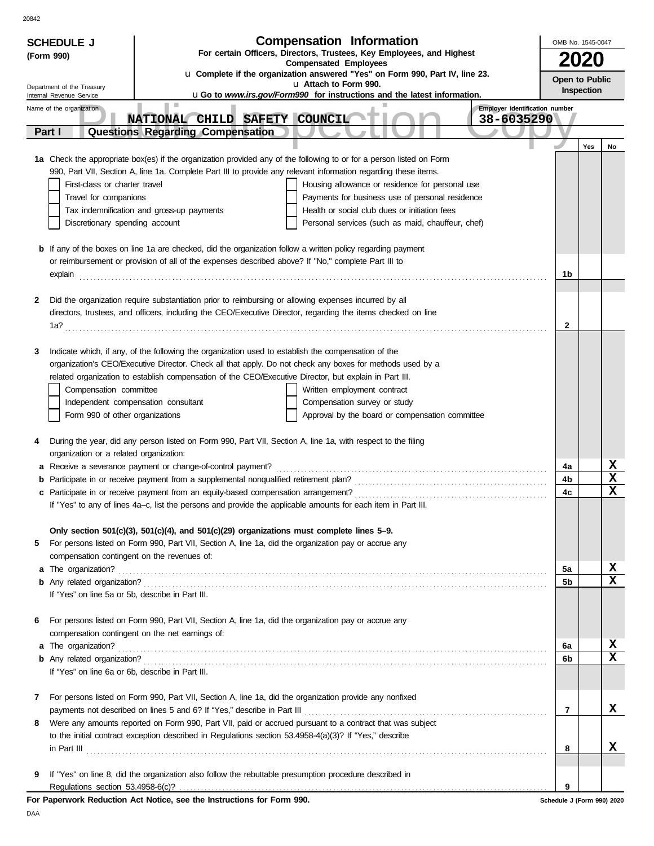| <b>SCHEDULE J</b>                                    | <b>Compensation Information</b>                                                                                                                                                                                    |                                | OMB No. 1545-0047 |     |        |  |
|------------------------------------------------------|--------------------------------------------------------------------------------------------------------------------------------------------------------------------------------------------------------------------|--------------------------------|-------------------|-----|--------|--|
| (Form 990)                                           | For certain Officers, Directors, Trustees, Key Employees, and Highest<br><b>Compensated Employees</b>                                                                                                              |                                |                   |     |        |  |
|                                                      | u Complete if the organization answered "Yes" on Form 990, Part IV, line 23.                                                                                                                                       |                                | Open to Public    |     |        |  |
| Department of the Treasury                           | u Attach to Form 990.<br>uGo to www.irs.gov/Form990 for instructions and the latest information.                                                                                                                   |                                | Inspection        |     |        |  |
| Internal Revenue Service<br>Name of the organization |                                                                                                                                                                                                                    | Employer identification number |                   |     |        |  |
|                                                      | NATIONAL CHILD SAFETY COUNCIL                                                                                                                                                                                      | 38-6035290                     |                   |     |        |  |
| Part I                                               | <b>Questions Regarding Compensation</b>                                                                                                                                                                            |                                |                   |     |        |  |
|                                                      |                                                                                                                                                                                                                    |                                |                   | Yes | No     |  |
|                                                      | 1a Check the appropriate box(es) if the organization provided any of the following to or for a person listed on Form                                                                                               |                                |                   |     |        |  |
|                                                      | 990, Part VII, Section A, line 1a. Complete Part III to provide any relevant information regarding these items.                                                                                                    |                                |                   |     |        |  |
| First-class or charter travel                        | Housing allowance or residence for personal use                                                                                                                                                                    |                                |                   |     |        |  |
| Travel for companions                                | Payments for business use of personal residence<br>Health or social club dues or initiation fees<br>Tax indemnification and gross-up payments                                                                      |                                |                   |     |        |  |
| Discretionary spending account                       | Personal services (such as maid, chauffeur, chef)                                                                                                                                                                  |                                |                   |     |        |  |
|                                                      |                                                                                                                                                                                                                    |                                |                   |     |        |  |
|                                                      | <b>b</b> If any of the boxes on line 1a are checked, did the organization follow a written policy regarding payment                                                                                                |                                |                   |     |        |  |
|                                                      | or reimbursement or provision of all of the expenses described above? If "No," complete Part III to                                                                                                                |                                |                   |     |        |  |
| explain                                              |                                                                                                                                                                                                                    |                                | 1b                |     |        |  |
|                                                      |                                                                                                                                                                                                                    |                                |                   |     |        |  |
| 2                                                    | Did the organization require substantiation prior to reimbursing or allowing expenses incurred by all                                                                                                              |                                |                   |     |        |  |
|                                                      | directors, trustees, and officers, including the CEO/Executive Director, regarding the items checked on line                                                                                                       |                                |                   |     |        |  |
|                                                      |                                                                                                                                                                                                                    |                                | 2                 |     |        |  |
| 3                                                    | Indicate which, if any, of the following the organization used to establish the compensation of the                                                                                                                |                                |                   |     |        |  |
|                                                      | organization's CEO/Executive Director. Check all that apply. Do not check any boxes for methods used by a                                                                                                          |                                |                   |     |        |  |
|                                                      | related organization to establish compensation of the CEO/Executive Director, but explain in Part III.                                                                                                             |                                |                   |     |        |  |
| Compensation committee                               | Written employment contract                                                                                                                                                                                        |                                |                   |     |        |  |
|                                                      | Independent compensation consultant<br>Compensation survey or study                                                                                                                                                |                                |                   |     |        |  |
| Form 990 of other organizations                      | Approval by the board or compensation committee                                                                                                                                                                    |                                |                   |     |        |  |
|                                                      |                                                                                                                                                                                                                    |                                |                   |     |        |  |
| 4                                                    | During the year, did any person listed on Form 990, Part VII, Section A, line 1a, with respect to the filing                                                                                                       |                                |                   |     |        |  |
| organization or a related organization:              |                                                                                                                                                                                                                    |                                |                   |     |        |  |
| а                                                    | Receive a severance payment or change-of-control payment?                                                                                                                                                          |                                | 4a<br>4b          |     | X<br>X |  |
| b                                                    |                                                                                                                                                                                                                    |                                | 4c                |     | X      |  |
|                                                      | If "Yes" to any of lines 4a-c, list the persons and provide the applicable amounts for each item in Part III.                                                                                                      |                                |                   |     |        |  |
|                                                      |                                                                                                                                                                                                                    |                                |                   |     |        |  |
|                                                      | Only section $501(c)(3)$ , $501(c)(4)$ , and $501(c)(29)$ organizations must complete lines 5–9.                                                                                                                   |                                |                   |     |        |  |
| 5                                                    | For persons listed on Form 990, Part VII, Section A, line 1a, did the organization pay or accrue any                                                                                                               |                                |                   |     |        |  |
|                                                      | compensation contingent on the revenues of:                                                                                                                                                                        |                                |                   |     |        |  |
|                                                      |                                                                                                                                                                                                                    |                                | 5a                |     | X      |  |
|                                                      |                                                                                                                                                                                                                    |                                | 5 <sub>b</sub>    |     | X      |  |
|                                                      | If "Yes" on line 5a or 5b, describe in Part III.                                                                                                                                                                   |                                |                   |     |        |  |
| 6                                                    | For persons listed on Form 990, Part VII, Section A, line 1a, did the organization pay or accrue any                                                                                                               |                                |                   |     |        |  |
|                                                      | compensation contingent on the net earnings of:                                                                                                                                                                    |                                |                   |     |        |  |
|                                                      |                                                                                                                                                                                                                    |                                | 6a                |     | X      |  |
|                                                      |                                                                                                                                                                                                                    |                                | 6b                |     | X      |  |
|                                                      | If "Yes" on line 6a or 6b, describe in Part III.                                                                                                                                                                   |                                |                   |     |        |  |
|                                                      |                                                                                                                                                                                                                    |                                |                   |     |        |  |
| 7                                                    | For persons listed on Form 990, Part VII, Section A, line 1a, did the organization provide any nonfixed                                                                                                            |                                |                   |     |        |  |
|                                                      |                                                                                                                                                                                                                    |                                | 7                 |     | x      |  |
| 8                                                    | Were any amounts reported on Form 990, Part VII, paid or accrued pursuant to a contract that was subject<br>to the initial contract exception described in Regulations section 53.4958-4(a)(3)? If "Yes," describe |                                |                   |     |        |  |
|                                                      |                                                                                                                                                                                                                    |                                | 8                 |     | x.     |  |
|                                                      | $\ $ n Part III $\ $                                                                                                                                                                                               |                                |                   |     |        |  |
| 9                                                    | If "Yes" on line 8, did the organization also follow the rebuttable presumption procedure described in                                                                                                             |                                |                   |     |        |  |
|                                                      |                                                                                                                                                                                                                    |                                | 9                 |     |        |  |
|                                                      | For Paperwork Reduction Act Notice, see the Instructions for Form 990.                                                                                                                                             | Schedule J (Form 990) 2020     |                   |     |        |  |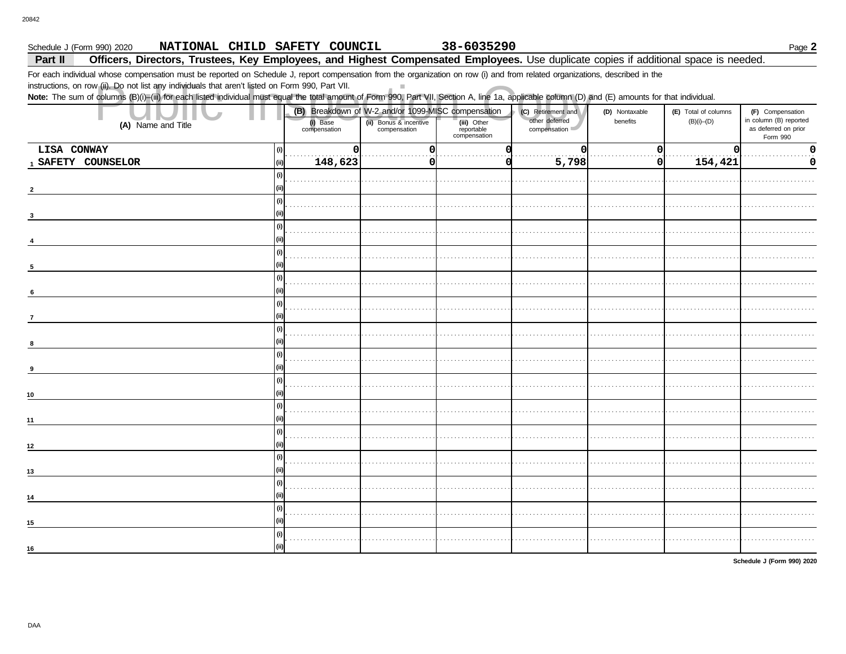### 38-6035290 Page 2 Schedule J (Form 990) 2020 NATIONAL CHILD SAFETY COUNCIL Part II Officers, Directors, Trustees, Key Employees, and Highest Compensated Employees. Use duplicate copies if additional space is needed.

 $\mathbb{R}^n$ 

For each individual whose compensation must be reported on Schedule J, report compensation from the organization on row (i) and from related organizations, described in the

instructions, on row (ii). Do not list any individuals that aren't listed on Form 990, Part VII.

Note: The sum of columns (B)(i)-(iii) for each listed individual must equal the total amount of Form 990, Part VII, Section A, line 1a, applicable column (D) and (E) amounts for that individual.

| other deferred<br>in column (B) reported<br>(ii) Bonus & incentive<br>compensation<br>benefits<br>$(B)(i)$ - $(D)$<br>(iii) Other<br>reportable<br>compensation<br>(i) Base<br>compensation<br>(A) Name and Title<br>compensation<br>as deferred on prior<br>Form 990<br>LISA CONWAY<br>0<br>$\Omega$<br>$\Omega$<br>$\mathbf 0$<br>(i)<br>0<br>O<br>5,798<br>154,421<br>148,623<br>1 SAFETY COUNSELOR<br> 0 <br>(i)<br>0<br>0<br>(i)<br>(ii)<br>$\overline{2}$<br>(i)<br>(ii)<br>3<br>(i)<br>(ii)<br>(i)<br>(ii)<br>$5\phantom{.0}$<br>$\omega$<br>(ii)<br>$\,$ 6<br>(i)<br>(ii)<br>$\overline{7}$<br>(i)<br>(ii)<br>(i)<br>(ii)<br>9<br>(i)<br>(ii)<br>10<br>(i)<br>(ii)<br>11<br>$\binom{1}{2}$<br>(ii)<br>$12\,$<br>(i)<br>(ii)<br>13<br>$\omega$<br>(ii)<br>14<br>(i)<br>(ii)<br>15<br>(i)<br>(ii)<br>16 |  |  | (B) Breakdown of W-2 and/or 1099-MISC compensation | (C) Retirement and | (D) Nontaxable | (E) Total of columns | (F) Compensation |
|---------------------------------------------------------------------------------------------------------------------------------------------------------------------------------------------------------------------------------------------------------------------------------------------------------------------------------------------------------------------------------------------------------------------------------------------------------------------------------------------------------------------------------------------------------------------------------------------------------------------------------------------------------------------------------------------------------------------------------------------------------------------------------------------------------------|--|--|----------------------------------------------------|--------------------|----------------|----------------------|------------------|
|                                                                                                                                                                                                                                                                                                                                                                                                                                                                                                                                                                                                                                                                                                                                                                                                               |  |  |                                                    |                    |                |                      |                  |
|                                                                                                                                                                                                                                                                                                                                                                                                                                                                                                                                                                                                                                                                                                                                                                                                               |  |  |                                                    |                    |                |                      |                  |
|                                                                                                                                                                                                                                                                                                                                                                                                                                                                                                                                                                                                                                                                                                                                                                                                               |  |  |                                                    |                    |                |                      |                  |
|                                                                                                                                                                                                                                                                                                                                                                                                                                                                                                                                                                                                                                                                                                                                                                                                               |  |  |                                                    |                    |                |                      |                  |
|                                                                                                                                                                                                                                                                                                                                                                                                                                                                                                                                                                                                                                                                                                                                                                                                               |  |  |                                                    |                    |                |                      |                  |
|                                                                                                                                                                                                                                                                                                                                                                                                                                                                                                                                                                                                                                                                                                                                                                                                               |  |  |                                                    |                    |                |                      |                  |
|                                                                                                                                                                                                                                                                                                                                                                                                                                                                                                                                                                                                                                                                                                                                                                                                               |  |  |                                                    |                    |                |                      |                  |
|                                                                                                                                                                                                                                                                                                                                                                                                                                                                                                                                                                                                                                                                                                                                                                                                               |  |  |                                                    |                    |                |                      |                  |
|                                                                                                                                                                                                                                                                                                                                                                                                                                                                                                                                                                                                                                                                                                                                                                                                               |  |  |                                                    |                    |                |                      |                  |
|                                                                                                                                                                                                                                                                                                                                                                                                                                                                                                                                                                                                                                                                                                                                                                                                               |  |  |                                                    |                    |                |                      |                  |
|                                                                                                                                                                                                                                                                                                                                                                                                                                                                                                                                                                                                                                                                                                                                                                                                               |  |  |                                                    |                    |                |                      |                  |
|                                                                                                                                                                                                                                                                                                                                                                                                                                                                                                                                                                                                                                                                                                                                                                                                               |  |  |                                                    |                    |                |                      |                  |
|                                                                                                                                                                                                                                                                                                                                                                                                                                                                                                                                                                                                                                                                                                                                                                                                               |  |  |                                                    |                    |                |                      |                  |
|                                                                                                                                                                                                                                                                                                                                                                                                                                                                                                                                                                                                                                                                                                                                                                                                               |  |  |                                                    |                    |                |                      |                  |
|                                                                                                                                                                                                                                                                                                                                                                                                                                                                                                                                                                                                                                                                                                                                                                                                               |  |  |                                                    |                    |                |                      |                  |
|                                                                                                                                                                                                                                                                                                                                                                                                                                                                                                                                                                                                                                                                                                                                                                                                               |  |  |                                                    |                    |                |                      |                  |
|                                                                                                                                                                                                                                                                                                                                                                                                                                                                                                                                                                                                                                                                                                                                                                                                               |  |  |                                                    |                    |                |                      |                  |
|                                                                                                                                                                                                                                                                                                                                                                                                                                                                                                                                                                                                                                                                                                                                                                                                               |  |  |                                                    |                    |                |                      |                  |
|                                                                                                                                                                                                                                                                                                                                                                                                                                                                                                                                                                                                                                                                                                                                                                                                               |  |  |                                                    |                    |                |                      |                  |
|                                                                                                                                                                                                                                                                                                                                                                                                                                                                                                                                                                                                                                                                                                                                                                                                               |  |  |                                                    |                    |                |                      |                  |
|                                                                                                                                                                                                                                                                                                                                                                                                                                                                                                                                                                                                                                                                                                                                                                                                               |  |  |                                                    |                    |                |                      |                  |
|                                                                                                                                                                                                                                                                                                                                                                                                                                                                                                                                                                                                                                                                                                                                                                                                               |  |  |                                                    |                    |                |                      |                  |
|                                                                                                                                                                                                                                                                                                                                                                                                                                                                                                                                                                                                                                                                                                                                                                                                               |  |  |                                                    |                    |                |                      |                  |
|                                                                                                                                                                                                                                                                                                                                                                                                                                                                                                                                                                                                                                                                                                                                                                                                               |  |  |                                                    |                    |                |                      |                  |
|                                                                                                                                                                                                                                                                                                                                                                                                                                                                                                                                                                                                                                                                                                                                                                                                               |  |  |                                                    |                    |                |                      |                  |
|                                                                                                                                                                                                                                                                                                                                                                                                                                                                                                                                                                                                                                                                                                                                                                                                               |  |  |                                                    |                    |                |                      |                  |
|                                                                                                                                                                                                                                                                                                                                                                                                                                                                                                                                                                                                                                                                                                                                                                                                               |  |  |                                                    |                    |                |                      |                  |
|                                                                                                                                                                                                                                                                                                                                                                                                                                                                                                                                                                                                                                                                                                                                                                                                               |  |  |                                                    |                    |                |                      |                  |
|                                                                                                                                                                                                                                                                                                                                                                                                                                                                                                                                                                                                                                                                                                                                                                                                               |  |  |                                                    |                    |                |                      |                  |
|                                                                                                                                                                                                                                                                                                                                                                                                                                                                                                                                                                                                                                                                                                                                                                                                               |  |  |                                                    |                    |                |                      |                  |
|                                                                                                                                                                                                                                                                                                                                                                                                                                                                                                                                                                                                                                                                                                                                                                                                               |  |  |                                                    |                    |                |                      |                  |
|                                                                                                                                                                                                                                                                                                                                                                                                                                                                                                                                                                                                                                                                                                                                                                                                               |  |  |                                                    |                    |                |                      |                  |
|                                                                                                                                                                                                                                                                                                                                                                                                                                                                                                                                                                                                                                                                                                                                                                                                               |  |  |                                                    |                    |                |                      |                  |

Schedule J (Form 990) 2020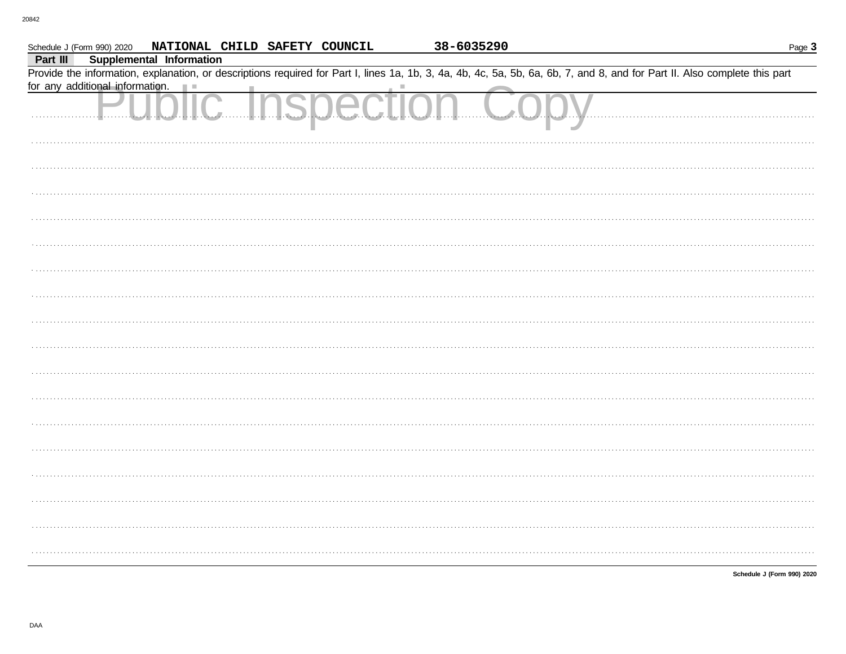| Schedule J (Form 990) 2020 NATIONAL CHILD SAFETY COUNCIL                                                                                                                   | 38-6035290 | Page 3                     |
|----------------------------------------------------------------------------------------------------------------------------------------------------------------------------|------------|----------------------------|
| <b>Supplemental Information</b><br>Part III                                                                                                                                |            |                            |
| Provide the information, explanation, or descriptions required for Part I, lines 1a, 1b, 3, 4a, 4b, 4c, 5a, 5b, 6a, 6b, 7, and 8, and for Part II. Also complete this part |            |                            |
| for any additional information.<br>ш                                                                                                                                       |            |                            |
| IIC Inspectio                                                                                                                                                              |            |                            |
|                                                                                                                                                                            |            |                            |
|                                                                                                                                                                            |            |                            |
|                                                                                                                                                                            |            |                            |
|                                                                                                                                                                            |            |                            |
|                                                                                                                                                                            |            |                            |
|                                                                                                                                                                            |            |                            |
|                                                                                                                                                                            |            |                            |
|                                                                                                                                                                            |            |                            |
|                                                                                                                                                                            |            |                            |
|                                                                                                                                                                            |            |                            |
|                                                                                                                                                                            |            |                            |
|                                                                                                                                                                            |            |                            |
|                                                                                                                                                                            |            |                            |
|                                                                                                                                                                            |            |                            |
|                                                                                                                                                                            |            |                            |
|                                                                                                                                                                            |            |                            |
|                                                                                                                                                                            |            |                            |
|                                                                                                                                                                            |            |                            |
|                                                                                                                                                                            |            |                            |
|                                                                                                                                                                            |            |                            |
|                                                                                                                                                                            |            |                            |
|                                                                                                                                                                            |            |                            |
|                                                                                                                                                                            |            | Schedule J (Form 990) 2020 |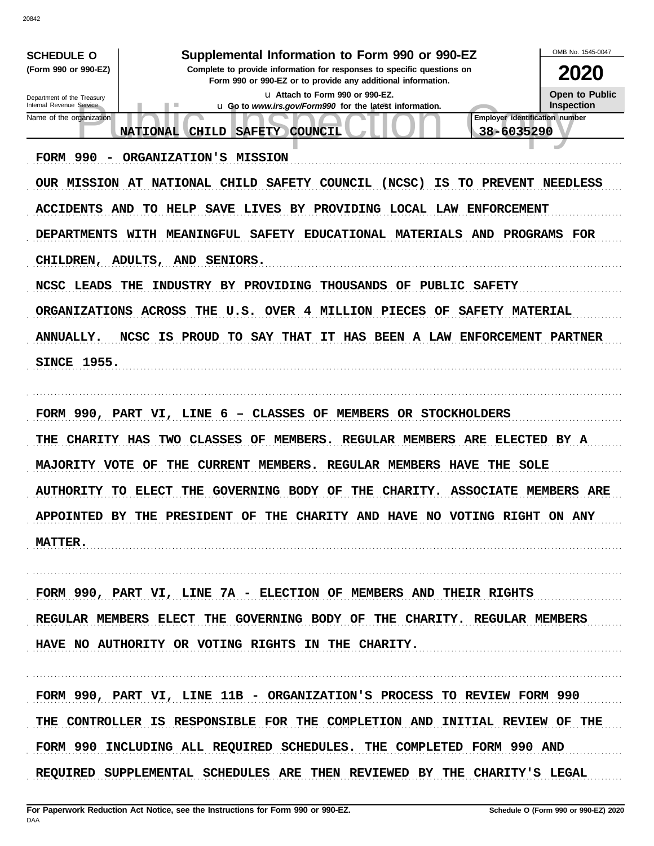OMB No. 1545-0047 **SCHEDULE O** Supplemental Information to Form 990 or 990-EZ (Form 990 or 990-EZ) Complete to provide information for responses to specific questions on 2020 Form 990 or 990-EZ or to provide any additional information. u Attach to Form 990 or 990-EZ. **Open to Public** Department of the Treasury Internal Revenue Service Inspection u Go to www.irs.gov/Form990 for the latest information. **Employer identification number** Name of the organization 38-6035290 **NATIONAL** CHILD SAFETY COUNCIL FORM 990 - ORGANIZATION'S MISSION OUR MISSION AT NATIONAL CHILD SAFETY COUNCIL (NCSC) IS TO PREVENT NEEDLESS ACCIDENTS AND TO HELP SAVE LIVES BY PROVIDING LOCAL LAW ENFORCEMENT DEPARTMENTS WITH MEANINGFUL SAFETY EDUCATIONAL MATERIALS AND PROGRAMS FOR CHILDREN, ADULTS, AND SENIORS. NCSC LEADS THE INDUSTRY BY PROVIDING THOUSANDS OF PUBLIC SAFETY ORGANIZATIONS ACROSS THE U.S. OVER 4 MILLION PIECES OF SAFETY MATERIAL ANNUALLY. NCSC IS PROUD TO SAY THAT IT HAS BEEN A LAW ENFORCEMENT PARTNER **SINCE 1955.** FORM 990, PART VI, LINE 6 - CLASSES OF MEMBERS OR STOCKHOLDERS THE CHARITY HAS TWO CLASSES OF MEMBERS. REGULAR MEMBERS ARE ELECTED BY A MAJORITY VOTE OF THE CURRENT MEMBERS. REGULAR MEMBERS HAVE THE SOLE AUTHORITY TO ELECT THE GOVERNING BODY OF THE CHARITY. ASSOCIATE MEMBERS ARE APPOINTED BY THE PRESIDENT OF THE CHARITY AND HAVE NO VOTING RIGHT ON ANY MATTER. FORM 990, PART VI, LINE 7A - ELECTION OF MEMBERS AND THEIR RIGHTS REGULAR MEMBERS ELECT THE GOVERNING BODY OF THE CHARITY. REGULAR MEMBERS HAVE NO AUTHORITY OR VOTING RIGHTS IN THE CHARITY. FORM 990, PART VI, LINE 11B - ORGANIZATION'S PROCESS TO REVIEW FORM 990 THE CONTROLLER IS RESPONSIBLE FOR THE COMPLETION AND INITIAL REVIEW OF THE FORM 990 INCLUDING ALL REQUIRED SCHEDULES. THE COMPLETED FORM 990 AND REQUIRED SUPPLEMENTAL SCHEDULES ARE THEN REVIEWED BY THE CHARITY'S LEGAL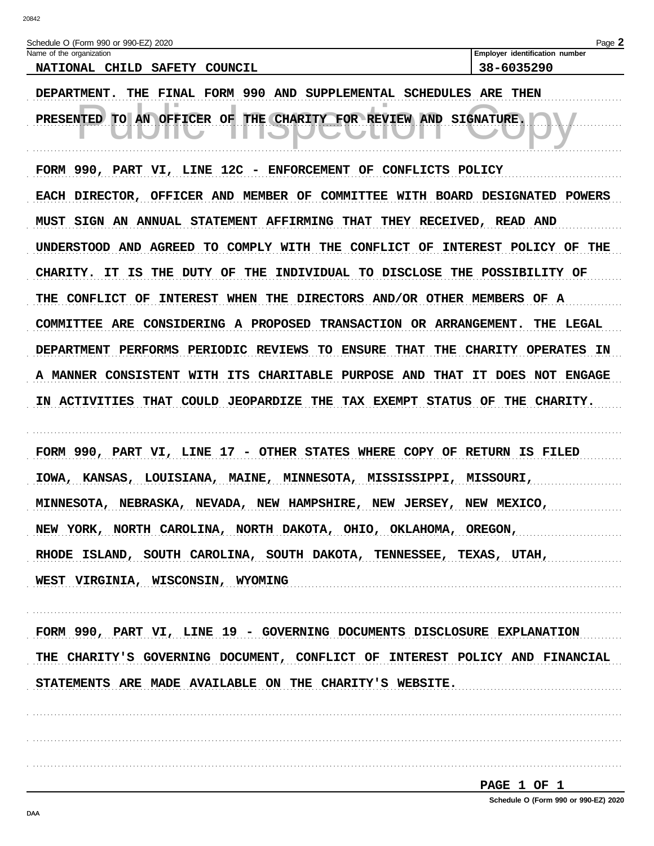| Schedule O (Form 990 or 990-EZ) 2020                                                                                  | Page 2                         |
|-----------------------------------------------------------------------------------------------------------------------|--------------------------------|
| Name of the organization                                                                                              | Employer identification number |
| <b>SAFETY</b><br><b>NATIONAL</b><br>COUNCIL<br><b>CHILD</b>                                                           | 38-6035290                     |
| FINAL FORM 990<br>AND<br>SUPPLEMENTAL<br>THE.                                                                         | SCHEDULES ARE THEN             |
| ш<br>TО<br><b>THE</b><br><b>CHARITY</b><br>AN<br>FOR REVIEW<br><b>AND</b><br><b>OFFICER</b><br><b>PRESENTED</b><br>OF | <b>SIGNATURE.</b>              |
|                                                                                                                       |                                |

FORM 990, PART VI, LINE 12C - ENFORCEMENT OF CONFLICTS POLICY EACH DIRECTOR, OFFICER AND MEMBER OF COMMITTEE WITH BOARD DESIGNATED POWERS MUST SIGN AN ANNUAL STATEMENT AFFIRMING THAT THEY RECEIVED, READ AND UNDERSTOOD AND AGREED TO COMPLY WITH THE CONFLICT OF INTEREST POLICY OF THE CHARITY. IT IS THE DUTY OF THE INDIVIDUAL TO DISCLOSE THE POSSIBILITY OF THE CONFLICT OF INTEREST WHEN THE DIRECTORS AND/OR OTHER MEMBERS OF A COMMITTEE ARE CONSIDERING A PROPOSED TRANSACTION OR ARRANGEMENT. THE LEGAL DEPARTMENT PERFORMS PERIODIC REVIEWS TO ENSURE THAT THE CHARITY OPERATES IN A MANNER CONSISTENT WITH ITS CHARITABLE PURPOSE AND THAT IT DOES NOT ENGAGE IN ACTIVITIES THAT COULD JEOPARDIZE THE TAX EXEMPT STATUS OF THE CHARITY.

FORM 990, PART VI, LINE 17 - OTHER STATES WHERE COPY OF RETURN IS FILED IOWA, KANSAS, LOUISIANA, MAINE, MINNESOTA, MISSISSIPPI, MISSOURI, MINNESOTA, NEBRASKA, NEVADA, NEW HAMPSHIRE, NEW JERSEY, NEW MEXICO, NEW YORK, NORTH CAROLINA, NORTH DAKOTA, OHIO, OKLAHOMA, OREGON, RHODE ISLAND, SOUTH CAROLINA, SOUTH DAKOTA, TENNESSEE, TEXAS, UTAH, WEST VIRGINIA, WISCONSIN, WYOMING

FORM 990, PART VI, LINE 19 - GOVERNING DOCUMENTS DISCLOSURE EXPLANATION THE CHARITY'S GOVERNING DOCUMENT, CONFLICT OF INTEREST POLICY AND FINANCIAL STATEMENTS ARE MADE AVAILABLE ON THE CHARITY'S WEBSITE.

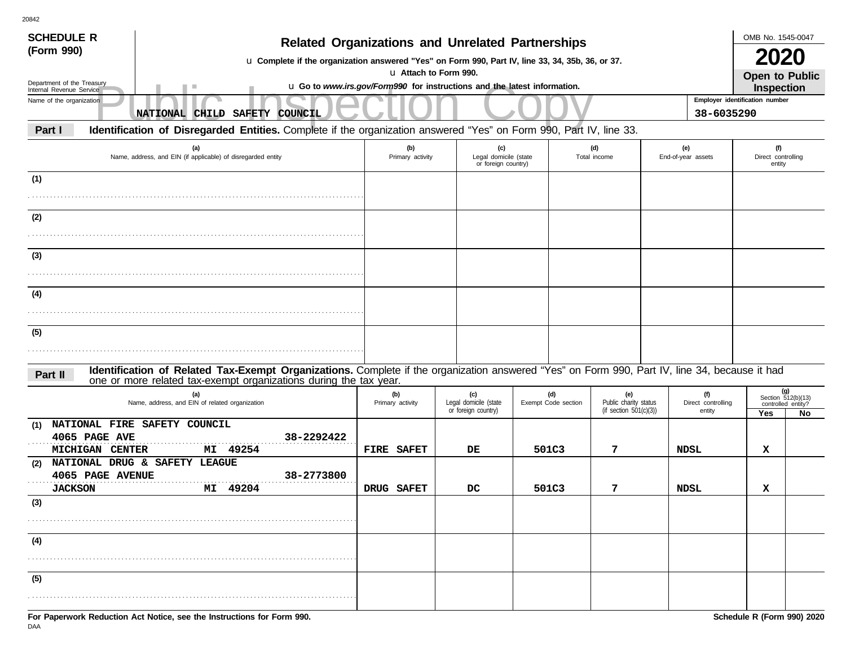| <b>SCHEDULE R</b>                                    | <b>Related Organizations and Unrelated Partnerships</b>                                                                                                                                                            |                                                                                                   |                                                     |       |                            |                                                           |                           |                                     | OMB No. 1545-0047                               |           |
|------------------------------------------------------|--------------------------------------------------------------------------------------------------------------------------------------------------------------------------------------------------------------------|---------------------------------------------------------------------------------------------------|-----------------------------------------------------|-------|----------------------------|-----------------------------------------------------------|---------------------------|-------------------------------------|-------------------------------------------------|-----------|
| (Form 990)                                           | u Complete if the organization answered "Yes" on Form 990, Part IV, line 33, 34, 35b, 36, or 37.                                                                                                                   |                                                                                                   |                                                     |       |                            |                                                           |                           |                                     |                                                 |           |
| Department of the Treasury                           | ш                                                                                                                                                                                                                  | u Attach to Form 990.<br>u Go to www.irs.gov/Form990 for instructions and the latest information. |                                                     |       |                            |                                                           |                           |                                     | <b>Open to Public</b><br><b>Inspection</b>      |           |
| Internal Revenue Service<br>Name of the organization |                                                                                                                                                                                                                    |                                                                                                   |                                                     |       |                            |                                                           |                           |                                     | Employer identification number                  |           |
|                                                      | NATIONAL CHILD SAFETY COUNCIL                                                                                                                                                                                      |                                                                                                   |                                                     |       |                            |                                                           |                           | 38-6035290                          |                                                 |           |
| Part I                                               | Identification of Disregarded Entities. Complete if the organization answered "Yes" on Form 990, Part IV, line 33.                                                                                                 |                                                                                                   |                                                     |       |                            |                                                           |                           |                                     |                                                 |           |
|                                                      | (a)<br>Name, address, and EIN (if applicable) of disregarded entity                                                                                                                                                | (b)<br>Primary activity                                                                           | (c)<br>Legal domicile (state<br>or foreign country) |       |                            | (d)<br>Total income                                       | (e)<br>End-of-year assets |                                     | (f)<br>Direct controlling<br>entity             |           |
| (1)                                                  |                                                                                                                                                                                                                    |                                                                                                   |                                                     |       |                            |                                                           |                           |                                     |                                                 |           |
| (2)                                                  |                                                                                                                                                                                                                    |                                                                                                   |                                                     |       |                            |                                                           |                           |                                     |                                                 |           |
|                                                      |                                                                                                                                                                                                                    |                                                                                                   |                                                     |       |                            |                                                           |                           |                                     |                                                 |           |
| (3)                                                  |                                                                                                                                                                                                                    |                                                                                                   |                                                     |       |                            |                                                           |                           |                                     |                                                 |           |
|                                                      |                                                                                                                                                                                                                    |                                                                                                   |                                                     |       |                            |                                                           |                           |                                     |                                                 |           |
| (4)                                                  |                                                                                                                                                                                                                    |                                                                                                   |                                                     |       |                            |                                                           |                           |                                     |                                                 |           |
|                                                      |                                                                                                                                                                                                                    |                                                                                                   |                                                     |       |                            |                                                           |                           |                                     |                                                 |           |
| (5)                                                  |                                                                                                                                                                                                                    |                                                                                                   |                                                     |       |                            |                                                           |                           |                                     |                                                 |           |
| Part II                                              | Identification of Related Tax-Exempt Organizations. Complete if the organization answered "Yes" on Form 990, Part IV, line 34, because it had<br>one or more related tax-exempt organizations during the tax year. |                                                                                                   |                                                     |       |                            |                                                           |                           |                                     |                                                 |           |
|                                                      | (a)<br>Name, address, and EIN of related organization                                                                                                                                                              | (b)<br>Primary activity                                                                           | (c)<br>Legal domicile (state<br>or foreign country) |       | (d)<br>Exempt Code section | (e)<br>Public charity status<br>(if section $501(c)(3)$ ) |                           | (f)<br>Direct controlling<br>entity | Section 512(b)(13)<br>controlled entity?<br>Yes | (g)<br>No |
| (1)<br>4065 PAGE AVE                                 | NATIONAL FIRE SAFETY COUNCIL<br>38-2292422                                                                                                                                                                         |                                                                                                   |                                                     |       |                            |                                                           |                           |                                     |                                                 |           |
| MICHIGAN CENTER                                      | MI 49254                                                                                                                                                                                                           | FIRE SAFET                                                                                        | DE                                                  | 501C3 |                            | 7                                                         | NDSL                      |                                     | x                                               |           |
| (2)<br>4065 PAGE AVENUE                              | NATIONAL DRUG & SAFETY LEAGUE<br>38-2773800                                                                                                                                                                        |                                                                                                   |                                                     | 501C3 |                            | 7                                                         |                           |                                     |                                                 |           |
| <b>JACKSON</b><br>(3)                                | MI 49204                                                                                                                                                                                                           | DRUG SAFET                                                                                        | DC                                                  |       |                            |                                                           | NDSL                      |                                     | x                                               |           |
|                                                      |                                                                                                                                                                                                                    |                                                                                                   |                                                     |       |                            |                                                           |                           |                                     |                                                 |           |
| (4)                                                  |                                                                                                                                                                                                                    |                                                                                                   |                                                     |       |                            |                                                           |                           |                                     |                                                 |           |
|                                                      |                                                                                                                                                                                                                    |                                                                                                   |                                                     |       |                            |                                                           |                           |                                     |                                                 |           |
| (5)                                                  |                                                                                                                                                                                                                    |                                                                                                   |                                                     |       |                            |                                                           |                           |                                     |                                                 |           |
|                                                      |                                                                                                                                                                                                                    |                                                                                                   |                                                     |       |                            |                                                           |                           |                                     |                                                 |           |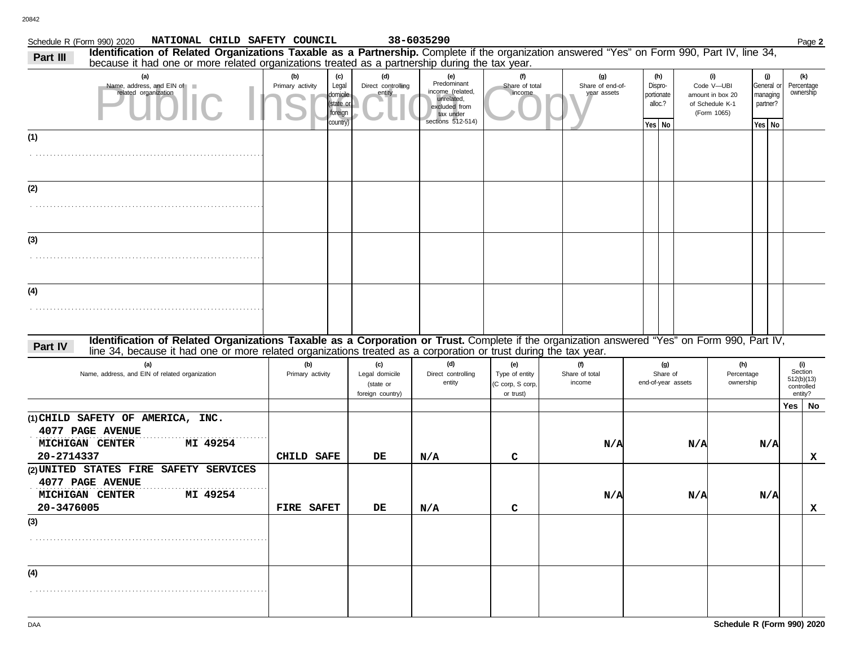| NATIONAL CHILD SAFETY COUNCIL<br>Schedule R (Form 990) 2020                                                                                                                                                                                                                 |                         |                                                              |                                                        | 38-6035290                                                                                              |                                                        |                                        |     |                       |                                       |                                                                         |                                                       | Page 2                                                |
|-----------------------------------------------------------------------------------------------------------------------------------------------------------------------------------------------------------------------------------------------------------------------------|-------------------------|--------------------------------------------------------------|--------------------------------------------------------|---------------------------------------------------------------------------------------------------------|--------------------------------------------------------|----------------------------------------|-----|-----------------------|---------------------------------------|-------------------------------------------------------------------------|-------------------------------------------------------|-------------------------------------------------------|
| Identification of Related Organizations Taxable as a Partnership. Complete if the organization answered "Yes" on Form 990, Part IV, line 34,<br>Part III<br>because it had one or more related organizations treated as a partnership during the tax year.                  |                         |                                                              |                                                        |                                                                                                         |                                                        |                                        |     |                       |                                       |                                                                         |                                                       |                                                       |
| (a)<br>Name, address, and EIN of<br>related organization                                                                                                                                                                                                                    | (b)<br>Primary activity | (c)<br>Legal<br>domicile<br>(state or<br>foreign<br>country) | (d)<br>Direct controlling<br>entity                    | (e)<br>Predominant<br>income (related,<br>unrelated,<br>excluded from<br>tax under<br>sections 512-514) | (f)<br>Share of total<br>income                        | (g)<br>Share of end-of-<br>year assets |     | Dispro-<br>portionate | (h)<br>alloc.?                        | (i)<br>Code V-UBI<br>amount in box 20<br>of Schedule K-1<br>(Form 1065) | (j)<br>General or<br>managing<br>partner?<br>Yes   No | (k)<br>Percentage<br>ownership                        |
| (1)                                                                                                                                                                                                                                                                         |                         |                                                              |                                                        |                                                                                                         |                                                        |                                        |     |                       | Yes   No                              |                                                                         |                                                       |                                                       |
|                                                                                                                                                                                                                                                                             |                         |                                                              |                                                        |                                                                                                         |                                                        |                                        |     |                       |                                       |                                                                         |                                                       |                                                       |
| (2)                                                                                                                                                                                                                                                                         |                         |                                                              |                                                        |                                                                                                         |                                                        |                                        |     |                       |                                       |                                                                         |                                                       |                                                       |
|                                                                                                                                                                                                                                                                             |                         |                                                              |                                                        |                                                                                                         |                                                        |                                        |     |                       |                                       |                                                                         |                                                       |                                                       |
| (3)                                                                                                                                                                                                                                                                         |                         |                                                              |                                                        |                                                                                                         |                                                        |                                        |     |                       |                                       |                                                                         |                                                       |                                                       |
|                                                                                                                                                                                                                                                                             |                         |                                                              |                                                        |                                                                                                         |                                                        |                                        |     |                       |                                       |                                                                         |                                                       |                                                       |
| (4)                                                                                                                                                                                                                                                                         |                         |                                                              |                                                        |                                                                                                         |                                                        |                                        |     |                       |                                       |                                                                         |                                                       |                                                       |
|                                                                                                                                                                                                                                                                             |                         |                                                              |                                                        |                                                                                                         |                                                        |                                        |     |                       |                                       |                                                                         |                                                       |                                                       |
| Identification of Related Organizations Taxable as a Corporation or Trust. Complete if the organization answered "Yes" on Form 990, Part IV,<br>Part IV<br>line 34, because it had one or more related organizations treated as a corporation or trust during the tax year. |                         |                                                              |                                                        |                                                                                                         |                                                        |                                        |     |                       |                                       |                                                                         |                                                       |                                                       |
| (a)<br>Name, address, and EIN of related organization                                                                                                                                                                                                                       | (b)<br>Primary activity |                                                              | (c)<br>Legal domicile<br>(state or<br>foreign country) | (d)<br>Direct controlling<br>entity                                                                     | (e)<br>Type of entity<br>(C corp, S corp,<br>or trust) | (f)<br>Share of total<br>income        |     |                       | (g)<br>Share of<br>end-of-year assets | (h)<br>Percentage<br>ownership                                          |                                                       | (i)<br>Section<br>512(b)(13)<br>controlled<br>entity? |
|                                                                                                                                                                                                                                                                             |                         |                                                              |                                                        |                                                                                                         |                                                        |                                        |     |                       |                                       |                                                                         |                                                       | Yes   No                                              |
| (1) CHILD SAFETY OF AMERICA, INC.<br>4077 PAGE AVENUE<br>MICHIGAN CENTER<br>MI 49254                                                                                                                                                                                        |                         |                                                              |                                                        |                                                                                                         |                                                        |                                        | N/A |                       | N/A                                   |                                                                         | N/A                                                   |                                                       |
| 20-2714337<br>(2) UNITED STATES FIRE SAFETY SERVICES<br>4077 PAGE AVENUE                                                                                                                                                                                                    | CHILD SAFE              |                                                              | DE                                                     | N/A                                                                                                     | c                                                      |                                        |     |                       |                                       |                                                                         |                                                       | x                                                     |
| MICHIGAN CENTER<br>MI 49254<br>20-3476005                                                                                                                                                                                                                                   | <b>FIRE SAFET</b>       |                                                              | DE                                                     | N/A                                                                                                     | c                                                      |                                        | N/A |                       | N/A                                   |                                                                         | N/A                                                   | x                                                     |
| (3)                                                                                                                                                                                                                                                                         |                         |                                                              |                                                        |                                                                                                         |                                                        |                                        |     |                       |                                       |                                                                         |                                                       |                                                       |
|                                                                                                                                                                                                                                                                             |                         |                                                              |                                                        |                                                                                                         |                                                        |                                        |     |                       |                                       |                                                                         |                                                       |                                                       |
| (4)                                                                                                                                                                                                                                                                         |                         |                                                              |                                                        |                                                                                                         |                                                        |                                        |     |                       |                                       |                                                                         |                                                       |                                                       |
|                                                                                                                                                                                                                                                                             |                         |                                                              |                                                        |                                                                                                         |                                                        |                                        |     |                       |                                       |                                                                         |                                                       |                                                       |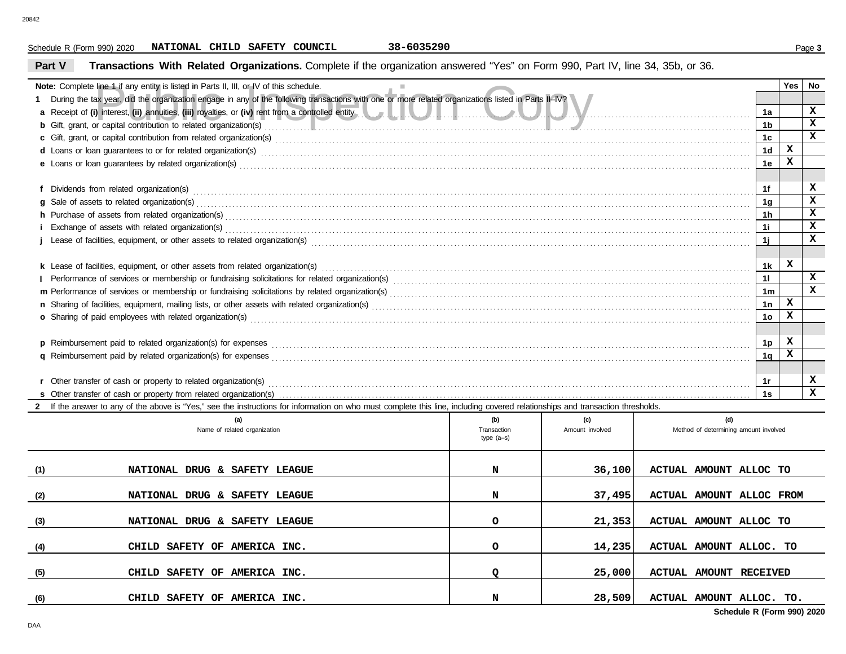### Schedule R (Form 990) 2020 Page **3 NATIONAL CHILD SAFETY COUNCIL 38-6035290**

## **Part V Transactions With Related Organizations.** Complete if the organization answered "Yes" on Form 990, Part IV, line 34, 35b, or 36.

|     | <b>Note:</b> Complete line 1 if any entity is listed in Parts II, III, or IV of this schedule.                                                                                                                                                             |              |                 |                                       |                      | Yes | No           |
|-----|------------------------------------------------------------------------------------------------------------------------------------------------------------------------------------------------------------------------------------------------------------|--------------|-----------------|---------------------------------------|----------------------|-----|--------------|
|     | 1 During the tax year, did the organization engage in any of the following transactions with one or more related organizations listed in Parts II-IV?<br>a Receipt of (i) interest, (ii) annuities, (iii) royalties, or (iv) rent from a controlled entity |              |                 |                                       | 1a                   |     | $\mathbf x$  |
|     | b Gift, grant, or capital contribution to related organization(s) encourage contact and contribution to related organization(s)                                                                                                                            |              |                 |                                       | 1 <sub>b</sub>       |     | $\mathbf x$  |
|     |                                                                                                                                                                                                                                                            |              |                 |                                       | 1 <sub>c</sub>       |     | $\mathbf x$  |
|     | d Loans or loan guarantees to or for related organization(s) encourance contained and contained account of the state organization (s) are contained as a contained and contained a contact or details and contact a contact an                             |              |                 |                                       | 1 <sub>d</sub>       | x   |              |
|     |                                                                                                                                                                                                                                                            |              |                 |                                       | 1e                   | X   |              |
|     |                                                                                                                                                                                                                                                            |              |                 |                                       |                      |     |              |
|     |                                                                                                                                                                                                                                                            |              |                 |                                       | 1f                   |     | x            |
|     |                                                                                                                                                                                                                                                            |              |                 |                                       | 1 <sub>q</sub>       |     | $\mathbf x$  |
|     | h Purchase of assets from related organization(s) encourance contains and contains a container and container and container and container and container and container and container and container and container and container a                             |              |                 |                                       | 1 <sub>h</sub>       |     | x            |
|     |                                                                                                                                                                                                                                                            |              |                 |                                       | 1i.                  |     | $\mathbf x$  |
|     |                                                                                                                                                                                                                                                            |              |                 |                                       | 1i                   |     | $\mathbf x$  |
|     |                                                                                                                                                                                                                                                            |              |                 |                                       |                      |     |              |
|     |                                                                                                                                                                                                                                                            |              |                 |                                       | 1 <sub>k</sub>       | x   | x            |
|     |                                                                                                                                                                                                                                                            |              |                 |                                       | 11                   |     | x            |
|     |                                                                                                                                                                                                                                                            |              |                 |                                       | 1 <sub>m</sub><br>1n | x   |              |
|     |                                                                                                                                                                                                                                                            |              |                 |                                       | 1 <sub>o</sub>       | x   |              |
|     |                                                                                                                                                                                                                                                            |              |                 |                                       |                      |     |              |
|     |                                                                                                                                                                                                                                                            |              |                 |                                       | 1p                   | x   |              |
|     |                                                                                                                                                                                                                                                            |              |                 |                                       | 1 <sub>q</sub>       | x   |              |
|     |                                                                                                                                                                                                                                                            |              |                 |                                       |                      |     |              |
|     |                                                                                                                                                                                                                                                            |              |                 |                                       | 1r                   |     | x            |
|     |                                                                                                                                                                                                                                                            |              |                 |                                       | 1s                   |     | $\mathbf{x}$ |
|     | 2 If the answer to any of the above is "Yes," see the instructions for information on who must complete this line, including covered relationships and transaction thresholds.                                                                             |              |                 |                                       |                      |     |              |
|     | (a)                                                                                                                                                                                                                                                        | (b)          | (c)             | (d)                                   |                      |     |              |
|     | Name of related organization                                                                                                                                                                                                                               | Transaction  | Amount involved | Method of determining amount involved |                      |     |              |
|     |                                                                                                                                                                                                                                                            | type $(a-s)$ |                 |                                       |                      |     |              |
|     |                                                                                                                                                                                                                                                            |              |                 |                                       |                      |     |              |
| (1) | NATIONAL DRUG & SAFETY LEAGUE                                                                                                                                                                                                                              | N            | 36,100          | ACTUAL AMOUNT ALLOC TO                |                      |     |              |
|     |                                                                                                                                                                                                                                                            |              |                 |                                       |                      |     |              |
| (2) | NATIONAL DRUG & SAFETY LEAGUE                                                                                                                                                                                                                              | N            | 37,495          | ACTUAL AMOUNT ALLOC FROM              |                      |     |              |
|     |                                                                                                                                                                                                                                                            |              |                 |                                       |                      |     |              |
| (3) | NATIONAL DRUG & SAFETY LEAGUE                                                                                                                                                                                                                              | $\circ$      | 21,353          | ACTUAL AMOUNT ALLOC TO                |                      |     |              |
|     |                                                                                                                                                                                                                                                            | $\circ$      |                 |                                       |                      |     |              |
| (4) | CHILD SAFETY OF AMERICA INC.                                                                                                                                                                                                                               |              | 14,235          | ACTUAL AMOUNT ALLOC. TO               |                      |     |              |
| (5) | CHILD SAFETY OF AMERICA INC.                                                                                                                                                                                                                               | Q            | 25,000          | ACTUAL AMOUNT RECEIVED                |                      |     |              |
|     |                                                                                                                                                                                                                                                            |              |                 |                                       |                      |     |              |

**CHILD SAFETY OF AMERICA INC. N 28,509 ACTUAL AMOUNT ALLOC. TO.**

**Schedule R (Form 990) 2020**

**(6)**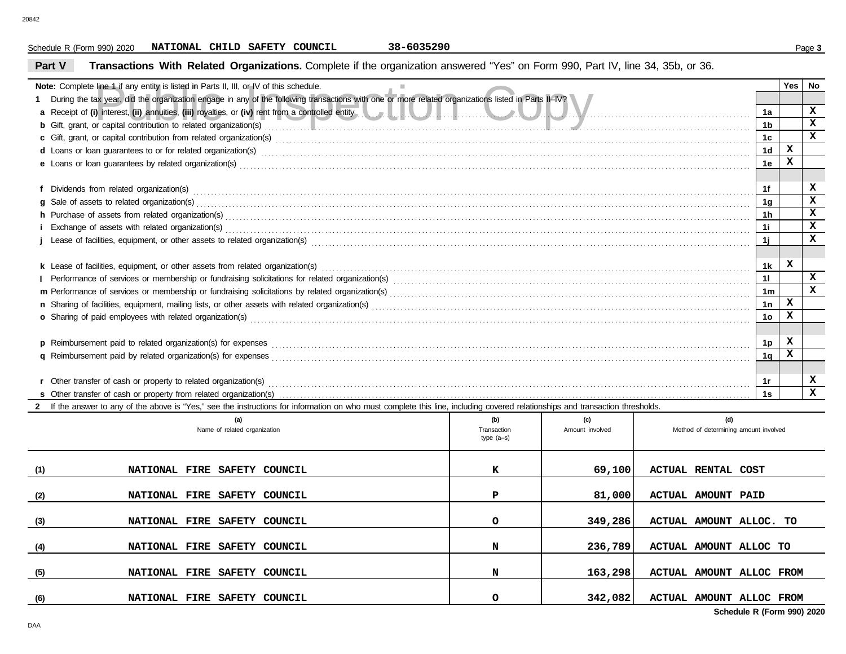### Schedule R (Form 990) 2020 Page **3 NATIONAL CHILD SAFETY COUNCIL 38-6035290**

## **Part V Transactions With Related Organizations.** Complete if the organization answered "Yes" on Form 990, Part IV, line 34, 35b, or 36.

|                | Note: Complete line 1 if any entity is listed in Parts II, III, or IV of this schedule.                                                                                                                                        |                    |                        |                                              |                | Yes   No    |              |  |  |
|----------------|--------------------------------------------------------------------------------------------------------------------------------------------------------------------------------------------------------------------------------|--------------------|------------------------|----------------------------------------------|----------------|-------------|--------------|--|--|
|                | During the tax year, did the organization engage in any of the following transactions with one or more related organizations listed in Parts II-IV?                                                                            |                    |                        |                                              |                |             |              |  |  |
|                | a Receipt of (i) interest, (ii) annuities, (iii) royalties, or (iv) rent from a controlled entity                                                                                                                              |                    |                        |                                              | 1a             |             | $\mathbf{x}$ |  |  |
|                | b Gift, grant, or capital contribution to related organization(s) encourage contact the contribution to related organization(s) encourage contribution to related organization(s) encourage contribution (s) and contribution  |                    |                        |                                              | 1b             |             | $\mathbf{x}$ |  |  |
|                | c Gift, grant, or capital contribution from related organization(s) encourse contained as a contained as a contribution from related organization(s) encourse contained as a contained as a contribution from related organiza |                    |                        |                                              | 1c             |             | $\mathbf x$  |  |  |
|                | d Loans or loan guarantees to or for related organization(s) encourance contained and contained and contained and contained and contained and contained and contained and contained and contained and contained and contained  |                    |                        |                                              | 1 <sub>d</sub> | x           |              |  |  |
| 1e             |                                                                                                                                                                                                                                |                    |                        |                                              |                |             |              |  |  |
|                |                                                                                                                                                                                                                                |                    |                        |                                              |                |             |              |  |  |
|                |                                                                                                                                                                                                                                |                    |                        |                                              | 1f             |             | x            |  |  |
|                | g Sale of assets to related organization(s) with an example and contact the control of a state of assets to related organization(s) with an example and contact the state of assets to related organization(s) with a set of a |                    |                        |                                              | 1 <sub>q</sub> |             | X            |  |  |
| 1 <sub>h</sub> |                                                                                                                                                                                                                                |                    |                        |                                              |                |             |              |  |  |
|                |                                                                                                                                                                                                                                |                    |                        |                                              | 11             |             | $\mathbf x$  |  |  |
|                |                                                                                                                                                                                                                                |                    |                        |                                              | 1j             |             | $\mathbf{x}$ |  |  |
|                |                                                                                                                                                                                                                                |                    |                        |                                              |                |             |              |  |  |
|                |                                                                                                                                                                                                                                |                    |                        |                                              | 1k             | $\mathbf x$ |              |  |  |
| 11             |                                                                                                                                                                                                                                |                    |                        |                                              |                |             |              |  |  |
|                |                                                                                                                                                                                                                                |                    |                        |                                              | 1 <sub>m</sub> |             | $\mathbf{x}$ |  |  |
|                |                                                                                                                                                                                                                                |                    |                        |                                              | 1n             | $\mathbf x$ |              |  |  |
|                |                                                                                                                                                                                                                                |                    |                        |                                              | 1 <sub>o</sub> | x           |              |  |  |
|                |                                                                                                                                                                                                                                |                    |                        |                                              |                |             |              |  |  |
|                |                                                                                                                                                                                                                                |                    |                        |                                              | 1p             | x           |              |  |  |
|                |                                                                                                                                                                                                                                |                    |                        |                                              | 1q             | x           |              |  |  |
|                |                                                                                                                                                                                                                                |                    |                        |                                              |                |             |              |  |  |
|                | r Other transfer of cash or property to related organization(s) encourance contains an example and contains a container transfer of cash or property to related organization(s)                                                |                    |                        |                                              | −1r            |             | x            |  |  |
|                |                                                                                                                                                                                                                                |                    |                        |                                              | 1s             |             | $\mathbf{x}$ |  |  |
|                | 2 If the answer to any of the above is "Yes," see the instructions for information on who must complete this line, including covered relationships and transaction thresholds.                                                 |                    |                        |                                              |                |             |              |  |  |
|                | (a)<br>Name of related organization                                                                                                                                                                                            | (b)<br>Transaction | (c)<br>Amount involved | (d)<br>Method of determining amount involved |                |             |              |  |  |
|                |                                                                                                                                                                                                                                | type $(a-s)$       |                        |                                              |                |             |              |  |  |
|                |                                                                                                                                                                                                                                |                    |                        |                                              |                |             |              |  |  |
| (1)            | NATIONAL FIRE SAFETY COUNCIL                                                                                                                                                                                                   | к                  | 69,100                 | <b>ACTUAL RENTAL COST</b>                    |                |             |              |  |  |
|                |                                                                                                                                                                                                                                |                    |                        |                                              |                |             |              |  |  |
| (2)            | NATIONAL FIRE SAFETY COUNCIL                                                                                                                                                                                                   | P                  | 81,000                 | <b>ACTUAL AMOUNT PAID</b>                    |                |             |              |  |  |
|                |                                                                                                                                                                                                                                |                    |                        |                                              |                |             |              |  |  |
| (3)            | NATIONAL FIRE SAFETY COUNCIL                                                                                                                                                                                                   | $\circ$            | 349,286                | ACTUAL AMOUNT ALLOC. TO                      |                |             |              |  |  |
|                |                                                                                                                                                                                                                                |                    |                        |                                              |                |             |              |  |  |

**NATIONAL FIRE SAFETY COUNCIL N 236,789 ACTUAL AMOUNT ALLOC TO**

**NATIONAL FIRE SAFETY COUNCIL N 163,298 ACTUAL AMOUNT ALLOC FROM**

**NATIONAL FIRE SAFETY COUNCIL O 342,082 ACTUAL AMOUNT ALLOC FROM**

**(4)**

**(5)**

**(6)**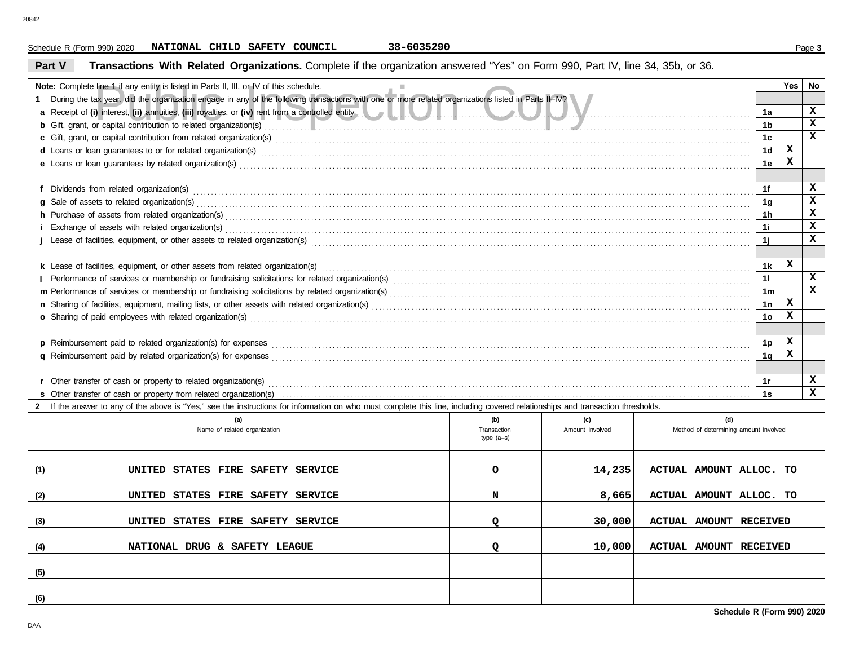### Schedule R (Form 990) 2020 Page **3 NATIONAL CHILD SAFETY COUNCIL 38-6035290**

## **Part V Transactions With Related Organizations.** Complete if the organization answered "Yes" on Form 990, Part IV, line 34, 35b, or 36.

| <b>Note:</b> Complete line 1 if any entity is listed in Parts II, III, or IV of this schedule.                                                                                                                                       |                    |                        |                                              |                | Yes | No                      |  |  |  |
|--------------------------------------------------------------------------------------------------------------------------------------------------------------------------------------------------------------------------------------|--------------------|------------------------|----------------------------------------------|----------------|-----|-------------------------|--|--|--|
| During the tax year, did the organization engage in any of the following transactions with one or more related organizations listed in Parts II-IV?                                                                                  |                    |                        |                                              |                |     | x                       |  |  |  |
| a Receipt of (i) interest, (ii) annuities, (iii) royalties, or (iv) rent from a controlled entity                                                                                                                                    |                    |                        |                                              | 1a             |     | x                       |  |  |  |
| b Gift, grant, or capital contribution to related organization(s) encourage contact and contribution to related organization(s)                                                                                                      |                    |                        |                                              | 1b             |     | $\mathbf x$             |  |  |  |
|                                                                                                                                                                                                                                      |                    |                        |                                              | 1 <sub>c</sub> | x   |                         |  |  |  |
| d Loans or loan guarantees to or for related organization(s) encourance contained and contained and contained and contained and contained and contained and contained and contained and contained and contained and contained        |                    |                        |                                              | 1 <sub>d</sub> | x   |                         |  |  |  |
|                                                                                                                                                                                                                                      |                    |                        |                                              | 1e             |     |                         |  |  |  |
|                                                                                                                                                                                                                                      |                    |                        |                                              | 1f             |     | x                       |  |  |  |
| 1 <sub>a</sub>                                                                                                                                                                                                                       |                    |                        |                                              |                |     |                         |  |  |  |
| h Purchase of assets from related organization(s) encourance contains and contains a container and container and container and container and container and container and container and container and container and container a<br>1h |                    |                        |                                              |                |     |                         |  |  |  |
|                                                                                                                                                                                                                                      |                    |                        |                                              | 1i.            |     | x                       |  |  |  |
|                                                                                                                                                                                                                                      |                    |                        |                                              | 11             |     | x                       |  |  |  |
|                                                                                                                                                                                                                                      |                    |                        |                                              |                |     |                         |  |  |  |
|                                                                                                                                                                                                                                      |                    |                        |                                              | 1k             | x   |                         |  |  |  |
|                                                                                                                                                                                                                                      |                    |                        |                                              | 11             |     | $\mathbf{x}$            |  |  |  |
|                                                                                                                                                                                                                                      |                    |                        |                                              | 1 <sub>m</sub> |     | x                       |  |  |  |
|                                                                                                                                                                                                                                      |                    |                        |                                              | 1n             | x   |                         |  |  |  |
|                                                                                                                                                                                                                                      |                    |                        |                                              | 1 <sub>o</sub> | x   |                         |  |  |  |
|                                                                                                                                                                                                                                      |                    |                        |                                              |                |     |                         |  |  |  |
|                                                                                                                                                                                                                                      |                    |                        |                                              | 1p             | x   |                         |  |  |  |
|                                                                                                                                                                                                                                      |                    |                        |                                              | 1q             | x   |                         |  |  |  |
|                                                                                                                                                                                                                                      |                    |                        |                                              |                |     |                         |  |  |  |
|                                                                                                                                                                                                                                      |                    |                        |                                              | 1r             |     | x                       |  |  |  |
|                                                                                                                                                                                                                                      |                    |                        |                                              | 1s             |     | $\overline{\mathbf{x}}$ |  |  |  |
| 2 If the answer to any of the above is "Yes," see the instructions for information on who must complete this line, including covered relationships and transaction thresholds.                                                       |                    |                        |                                              |                |     |                         |  |  |  |
| (a)<br>Name of related organization                                                                                                                                                                                                  | (b)<br>Transaction | (c)<br>Amount involved | (d)<br>Method of determining amount involved |                |     |                         |  |  |  |
|                                                                                                                                                                                                                                      | type $(a-s)$       |                        |                                              |                |     |                         |  |  |  |
|                                                                                                                                                                                                                                      |                    |                        |                                              |                |     |                         |  |  |  |
| (1)<br>UNITED STATES FIRE SAFETY SERVICE                                                                                                                                                                                             | $\circ$            | 14,235                 | ACTUAL AMOUNT ALLOC. TO                      |                |     |                         |  |  |  |
|                                                                                                                                                                                                                                      |                    |                        |                                              |                |     |                         |  |  |  |
| (2)<br>UNITED STATES FIRE SAFETY SERVICE                                                                                                                                                                                             | N                  | 8,665                  | ACTUAL AMOUNT ALLOC. TO                      |                |     |                         |  |  |  |
|                                                                                                                                                                                                                                      |                    |                        |                                              |                |     |                         |  |  |  |
| UNITED STATES FIRE SAFETY SERVICE<br>(3)                                                                                                                                                                                             | Q                  | 30,000                 | ACTUAL AMOUNT RECEIVED                       |                |     |                         |  |  |  |
|                                                                                                                                                                                                                                      |                    |                        |                                              |                |     |                         |  |  |  |
| NATIONAL DRUG & SAFETY LEAGUE<br>(4)                                                                                                                                                                                                 | Q                  | 10,000                 | <b>ACTUAL AMOUNT RECEIVED</b>                |                |     |                         |  |  |  |
|                                                                                                                                                                                                                                      |                    |                        |                                              |                |     |                         |  |  |  |
| (5)                                                                                                                                                                                                                                  |                    |                        |                                              |                |     |                         |  |  |  |

**(6)**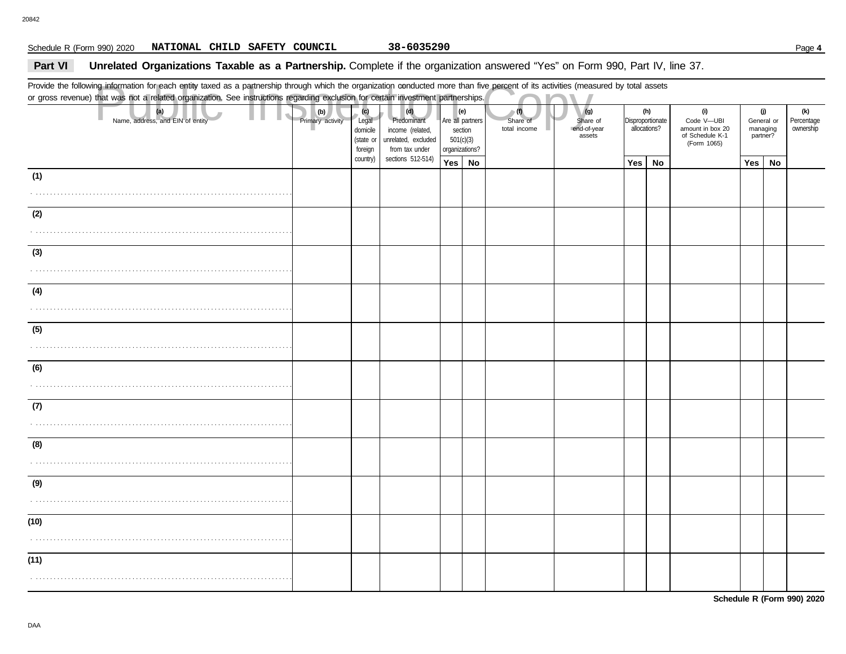### Schedule R (Form 990) 2020 Page **4 NATIONAL CHILD SAFETY COUNCIL 38-6035290**

### **Part VI** Unrelated Organizations Taxable as a Partnership. Complete if the organization answered "Yes" on Form 990, Part IV, line 37.

or gross revenue) that was not a related organization. See instructions regarding exclusion for certain investment partnerships.

|      | Provide the following information for each entity taxed as a partnership through which the organization conducted more than five percent of its activities (measured by total assets<br>or gross revenue) that was not a related organization. See instructions regarding exclusion for certain investment partnerships. |                         |                                                  |                                                                                 |        |                                                                                                      |  |                                                                                     |     |                                                                         |  |                                           |    |                                |
|------|--------------------------------------------------------------------------------------------------------------------------------------------------------------------------------------------------------------------------------------------------------------------------------------------------------------------------|-------------------------|--------------------------------------------------|---------------------------------------------------------------------------------|--------|------------------------------------------------------------------------------------------------------|--|-------------------------------------------------------------------------------------|-----|-------------------------------------------------------------------------|--|-------------------------------------------|----|--------------------------------|
|      | (a)<br>Name, address, and EIN of entity                                                                                                                                                                                                                                                                                  | (b)<br>Primary activity | (c)<br>Legal<br>domicile<br>(state or<br>foreign | (d)<br>Predominant<br>income (related,<br>unrelated, excluded<br>from tax under |        | (f)<br>(e)<br>Are all partners<br>Share of<br>total income<br>section<br>501(c)(3)<br>organizations? |  | (g)<br>(h)<br>Disproportionate<br>Share of<br>end-of-year<br>allocations?<br>assets |     | (i)<br>Code V-UBI<br>amount in box 20<br>of Schedule K-1<br>(Form 1065) |  | (j)<br>General or<br>managing<br>partner? |    | (k)<br>Percentage<br>ownership |
|      |                                                                                                                                                                                                                                                                                                                          |                         | country)                                         | sections 512-514)                                                               | Yes No |                                                                                                      |  |                                                                                     | Yes | No                                                                      |  | Yes                                       | No |                                |
| (1)  |                                                                                                                                                                                                                                                                                                                          |                         |                                                  |                                                                                 |        |                                                                                                      |  |                                                                                     |     |                                                                         |  |                                           |    |                                |
| (2)  |                                                                                                                                                                                                                                                                                                                          |                         |                                                  |                                                                                 |        |                                                                                                      |  |                                                                                     |     |                                                                         |  |                                           |    |                                |
| (3)  |                                                                                                                                                                                                                                                                                                                          |                         |                                                  |                                                                                 |        |                                                                                                      |  |                                                                                     |     |                                                                         |  |                                           |    |                                |
| (4)  |                                                                                                                                                                                                                                                                                                                          |                         |                                                  |                                                                                 |        |                                                                                                      |  |                                                                                     |     |                                                                         |  |                                           |    |                                |
| (5)  |                                                                                                                                                                                                                                                                                                                          |                         |                                                  |                                                                                 |        |                                                                                                      |  |                                                                                     |     |                                                                         |  |                                           |    |                                |
| (6)  |                                                                                                                                                                                                                                                                                                                          |                         |                                                  |                                                                                 |        |                                                                                                      |  |                                                                                     |     |                                                                         |  |                                           |    |                                |
| (7)  |                                                                                                                                                                                                                                                                                                                          |                         |                                                  |                                                                                 |        |                                                                                                      |  |                                                                                     |     |                                                                         |  |                                           |    |                                |
| (8)  |                                                                                                                                                                                                                                                                                                                          |                         |                                                  |                                                                                 |        |                                                                                                      |  |                                                                                     |     |                                                                         |  |                                           |    |                                |
| (9)  |                                                                                                                                                                                                                                                                                                                          |                         |                                                  |                                                                                 |        |                                                                                                      |  |                                                                                     |     |                                                                         |  |                                           |    |                                |
| (10) |                                                                                                                                                                                                                                                                                                                          |                         |                                                  |                                                                                 |        |                                                                                                      |  |                                                                                     |     |                                                                         |  |                                           |    |                                |
| (11) |                                                                                                                                                                                                                                                                                                                          |                         |                                                  |                                                                                 |        |                                                                                                      |  |                                                                                     |     |                                                                         |  |                                           |    |                                |
|      |                                                                                                                                                                                                                                                                                                                          |                         |                                                  |                                                                                 |        |                                                                                                      |  |                                                                                     |     |                                                                         |  |                                           |    |                                |

**Schedule R (Form 990) 2020**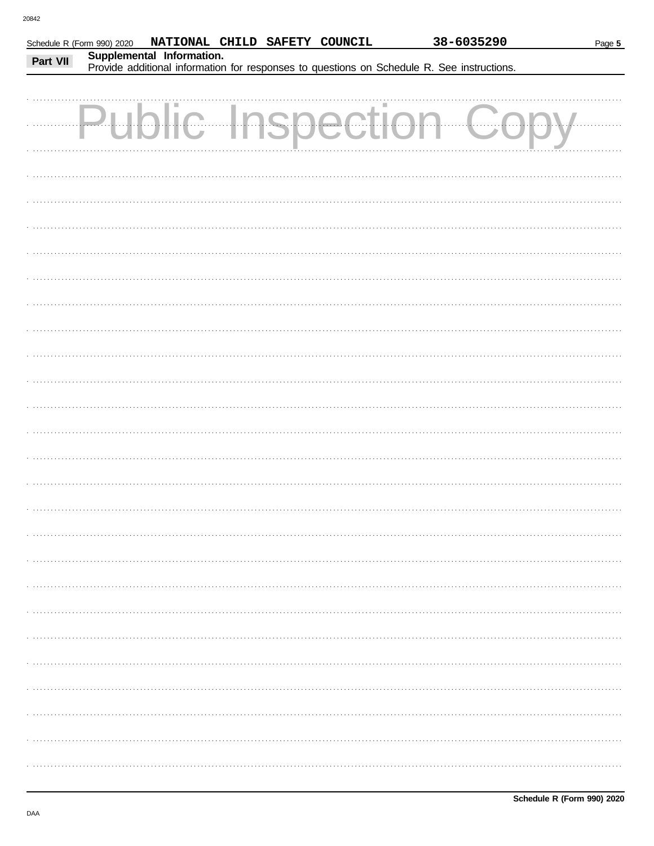| Part VII | Schedule R (Form 990) 2020<br>Supplemental Information. | NATIONAL CHILD SAFETY COUNCIL |  |        |                                                                                            | 38-6035290 | Page 5 |
|----------|---------------------------------------------------------|-------------------------------|--|--------|--------------------------------------------------------------------------------------------|------------|--------|
|          |                                                         |                               |  |        | Provide additional information for responses to questions on Schedule R. See instructions. |            |        |
|          |                                                         | lic Insp                      |  | ection |                                                                                            |            |        |
|          |                                                         |                               |  |        |                                                                                            |            |        |
|          |                                                         |                               |  |        |                                                                                            |            |        |
|          |                                                         |                               |  |        |                                                                                            |            |        |
|          |                                                         |                               |  |        |                                                                                            |            |        |
|          |                                                         |                               |  |        |                                                                                            |            |        |
|          |                                                         |                               |  |        |                                                                                            |            |        |
|          |                                                         |                               |  |        |                                                                                            |            |        |
|          |                                                         |                               |  |        |                                                                                            |            |        |
|          |                                                         |                               |  |        |                                                                                            |            |        |
|          |                                                         |                               |  |        |                                                                                            |            |        |
|          |                                                         |                               |  |        |                                                                                            |            |        |
|          |                                                         |                               |  |        |                                                                                            |            |        |
|          |                                                         |                               |  |        |                                                                                            |            |        |
|          |                                                         |                               |  |        |                                                                                            |            |        |
|          |                                                         |                               |  |        |                                                                                            |            |        |
|          |                                                         |                               |  |        |                                                                                            |            |        |
|          |                                                         |                               |  |        |                                                                                            |            |        |
|          |                                                         |                               |  |        |                                                                                            |            |        |
|          |                                                         |                               |  |        |                                                                                            |            |        |
|          |                                                         |                               |  |        |                                                                                            |            |        |
|          |                                                         |                               |  |        |                                                                                            |            |        |
|          |                                                         |                               |  |        |                                                                                            |            |        |
|          |                                                         |                               |  |        |                                                                                            |            |        |
|          |                                                         |                               |  |        |                                                                                            |            |        |
|          |                                                         |                               |  |        |                                                                                            |            |        |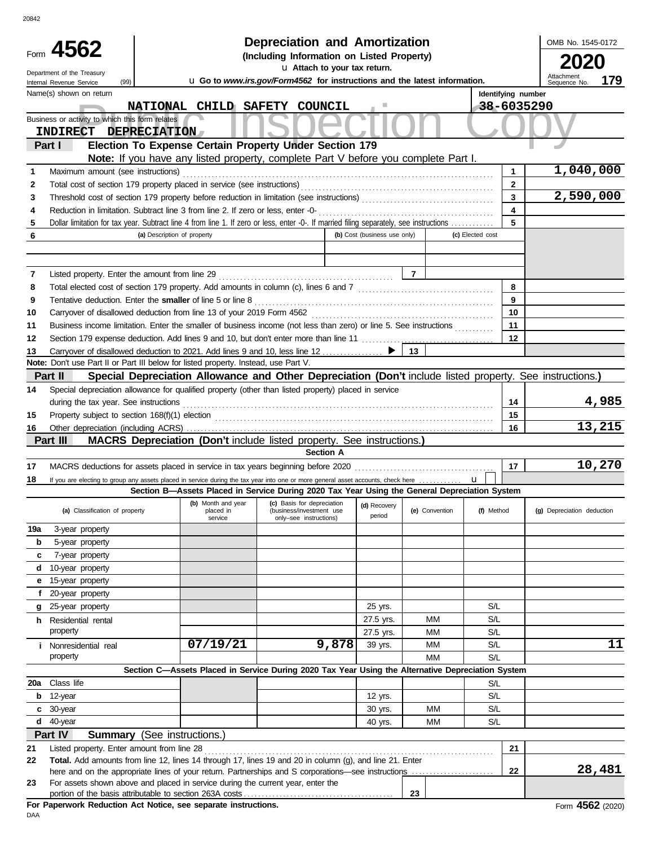|        | Form 4562<br>Department of the Treasury<br>(99)<br>Internal Revenue Service |                                                                                                                                                                                                               | <b>Depreciation and Amortization</b><br>(Including Information on Listed Property)<br>u Attach to your tax return.<br>u Go to www.irs.gov/Form4562 for instructions and the latest information. |                              |                |                    | OMB No. 1545-0172<br>2020<br>Attachment<br>179<br>Sequence No. |
|--------|-----------------------------------------------------------------------------|---------------------------------------------------------------------------------------------------------------------------------------------------------------------------------------------------------------|-------------------------------------------------------------------------------------------------------------------------------------------------------------------------------------------------|------------------------------|----------------|--------------------|----------------------------------------------------------------|
|        | Name(s) shown on return                                                     |                                                                                                                                                                                                               |                                                                                                                                                                                                 |                              |                | Identifying number |                                                                |
|        |                                                                             | NATIONAL CHILD SAFETY COUNCIL                                                                                                                                                                                 |                                                                                                                                                                                                 |                              |                | 38-6035290         |                                                                |
|        | Business or activity to which this form relates                             |                                                                                                                                                                                                               |                                                                                                                                                                                                 |                              |                |                    |                                                                |
|        | INDIRECT DEPRECIATION                                                       |                                                                                                                                                                                                               |                                                                                                                                                                                                 |                              |                |                    |                                                                |
|        | Part I                                                                      | Election To Expense Certain Property Under Section 179<br>Note: If you have any listed property, complete Part V before you complete Part I.                                                                  |                                                                                                                                                                                                 |                              |                |                    |                                                                |
| 1      | Maximum amount (see instructions)                                           |                                                                                                                                                                                                               |                                                                                                                                                                                                 |                              |                | 1                  | 1,040,000                                                      |
| 2      |                                                                             | Total cost of section 179 property placed in service (see instructions)                                                                                                                                       |                                                                                                                                                                                                 |                              |                | $\mathbf{2}$       |                                                                |
| 3      |                                                                             |                                                                                                                                                                                                               |                                                                                                                                                                                                 |                              |                | 3                  | 2,590,000                                                      |
| 4      |                                                                             | Reduction in limitation. Subtract line 3 from line 2. If zero or less, enter -0-                                                                                                                              |                                                                                                                                                                                                 |                              |                | 4                  |                                                                |
| 5      |                                                                             | Dollar limitation for tax year. Subtract line 4 from line 1. If zero or less, enter -0-. If married filing separately, see instructions                                                                       |                                                                                                                                                                                                 |                              |                | 5                  |                                                                |
| 6      |                                                                             | (a) Description of property                                                                                                                                                                                   |                                                                                                                                                                                                 | (b) Cost (business use only) |                | (c) Elected cost   |                                                                |
|        |                                                                             |                                                                                                                                                                                                               |                                                                                                                                                                                                 |                              |                |                    |                                                                |
|        |                                                                             |                                                                                                                                                                                                               |                                                                                                                                                                                                 |                              |                |                    |                                                                |
| 7<br>8 | Listed property. Enter the amount from line 29                              | Total elected cost of section 179 property. Add amounts in column (c), lines 6 and 7 [[[[[[[[[[[[[[[[[[[[[[[[                                                                                                 |                                                                                                                                                                                                 |                              | $\overline{7}$ | 8                  |                                                                |
| 9      |                                                                             | Tentative deduction. Enter the smaller of line 5 or line 8                                                                                                                                                    |                                                                                                                                                                                                 |                              |                | 9                  |                                                                |
| 10     |                                                                             | Carryover of disallowed deduction from line 13 of your 2019 Form 4562<br>[[CODID 4562]                                                                                                                        |                                                                                                                                                                                                 |                              |                | 10                 |                                                                |
| 11     |                                                                             | Business income limitation. Enter the smaller of business income (not less than zero) or line 5. See instructions                                                                                             |                                                                                                                                                                                                 |                              |                | 11                 |                                                                |
| 12     |                                                                             | Section 179 expense deduction. Add lines 9 and 10, but don't enter more than line 11 [1] [1] expense deduction. Add lines 9 and 10, but don't enter more than line 11                                         |                                                                                                                                                                                                 |                              |                | 12                 |                                                                |
| 13     |                                                                             | Carryover of disallowed deduction to 2021. Add lines 9 and 10, less line 12                                                                                                                                   |                                                                                                                                                                                                 |                              | 13             |                    |                                                                |
|        |                                                                             | Note: Don't use Part II or Part III below for listed property. Instead, use Part V.                                                                                                                           |                                                                                                                                                                                                 |                              |                |                    |                                                                |
|        | Part II                                                                     | Special Depreciation Allowance and Other Depreciation (Don't include listed property. See instructions.)                                                                                                      |                                                                                                                                                                                                 |                              |                |                    |                                                                |
| 14     |                                                                             | Special depreciation allowance for qualified property (other than listed property) placed in service                                                                                                          |                                                                                                                                                                                                 |                              |                |                    |                                                                |
|        | during the tax year. See instructions                                       |                                                                                                                                                                                                               |                                                                                                                                                                                                 |                              |                | 14                 | 4,985                                                          |
| 15     |                                                                             |                                                                                                                                                                                                               |                                                                                                                                                                                                 |                              |                | 15                 | 13,215                                                         |
| 16     | Part III                                                                    | <b>MACRS Depreciation (Don't include listed property. See instructions.)</b>                                                                                                                                  |                                                                                                                                                                                                 |                              |                | 16                 |                                                                |
|        |                                                                             |                                                                                                                                                                                                               | <b>Section A</b>                                                                                                                                                                                |                              |                |                    |                                                                |
| 17     |                                                                             |                                                                                                                                                                                                               |                                                                                                                                                                                                 |                              |                | 17                 | 10,270                                                         |
| 18     |                                                                             | If you are electing to group any assets placed in service during the tax year into one or more general asset accounts, check here                                                                             |                                                                                                                                                                                                 |                              |                |                    |                                                                |
|        |                                                                             | Section B—Assets Placed in Service During 2020 Tax Year Using the General Depreciation System                                                                                                                 |                                                                                                                                                                                                 |                              |                |                    |                                                                |
|        | (a) Classification of property                                              | placed in<br>service                                                                                                                                                                                          | (b) Month and year (c) Basis for depreciation (d) Recovery<br>(business/investment use<br>only-see instructions)                                                                                | period                       | (e) Convention | (f) Method         | (g) Depreciation deduction                                     |
| 19a    | 3-year property                                                             |                                                                                                                                                                                                               |                                                                                                                                                                                                 |                              |                |                    |                                                                |
| b      | 5-year property                                                             |                                                                                                                                                                                                               |                                                                                                                                                                                                 |                              |                |                    |                                                                |
| c      | 7-year property                                                             |                                                                                                                                                                                                               |                                                                                                                                                                                                 |                              |                |                    |                                                                |
| d      | 10-year property                                                            |                                                                                                                                                                                                               |                                                                                                                                                                                                 |                              |                |                    |                                                                |
| е      | 15-year property                                                            |                                                                                                                                                                                                               |                                                                                                                                                                                                 |                              |                |                    |                                                                |
| g      | 20-year property<br>25-year property                                        |                                                                                                                                                                                                               |                                                                                                                                                                                                 |                              |                | S/L                |                                                                |
|        | h Residential rental                                                        |                                                                                                                                                                                                               |                                                                                                                                                                                                 | 25 yrs.<br>27.5 yrs.         | MМ             | S/L                |                                                                |
|        | property                                                                    |                                                                                                                                                                                                               |                                                                                                                                                                                                 | 27.5 yrs.                    | MМ             | S/L                |                                                                |
|        | <i>i</i> Nonresidential real                                                | 07/19/21                                                                                                                                                                                                      | 9,878                                                                                                                                                                                           | 39 yrs.                      | MМ             | S/L                | 11                                                             |
|        | property                                                                    |                                                                                                                                                                                                               |                                                                                                                                                                                                 |                              | МM             | S/L                |                                                                |
|        |                                                                             | Section C-Assets Placed in Service During 2020 Tax Year Using the Alternative Depreciation System                                                                                                             |                                                                                                                                                                                                 |                              |                |                    |                                                                |
| 20a    | Class life                                                                  |                                                                                                                                                                                                               |                                                                                                                                                                                                 |                              |                | S/L                |                                                                |
| b      | 12-year                                                                     |                                                                                                                                                                                                               |                                                                                                                                                                                                 | 12 yrs.                      |                | S/L                |                                                                |
| c      | 30-year                                                                     |                                                                                                                                                                                                               |                                                                                                                                                                                                 | 30 yrs.                      | MM             | S/L                |                                                                |
| d      | 40-year                                                                     |                                                                                                                                                                                                               |                                                                                                                                                                                                 | 40 yrs.                      | MМ             | S/L                |                                                                |
|        | Part IV                                                                     | <b>Summary</b> (See instructions.)                                                                                                                                                                            |                                                                                                                                                                                                 |                              |                |                    |                                                                |
| 21     | Listed property. Enter amount from line 28                                  |                                                                                                                                                                                                               |                                                                                                                                                                                                 |                              |                | 21                 |                                                                |
| 22     |                                                                             | Total. Add amounts from line 12, lines 14 through 17, lines 19 and 20 in column (g), and line 21. Enter<br>here and on the appropriate lines of your return. Partnerships and S corporations—see instructions |                                                                                                                                                                                                 |                              |                | 22                 | 28,481                                                         |
| 23     |                                                                             | For assets shown above and placed in service during the current year, enter the                                                                                                                               |                                                                                                                                                                                                 |                              |                |                    |                                                                |
|        |                                                                             |                                                                                                                                                                                                               |                                                                                                                                                                                                 |                              | 23             |                    |                                                                |
| DAA    |                                                                             | For Paperwork Reduction Act Notice, see separate instructions.                                                                                                                                                |                                                                                                                                                                                                 |                              |                |                    | Form 4562 (2020)                                               |